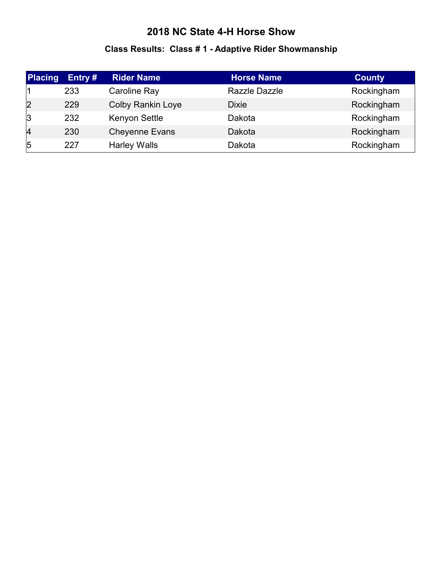# **Class Results: Class # 1 - Adaptive Rider Showmanship**

| <b>Placing</b> | Entry # | <b>Rider Name</b>        | <b>Horse Name</b> | <b>County</b> |
|----------------|---------|--------------------------|-------------------|---------------|
|                | 233     | Caroline Ray             | Razzle Dazzle     | Rockingham    |
| 2              | 229     | <b>Colby Rankin Loye</b> | <b>Dixie</b>      | Rockingham    |
| 3              | 232     | Kenyon Settle            | Dakota            | Rockingham    |
| $\overline{4}$ | 230     | <b>Cheyenne Evans</b>    | Dakota            | Rockingham    |
| $\overline{5}$ | 227     | <b>Harley Walls</b>      | Dakota            | Rockingham    |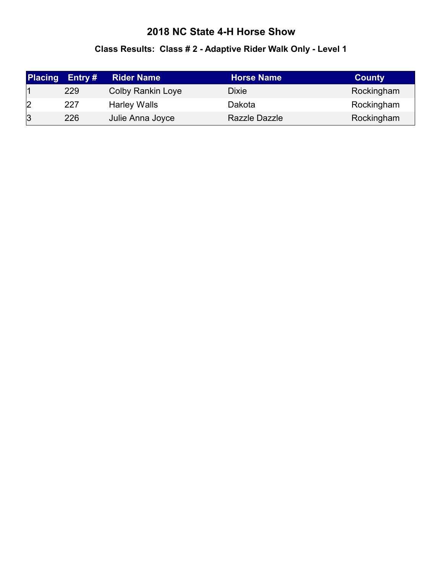# **Class Results: Class # 2 - Adaptive Rider Walk Only - Level 1**

| <b>Placing</b> | Entry # | <b>Rider Name</b>        | <b>Horse Name</b> | <b>County</b> |
|----------------|---------|--------------------------|-------------------|---------------|
|                | 229     | <b>Colby Rankin Loye</b> | <b>Dixie</b>      | Rockingham    |
| 2              | 227     | <b>Harley Walls</b>      | Dakota            | Rockingham    |
| 3              | 226     | Julie Anna Joyce         | Razzle Dazzle     | Rockingham    |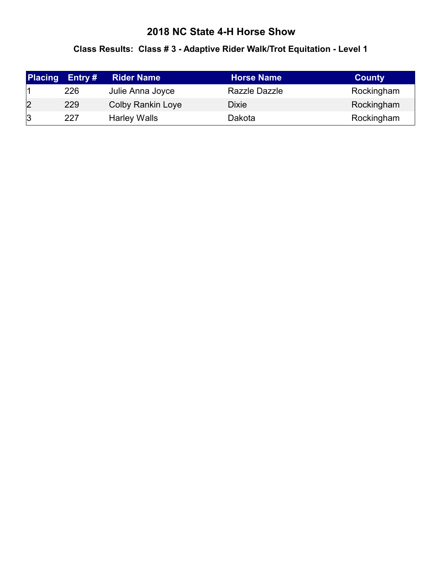#### **Class Results: Class # 3 - Adaptive Rider Walk/Trot Equitation - Level 1**

| <b>Placing</b> | Entry $#$ | <b>Rider Name</b>        | <b>Horse Name</b> | <b>County</b> |
|----------------|-----------|--------------------------|-------------------|---------------|
|                | 226       | Julie Anna Joyce         | Razzle Dazzle     | Rockingham    |
| 2              | 229       | <b>Colby Rankin Loye</b> | <b>Dixie</b>      | Rockingham    |
| 3              | 227       | <b>Harley Walls</b>      | Dakota            | Rockingham    |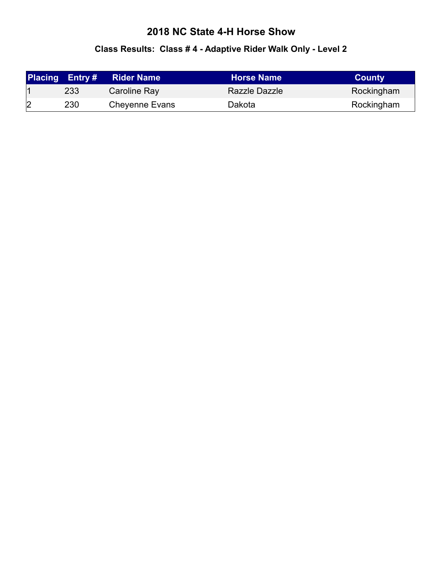# **Class Results: Class # 4 - Adaptive Rider Walk Only - Level 2**

|   | <b>Placing Entry#</b> | <b>Rider Name</b>     | <b>Horse Name</b> | <b>County</b> |
|---|-----------------------|-----------------------|-------------------|---------------|
|   | 233                   | Caroline Ray          | Razzle Dazzle     | Rockingham    |
| 2 | 230                   | <b>Cheyenne Evans</b> | Dakota            | Rockingham    |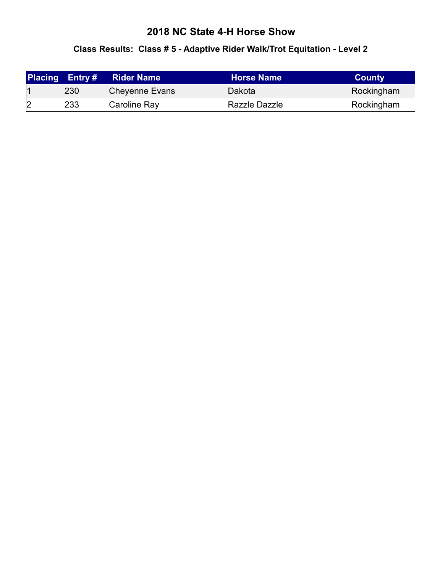#### **Class Results: Class # 5 - Adaptive Rider Walk/Trot Equitation - Level 2**

|                | <b>Placing Entry#</b> | <b>Rider Name</b>     | <b>Horse Name</b> | <b>County</b> |
|----------------|-----------------------|-----------------------|-------------------|---------------|
|                | 230                   | <b>Cheyenne Evans</b> | Dakota            | Rockingham    |
| $\overline{2}$ | 233                   | Caroline Ray          | Razzle Dazzle     | Rockingham    |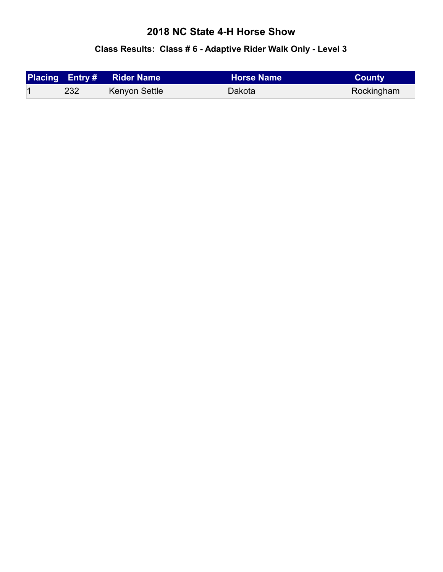#### **Class Results: Class # 6 - Adaptive Rider Walk Only - Level 3**

|     | <b>Placing Entry # Rider Name</b> |        | <b>County</b> |
|-----|-----------------------------------|--------|---------------|
| 232 | Kenyon Settle                     | Dakota | Rockingham    |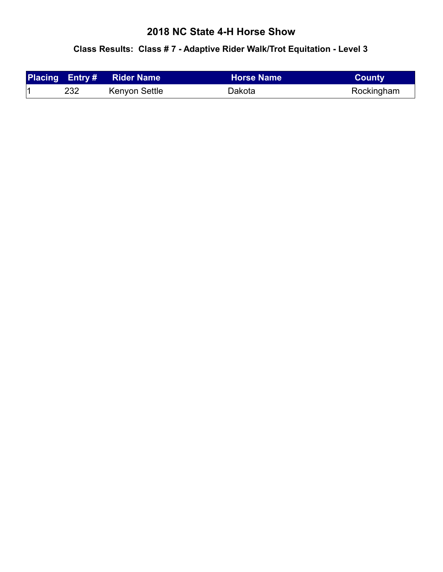#### **Class Results: Class # 7 - Adaptive Rider Walk/Trot Equitation - Level 3**

|     | <b>Placing Entry# Rider Name</b> | <b>LHorse Name</b> \ | <b>County</b> |
|-----|----------------------------------|----------------------|---------------|
| 232 | Kenyon Settle                    | Dakota               | Rockingham    |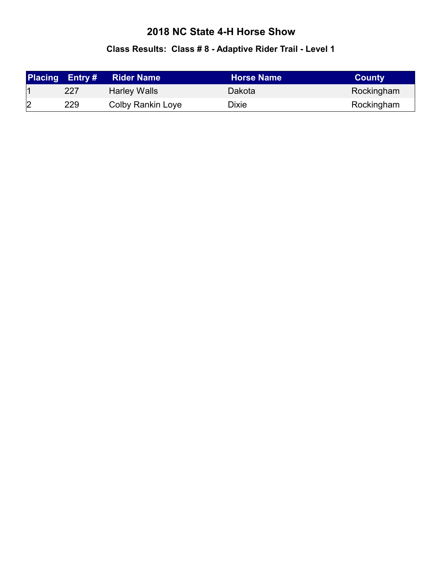# **Class Results: Class # 8 - Adaptive Rider Trail - Level 1**

|   | <b>Placing Entry#</b> | <b>Rider Name</b>   | <b>Horse Name</b> | <b>County</b> |
|---|-----------------------|---------------------|-------------------|---------------|
|   | 227                   | <b>Harley Walls</b> | Dakota            | Rockingham    |
| 2 | 229                   | Colby Rankin Loye   | Dixie             | Rockingham    |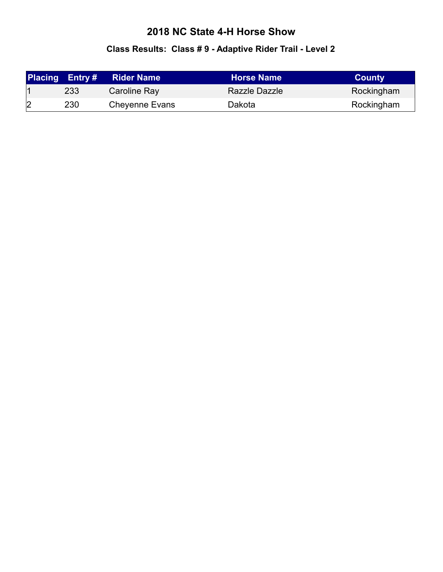# **Class Results: Class # 9 - Adaptive Rider Trail - Level 2**

|   | <b>Placing Entry#</b> | <b>Rider Name</b>     | <b>Horse Name</b> | <b>County</b> |
|---|-----------------------|-----------------------|-------------------|---------------|
|   | 233                   | Caroline Ray          | Razzle Dazzle     | Rockingham    |
| 2 | 230                   | <b>Cheyenne Evans</b> | Dakota            | Rockingham    |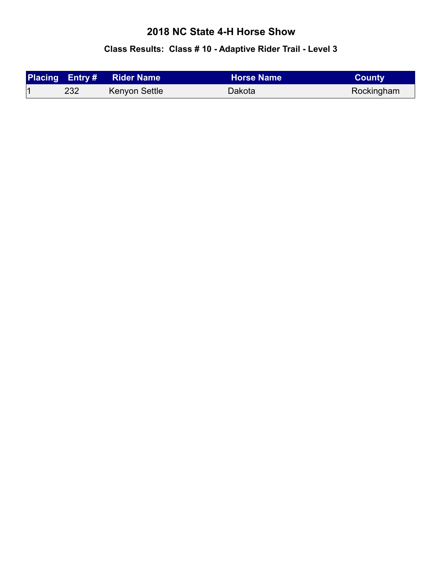# **Class Results: Class # 10 - Adaptive Rider Trail - Level 3**

|     | <b>Placing Entry # Rider Name</b> | <b>Horse Name</b> | <b>County</b> |
|-----|-----------------------------------|-------------------|---------------|
| 232 | Kenyon Settle                     | Dakota            | Rockingham    |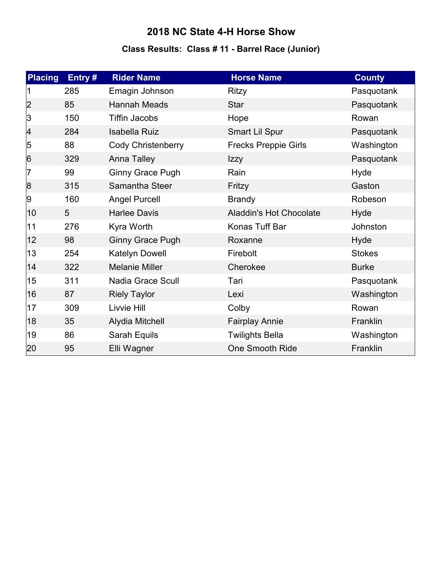# **Class Results: Class # 11 - Barrel Race (Junior)**

| <b>Placing</b> | Entry# | <b>Rider Name</b>         | <b>Horse Name</b>              | <b>County</b> |
|----------------|--------|---------------------------|--------------------------------|---------------|
|                | 285    | Emagin Johnson            | Ritzy                          | Pasquotank    |
| 2              | 85     | Hannah Meads              | <b>Star</b>                    | Pasquotank    |
| 3              | 150    | <b>Tiffin Jacobs</b>      | Hope                           | Rowan         |
| $\vert 4$      | 284    | <b>Isabella Ruiz</b>      | Smart Lil Spur                 | Pasquotank    |
| 5              | 88     | <b>Cody Christenberry</b> | <b>Frecks Preppie Girls</b>    | Washington    |
| 6              | 329    | <b>Anna Talley</b>        | <b>Izzy</b>                    | Pasquotank    |
| 7              | 99     | Ginny Grace Pugh          | Rain                           | Hyde          |
| 8              | 315    | Samantha Steer            | Fritzy                         | Gaston        |
| 9              | 160    | <b>Angel Purcell</b>      | <b>Brandy</b>                  | Robeson       |
| 10             | 5      | <b>Harlee Davis</b>       | <b>Aladdin's Hot Chocolate</b> | Hyde          |
| 11             | 276    | Kyra Worth                | Konas Tuff Bar                 | Johnston      |
| 12             | 98     | <b>Ginny Grace Pugh</b>   | Roxanne                        | Hyde          |
| 13             | 254    | Katelyn Dowell            | Firebolt                       | <b>Stokes</b> |
| 14             | 322    | <b>Melanie Miller</b>     | Cherokee                       | <b>Burke</b>  |
| 15             | 311    | <b>Nadia Grace Scull</b>  | Tari                           | Pasquotank    |
| 16             | 87     | <b>Riely Taylor</b>       | Lexi                           | Washington    |
| 17             | 309    | Livvie Hill               | Colby                          | Rowan         |
| 18             | 35     | Alydia Mitchell           | <b>Fairplay Annie</b>          | Franklin      |
| 19             | 86     | Sarah Equils              | <b>Twilights Bella</b>         | Washington    |
| 20             | 95     | Elli Wagner               | <b>One Smooth Ride</b>         | Franklin      |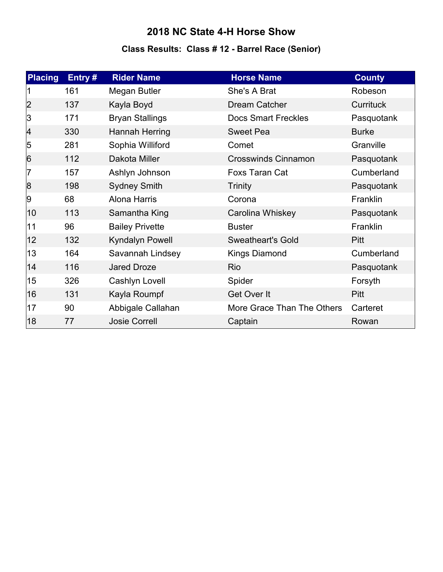# **Class Results: Class # 12 - Barrel Race (Senior)**

| <b>Placing</b> | Entry# | <b>Rider Name</b>      | <b>Horse Name</b>          | <b>County</b> |
|----------------|--------|------------------------|----------------------------|---------------|
|                | 161    | Megan Butler           | She's A Brat               | Robeson       |
| 2              | 137    | Kayla Boyd             | Dream Catcher              | Currituck     |
| 3              | 171    | <b>Bryan Stallings</b> | <b>Docs Smart Freckles</b> | Pasquotank    |
| 4              | 330    | Hannah Herring         | <b>Sweet Pea</b>           | <b>Burke</b>  |
| 5              | 281    | Sophia Williford       | Comet                      | Granville     |
| 6              | 112    | Dakota Miller          | <b>Crosswinds Cinnamon</b> | Pasquotank    |
| 7              | 157    | Ashlyn Johnson         | Foxs Taran Cat             | Cumberland    |
| 8              | 198    | <b>Sydney Smith</b>    | <b>Trinity</b>             | Pasquotank    |
| 9              | 68     | Alona Harris           | Corona                     | Franklin      |
| 10             | 113    | Samantha King          | Carolina Whiskey           | Pasquotank    |
| 11             | 96     | <b>Bailey Privette</b> | <b>Buster</b>              | Franklin      |
| 12             | 132    | <b>Kyndalyn Powell</b> | <b>Sweatheart's Gold</b>   | Pitt          |
| 13             | 164    | Savannah Lindsey       | <b>Kings Diamond</b>       | Cumberland    |
| 14             | 116    | <b>Jared Droze</b>     | Rio                        | Pasquotank    |
| 15             | 326    | Cashlyn Lovell         | Spider                     | Forsyth       |
| 16             | 131    | Kayla Roumpf           | Get Over It                | <b>Pitt</b>   |
| 17             | 90     | Abbigale Callahan      | More Grace Than The Others | Carteret      |
| 18             | 77     | <b>Josie Correll</b>   | Captain                    | Rowan         |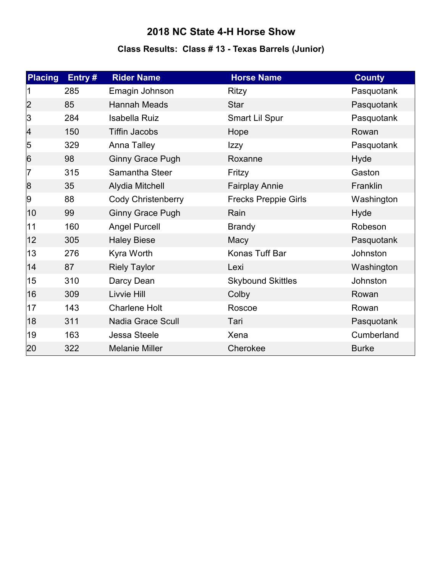# **Class Results: Class # 13 - Texas Barrels (Junior)**

| <b>Placing</b>  | Entry# | <b>Rider Name</b>        | <b>Horse Name</b>           | <b>County</b> |
|-----------------|--------|--------------------------|-----------------------------|---------------|
|                 | 285    | Emagin Johnson           | Ritzy                       | Pasquotank    |
| 2               | 85     | <b>Hannah Meads</b>      | <b>Star</b>                 | Pasquotank    |
| 3               | 284    | <b>Isabella Ruiz</b>     | Smart Lil Spur              | Pasquotank    |
| $\vert 4$       | 150    | <b>Tiffin Jacobs</b>     | Hope                        | Rowan         |
| 5               | 329    | Anna Talley              | Izzy                        | Pasquotank    |
| $6\overline{6}$ | 98     | <b>Ginny Grace Pugh</b>  | Roxanne                     | Hyde          |
| 7               | 315    | Samantha Steer           | Fritzy                      | Gaston        |
| 8               | 35     | Alydia Mitchell          | <b>Fairplay Annie</b>       | Franklin      |
| 9               | 88     | Cody Christenberry       | <b>Frecks Preppie Girls</b> | Washington    |
| 10              | 99     | <b>Ginny Grace Pugh</b>  | Rain                        | Hyde          |
| 11              | 160    | <b>Angel Purcell</b>     | <b>Brandy</b>               | Robeson       |
| 12              | 305    | <b>Haley Biese</b>       | Macy                        | Pasquotank    |
| 13              | 276    | Kyra Worth               | Konas Tuff Bar              | Johnston      |
| 14              | 87     | <b>Riely Taylor</b>      | Lexi                        | Washington    |
| 15              | 310    | Darcy Dean               | <b>Skybound Skittles</b>    | Johnston      |
| 16              | 309    | Livvie Hill              | Colby                       | Rowan         |
| 17              | 143    | <b>Charlene Holt</b>     | Roscoe                      | Rowan         |
| 18              | 311    | <b>Nadia Grace Scull</b> | Tari                        | Pasquotank    |
| 19              | 163    | Jessa Steele             | Xena                        | Cumberland    |
| 20              | 322    | <b>Melanie Miller</b>    | Cherokee                    | <b>Burke</b>  |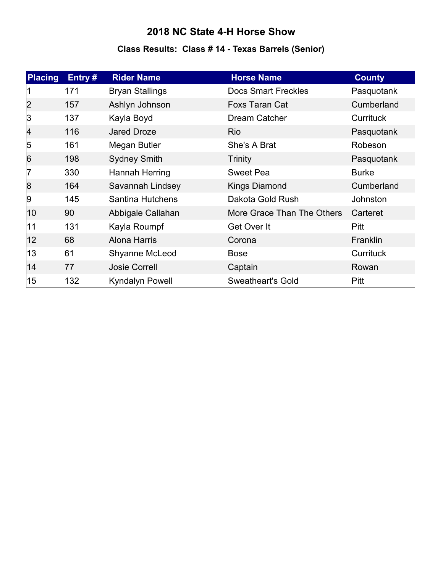# **Class Results: Class # 14 - Texas Barrels (Senior)**

| <b>Placing</b>  | Entry# | <b>Rider Name</b>       | <b>Horse Name</b>          | <b>County</b>    |
|-----------------|--------|-------------------------|----------------------------|------------------|
|                 | 171    | <b>Bryan Stallings</b>  | <b>Docs Smart Freckles</b> | Pasquotank       |
| 2               | 157    | Ashlyn Johnson          | <b>Foxs Taran Cat</b>      | Cumberland       |
| 3               | 137    | Kayla Boyd              | Dream Catcher              | <b>Currituck</b> |
| $\overline{4}$  | 116    | Jared Droze             | Rio                        | Pasquotank       |
| 5               | 161    | Megan Butler            | She's A Brat               | Robeson          |
| $6\overline{6}$ | 198    | <b>Sydney Smith</b>     | <b>Trinity</b>             | Pasquotank       |
| 17              | 330    | Hannah Herring          | <b>Sweet Pea</b>           | <b>Burke</b>     |
| 8               | 164    | Savannah Lindsey        | <b>Kings Diamond</b>       | Cumberland       |
| 9               | 145    | <b>Santina Hutchens</b> | Dakota Gold Rush           | Johnston         |
| 10              | 90     | Abbigale Callahan       | More Grace Than The Others | Carteret         |
| 11              | 131    | Kayla Roumpf            | Get Over It                | <b>Pitt</b>      |
| $ 12\rangle$    | 68     | <b>Alona Harris</b>     | Corona                     | Franklin         |
| 13              | 61     | Shyanne McLeod          | <b>Bose</b>                | Currituck        |
| 14              | 77     | <b>Josie Correll</b>    | Captain                    | Rowan            |
| 15              | 132    | Kyndalyn Powell         | <b>Sweatheart's Gold</b>   | <b>Pitt</b>      |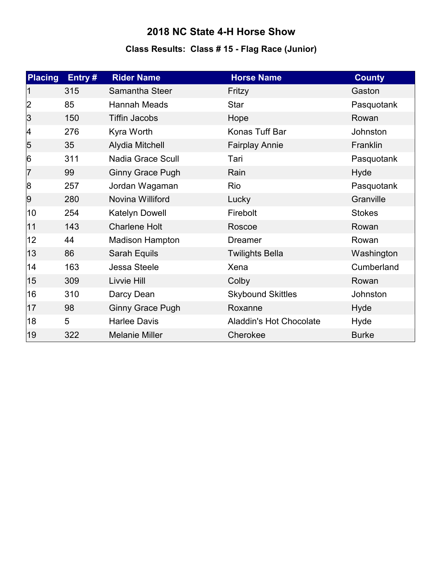# **Class Results: Class # 15 - Flag Race (Junior)**

| <b>Placing</b> | Entry# | <b>Rider Name</b>       | <b>Horse Name</b>              | <b>County</b> |
|----------------|--------|-------------------------|--------------------------------|---------------|
|                | 315    | Samantha Steer          | Fritzy                         | Gaston        |
| 2              | 85     | Hannah Meads            | Star                           | Pasquotank    |
| 3              | 150    | <b>Tiffin Jacobs</b>    | Hope                           | Rowan         |
| 4              | 276    | Kyra Worth              | Konas Tuff Bar                 | Johnston      |
| $\overline{5}$ | 35     | Alydia Mitchell         | <b>Fairplay Annie</b>          | Franklin      |
| 6              | 311    | Nadia Grace Scull       | Tari                           | Pasquotank    |
| 7              | 99     | <b>Ginny Grace Pugh</b> | Rain                           | Hyde          |
| 8              | 257    | Jordan Wagaman          | Rio                            | Pasquotank    |
| 9              | 280    | Novina Williford        | Lucky                          | Granville     |
| 10             | 254    | Katelyn Dowell          | Firebolt                       | <b>Stokes</b> |
| 11             | 143    | <b>Charlene Holt</b>    | Roscoe                         | Rowan         |
| 12             | 44     | <b>Madison Hampton</b>  | <b>Dreamer</b>                 | Rowan         |
| 13             | 86     | Sarah Equils            | <b>Twilights Bella</b>         | Washington    |
| 14             | 163    | <b>Jessa Steele</b>     | Xena                           | Cumberland    |
| 15             | 309    | Livvie Hill             | Colby                          | Rowan         |
| 16             | 310    | Darcy Dean              | <b>Skybound Skittles</b>       | Johnston      |
| 17             | 98     | <b>Ginny Grace Pugh</b> | Roxanne                        | Hyde          |
| 18             | 5      | <b>Harlee Davis</b>     | <b>Aladdin's Hot Chocolate</b> | Hyde          |
| 19             | 322    | <b>Melanie Miller</b>   | Cherokee                       | <b>Burke</b>  |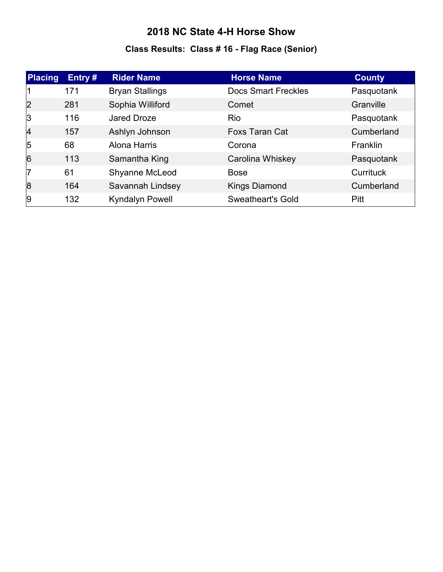# **Class Results: Class # 16 - Flag Race (Senior)**

| <b>Placing</b> | Entry# | <b>Rider Name</b>      | <b>Horse Name</b>          | <b>County</b>   |
|----------------|--------|------------------------|----------------------------|-----------------|
|                | 171    | <b>Bryan Stallings</b> | <b>Docs Smart Freckles</b> | Pasquotank      |
| 2              | 281    | Sophia Williford       | Comet                      | Granville       |
| 3              | 116    | <b>Jared Droze</b>     | Rio                        | Pasquotank      |
| $\overline{4}$ | 157    | Ashlyn Johnson         | <b>Foxs Taran Cat</b>      | Cumberland      |
| $\overline{5}$ | 68     | Alona Harris           | Corona                     | <b>Franklin</b> |
| 6              | 113    | Samantha King          | Carolina Whiskey           | Pasquotank      |
| 17             | 61     | Shyanne McLeod         | <b>Bose</b>                | Currituck       |
| 8              | 164    | Savannah Lindsey       | <b>Kings Diamond</b>       | Cumberland      |
| 9              | 132    | <b>Kyndalyn Powell</b> | Sweatheart's Gold          | Pitt            |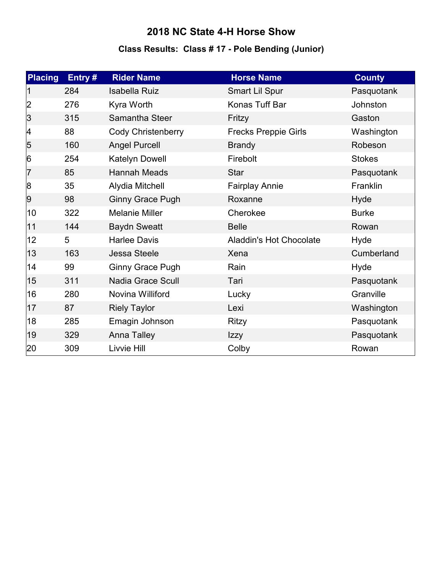# **Class Results: Class # 17 - Pole Bending (Junior)**

| <b>Placing</b> | Entry# | <b>Rider Name</b>         | <b>Horse Name</b>              | <b>County</b> |
|----------------|--------|---------------------------|--------------------------------|---------------|
|                | 284    | <b>Isabella Ruiz</b>      | Smart Lil Spur                 | Pasquotank    |
| 2              | 276    | Kyra Worth                | Konas Tuff Bar                 | Johnston      |
| 3              | 315    | Samantha Steer            | Fritzy                         | Gaston        |
| 4              | 88     | <b>Cody Christenberry</b> | <b>Frecks Preppie Girls</b>    | Washington    |
| $\overline{5}$ | 160    | <b>Angel Purcell</b>      | <b>Brandy</b>                  | Robeson       |
| 6              | 254    | Katelyn Dowell            | Firebolt                       | <b>Stokes</b> |
| 17             | 85     | <b>Hannah Meads</b>       | <b>Star</b>                    | Pasquotank    |
| 8              | 35     | Alydia Mitchell           | <b>Fairplay Annie</b>          | Franklin      |
| $ 9\rangle$    | 98     | <b>Ginny Grace Pugh</b>   | Roxanne                        | Hyde          |
| 10             | 322    | <b>Melanie Miller</b>     | Cherokee                       | <b>Burke</b>  |
| 11             | 144    | <b>Baydn Sweatt</b>       | <b>Belle</b>                   | Rowan         |
| 12             | 5      | <b>Harlee Davis</b>       | <b>Aladdin's Hot Chocolate</b> | Hyde          |
| 13             | 163    | <b>Jessa Steele</b>       | Xena                           | Cumberland    |
| 14             | 99     | <b>Ginny Grace Pugh</b>   | Rain                           | Hyde          |
| 15             | 311    | <b>Nadia Grace Scull</b>  | Tari                           | Pasquotank    |
| 16             | 280    | Novina Williford          | Lucky                          | Granville     |
| 17             | 87     | <b>Riely Taylor</b>       | Lexi                           | Washington    |
| 18             | 285    | Emagin Johnson            | <b>Ritzy</b>                   | Pasquotank    |
| 19             | 329    | <b>Anna Talley</b>        | Izzy                           | Pasquotank    |
| 20             | 309    | Livvie Hill               | Colby                          | Rowan         |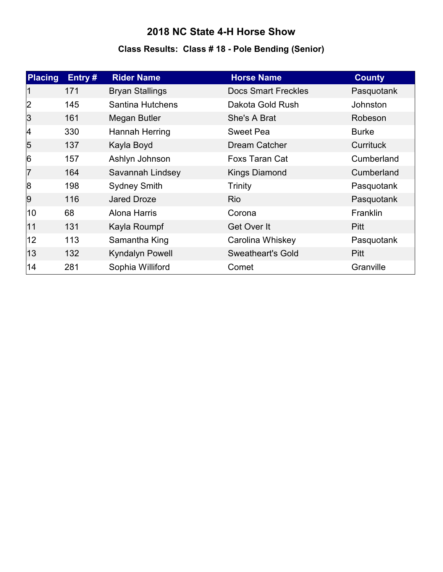# **Class Results: Class # 18 - Pole Bending (Senior)**

| <b>Placing</b>  | Entry# | <b>Rider Name</b>       | <b>Horse Name</b>          | <b>County</b>    |
|-----------------|--------|-------------------------|----------------------------|------------------|
|                 | 171    | <b>Bryan Stallings</b>  | <b>Docs Smart Freckles</b> | Pasquotank       |
| 2               | 145    | <b>Santina Hutchens</b> | Dakota Gold Rush           | <b>Johnston</b>  |
| 3               | 161    | Megan Butler            | She's A Brat               | Robeson          |
| 4               | 330    | Hannah Herring          | <b>Sweet Pea</b>           | <b>Burke</b>     |
| $\overline{5}$  | 137    | Kayla Boyd              | Dream Catcher              | <b>Currituck</b> |
| $6\overline{6}$ | 157    | Ashlyn Johnson          | <b>Foxs Taran Cat</b>      | Cumberland       |
| 7               | 164    | Savannah Lindsey        | <b>Kings Diamond</b>       | Cumberland       |
| 8               | 198    | <b>Sydney Smith</b>     | Trinity                    | Pasquotank       |
| 9               | 116    | <b>Jared Droze</b>      | <b>Rio</b>                 | Pasquotank       |
| 10              | 68     | Alona Harris            | Corona                     | <b>Franklin</b>  |
| 11              | 131    | Kayla Roumpf            | Get Over It                | Pitt             |
| $ 12\rangle$    | 113    | Samantha King           | Carolina Whiskey           | Pasquotank       |
| 13              | 132    | <b>Kyndalyn Powell</b>  | <b>Sweatheart's Gold</b>   | Pitt             |
| 14              | 281    | Sophia Williford        | Comet                      | Granville        |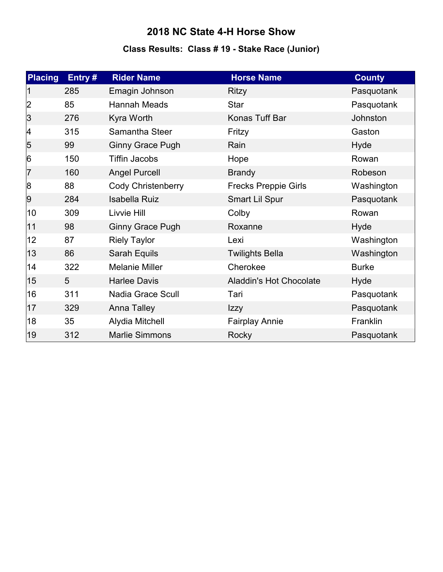# **Class Results: Class # 19 - Stake Race (Junior)**

| <b>Placing</b> | Entry# | <b>Rider Name</b>         | <b>Horse Name</b>              | <b>County</b> |
|----------------|--------|---------------------------|--------------------------------|---------------|
|                | 285    | Emagin Johnson            | <b>Ritzy</b>                   | Pasquotank    |
| 2              | 85     | Hannah Meads              | <b>Star</b>                    | Pasquotank    |
| 3              | 276    | Kyra Worth                | Konas Tuff Bar                 | Johnston      |
| 4              | 315    | Samantha Steer            | Fritzy                         | Gaston        |
| $\overline{5}$ | 99     | <b>Ginny Grace Pugh</b>   | Rain                           | Hyde          |
| 6              | 150    | <b>Tiffin Jacobs</b>      | Hope                           | Rowan         |
| 17             | 160    | <b>Angel Purcell</b>      | <b>Brandy</b>                  | Robeson       |
| 8              | 88     | <b>Cody Christenberry</b> | <b>Frecks Preppie Girls</b>    | Washington    |
| $ 9\rangle$    | 284    | <b>Isabella Ruiz</b>      | Smart Lil Spur                 | Pasquotank    |
| 10             | 309    | Livvie Hill               | Colby                          | Rowan         |
| 11             | 98     | <b>Ginny Grace Pugh</b>   | Roxanne                        | Hyde          |
| 12             | 87     | <b>Riely Taylor</b>       | Lexi                           | Washington    |
| 13             | 86     | Sarah Equils              | <b>Twilights Bella</b>         | Washington    |
| 14             | 322    | <b>Melanie Miller</b>     | Cherokee                       | <b>Burke</b>  |
| 15             | 5      | <b>Harlee Davis</b>       | <b>Aladdin's Hot Chocolate</b> | Hyde          |
| 16             | 311    | <b>Nadia Grace Scull</b>  | Tari                           | Pasquotank    |
| 17             | 329    | <b>Anna Talley</b>        | Izzy                           | Pasquotank    |
| 18             | 35     | Alydia Mitchell           | <b>Fairplay Annie</b>          | Franklin      |
| 19             | 312    | <b>Marlie Simmons</b>     | Rocky                          | Pasquotank    |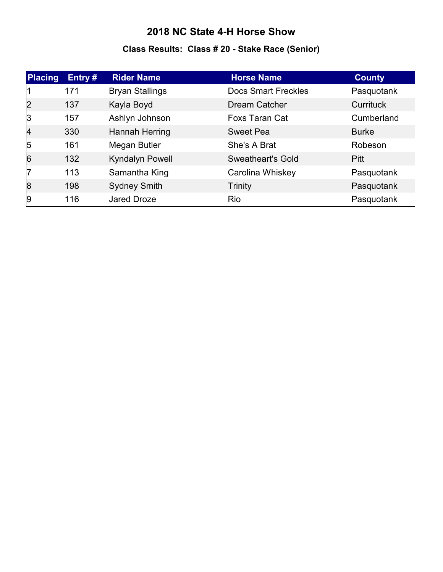# **Class Results: Class # 20 - Stake Race (Senior)**

| <b>Placing</b> | Entry# | <b>Rider Name</b>      | <b>Horse Name</b>          | <b>County</b> |
|----------------|--------|------------------------|----------------------------|---------------|
|                | 171    | <b>Bryan Stallings</b> | <b>Docs Smart Freckles</b> | Pasquotank    |
| 2              | 137    | Kayla Boyd             | <b>Dream Catcher</b>       | Currituck     |
| 3              | 157    | Ashlyn Johnson         | <b>Foxs Taran Cat</b>      | Cumberland    |
| $\overline{4}$ | 330    | <b>Hannah Herring</b>  | <b>Sweet Pea</b>           | <b>Burke</b>  |
| $\overline{5}$ | 161    | Megan Butler           | She's A Brat               | Robeson       |
| $\overline{6}$ | 132    | <b>Kyndalyn Powell</b> | <b>Sweatheart's Gold</b>   | Pitt          |
| 17             | 113    | Samantha King          | Carolina Whiskey           | Pasquotank    |
| 8              | 198    | <b>Sydney Smith</b>    | Trinity                    | Pasquotank    |
| 9              | 116    | Jared Droze            | Rio                        | Pasquotank    |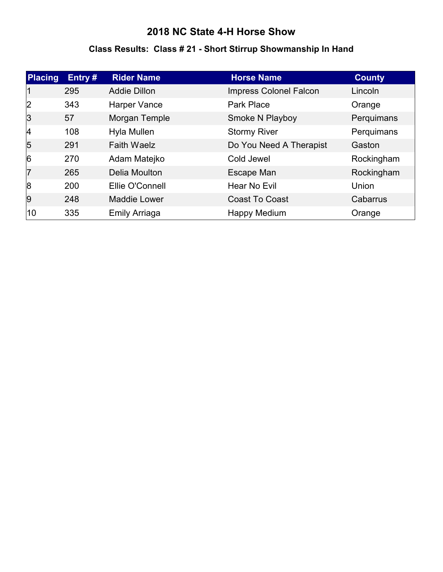#### **Class Results: Class # 21 - Short Stirrup Showmanship In Hand**

| <b>Placing</b> | Entry# | <b>Rider Name</b>   | <b>Horse Name</b>       | <b>County</b> |
|----------------|--------|---------------------|-------------------------|---------------|
| 11             | 295    | <b>Addie Dillon</b> | Impress Colonel Falcon  | Lincoln       |
| 2              | 343    | Harper Vance        | <b>Park Place</b>       | Orange        |
| 3              | 57     | Morgan Temple       | Smoke N Playboy         | Perquimans    |
| $\vert$ 4      | 108    | Hyla Mullen         | <b>Stormy River</b>     | Perquimans    |
| $\overline{5}$ | 291    | <b>Faith Waelz</b>  | Do You Need A Therapist | Gaston        |
| 6              | 270    | Adam Matejko        | Cold Jewel              | Rockingham    |
| 17             | 265    | Delia Moulton       | Escape Man              | Rockingham    |
| 8              | 200    | Ellie O'Connell     | <b>Hear No Evil</b>     | Union         |
| 9              | 248    | <b>Maddie Lower</b> | <b>Coast To Coast</b>   | Cabarrus      |
| 10             | 335    | Emily Arriaga       | Happy Medium            | Orange        |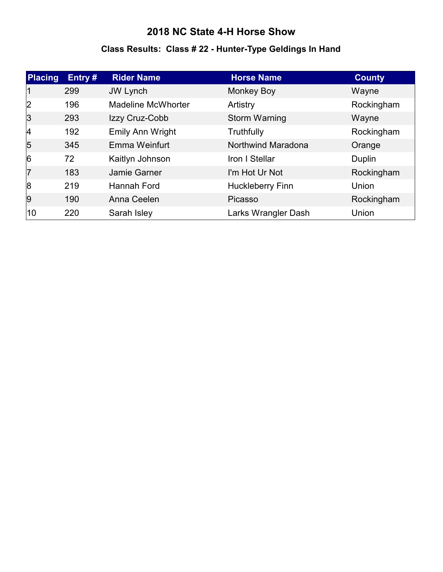#### **Class Results: Class # 22 - Hunter-Type Geldings In Hand**

| Placing        | Entry# | <b>Rider Name</b>         | <b>Horse Name</b>       | <b>County</b> |
|----------------|--------|---------------------------|-------------------------|---------------|
|                | 299    | <b>JW Lynch</b>           | <b>Monkey Boy</b>       | Wayne         |
| 2              | 196    | <b>Madeline McWhorter</b> | Artistry                | Rockingham    |
| 3              | 293    | Izzy Cruz-Cobb            | Storm Warning           | Wayne         |
| 4              | 192    | Emily Ann Wright          | Truthfully              | Rockingham    |
| $\overline{5}$ | 345    | Emma Weinfurt             | Northwind Maradona      | Orange        |
| 6              | 72     | Kaitlyn Johnson           | Iron I Stellar          | Duplin        |
| 17             | 183    | Jamie Garner              | I'm Hot Ur Not          | Rockingham    |
| 8              | 219    | <b>Hannah Ford</b>        | <b>Huckleberry Finn</b> | Union         |
| 9              | 190    | Anna Ceelen               | Picasso                 | Rockingham    |
| 10             | 220    | Sarah Isley               | Larks Wrangler Dash     | Union         |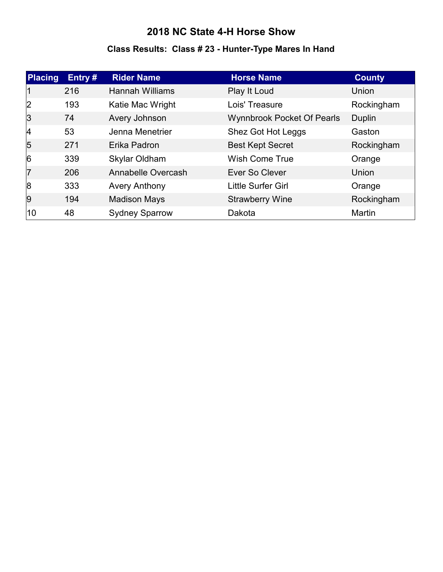# **Class Results: Class # 23 - Hunter-Type Mares In Hand**

| Placing        | Entry $#$ | <b>Rider Name</b>      | <b>Horse Name</b>                 | <b>County</b> |
|----------------|-----------|------------------------|-----------------------------------|---------------|
| 11             | 216       | <b>Hannah Williams</b> | Play It Loud                      | Union         |
| 2              | 193       | Katie Mac Wright       | Lois' Treasure                    | Rockingham    |
| 3              | 74        | Avery Johnson          | <b>Wynnbrook Pocket Of Pearls</b> | Duplin        |
| 4              | 53        | Jenna Menetrier        | Shez Got Hot Leggs                | Gaston        |
| $\overline{5}$ | 271       | Erika Padron           | <b>Best Kept Secret</b>           | Rockingham    |
| 6              | 339       | Skylar Oldham          | <b>Wish Come True</b>             | Orange        |
| 17             | 206       | Annabelle Overcash     | Ever So Clever                    | Union         |
| 8              | 333       | <b>Avery Anthony</b>   | Little Surfer Girl                | Orange        |
| <u>g</u>       | 194       | <b>Madison Mays</b>    | <b>Strawberry Wine</b>            | Rockingham    |
| 10             | 48        | <b>Sydney Sparrow</b>  | Dakota                            | Martin        |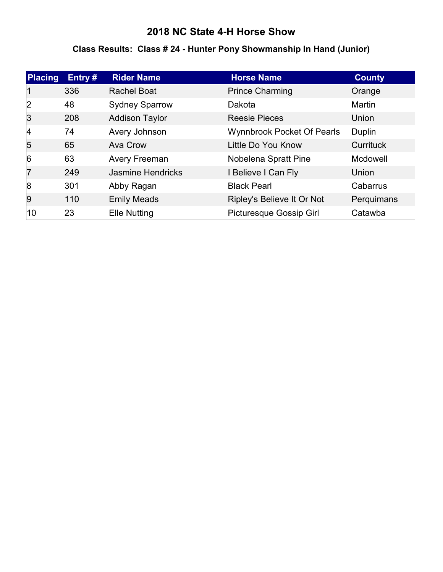#### **Class Results: Class # 24 - Hunter Pony Showmanship In Hand (Junior)**

| <b>Placing</b> | Entry # | <b>Rider Name</b>        | <b>Horse Name</b>                 | <b>County</b> |
|----------------|---------|--------------------------|-----------------------------------|---------------|
|                | 336     | <b>Rachel Boat</b>       | <b>Prince Charming</b>            | Orange        |
| 2              | 48      | <b>Sydney Sparrow</b>    | Dakota                            | Martin        |
| 3              | 208     | <b>Addison Taylor</b>    | <b>Reesie Pieces</b>              | Union         |
| 14             | 74      | Avery Johnson            | <b>Wynnbrook Pocket Of Pearls</b> | Duplin        |
| 5              | 65      | Ava Crow                 | Little Do You Know                | Currituck     |
| $\overline{6}$ | 63      | Avery Freeman            | Nobelena Spratt Pine              | Mcdowell      |
| 7              | 249     | <b>Jasmine Hendricks</b> | I Believe I Can Fly               | <b>Union</b>  |
| 8              | 301     | Abby Ragan               | <b>Black Pearl</b>                | Cabarrus      |
| 9              | 110     | <b>Emily Meads</b>       | Ripley's Believe It Or Not        | Perquimans    |
| 10             | 23      | <b>Elle Nutting</b>      | <b>Picturesque Gossip Girl</b>    | Catawba       |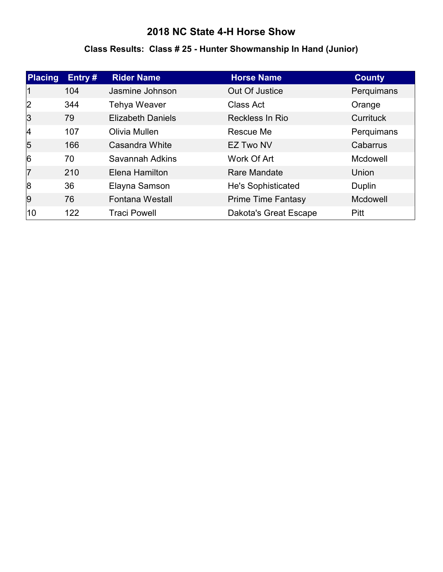# **Class Results: Class # 25 - Hunter Showmanship In Hand (Junior)**

| Placing        | Entry# | <b>Rider Name</b>        | <b>Horse Name</b>            | <b>County</b>    |
|----------------|--------|--------------------------|------------------------------|------------------|
|                | 104    | Jasmine Johnson          | Out Of Justice               | Perquimans       |
| 2              | 344    | <b>Tehya Weaver</b>      | Class Act                    | Orange           |
| 3              | 79     | <b>Elizabeth Daniels</b> | Reckless In Rio              | <b>Currituck</b> |
| 4              | 107    | Olivia Mullen            | Rescue Me                    | Perquimans       |
| $\overline{5}$ | 166    | Casandra White           | <b>EZ Two NV</b>             | Cabarrus         |
| 6              | 70     | Savannah Adkins          | Work Of Art                  | Mcdowell         |
| 17             | 210    | Elena Hamilton           | Rare Mandate                 | Union            |
| 8              | 36     | Elayna Samson            | He's Sophisticated           | Duplin           |
| 9              | 76     | <b>Fontana Westall</b>   | <b>Prime Time Fantasy</b>    | Mcdowell         |
| 10             | 122    | <b>Traci Powell</b>      | <b>Dakota's Great Escape</b> | Pitt             |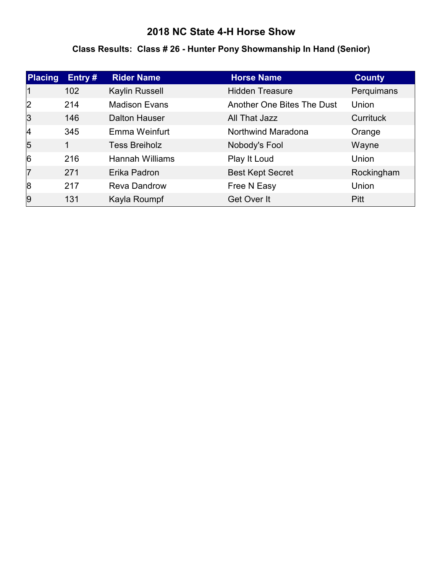#### **Class Results: Class # 26 - Hunter Pony Showmanship In Hand (Senior)**

| Placing        | Entry# | <b>Rider Name</b>      | <b>Horse Name</b>          | <b>County</b>    |
|----------------|--------|------------------------|----------------------------|------------------|
|                | 102    | Kaylin Russell         | <b>Hidden Treasure</b>     | Perquimans       |
| 2              | 214    | <b>Madison Evans</b>   | Another One Bites The Dust | Union            |
| 3              | 146    | <b>Dalton Hauser</b>   | All That Jazz              | <b>Currituck</b> |
| 4              | 345    | Emma Weinfurt          | Northwind Maradona         | Orange           |
| $\overline{5}$ | 1      | <b>Tess Breiholz</b>   | Nobody's Fool              | Wayne            |
| 6              | 216    | <b>Hannah Williams</b> | Play It Loud               | Union            |
| 17             | 271    | Erika Padron           | <b>Best Kept Secret</b>    | Rockingham       |
| 8              | 217    | <b>Reva Dandrow</b>    | Free N Easy                | Union            |
| 9              | 131    | Kayla Roumpf           | Get Over It                | Pitt             |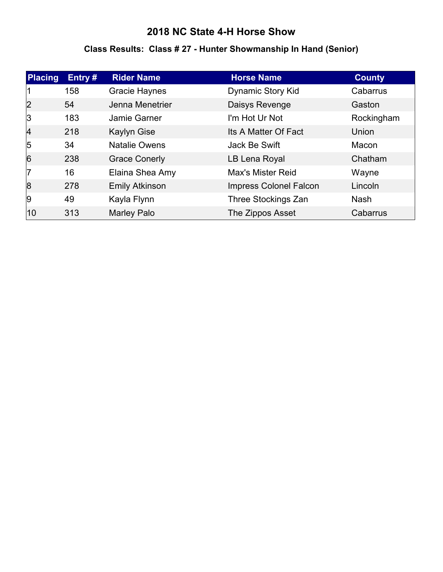# **Class Results: Class # 27 - Hunter Showmanship In Hand (Senior)**

| <b>Placing</b> | Entry # | <b>Rider Name</b>     | <b>Horse Name</b>             | <b>County</b> |
|----------------|---------|-----------------------|-------------------------------|---------------|
|                | 158     | <b>Gracie Haynes</b>  | <b>Dynamic Story Kid</b>      | Cabarrus      |
| 2              | 54      | Jenna Menetrier       | Daisys Revenge                | Gaston        |
| 3              | 183     | Jamie Garner          | I'm Hot Ur Not                | Rockingham    |
| 4              | 218     | <b>Kaylyn Gise</b>    | Its A Matter Of Fact          | Union         |
| 5              | 34      | <b>Natalie Owens</b>  | Jack Be Swift                 | Macon         |
| 6              | 238     | <b>Grace Conerly</b>  | LB Lena Royal                 | Chatham       |
| 17             | 16      | Elaina Shea Amy       | <b>Max's Mister Reid</b>      | Wayne         |
| 8              | 278     | <b>Emily Atkinson</b> | <b>Impress Colonel Falcon</b> | Lincoln       |
| 9              | 49      | Kayla Flynn           | Three Stockings Zan           | <b>Nash</b>   |
| 10             | 313     | <b>Marley Palo</b>    | The Zippos Asset              | Cabarrus      |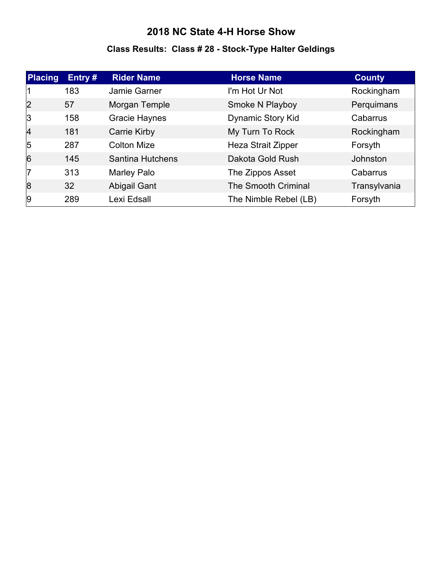# **Class Results: Class # 28 - Stock-Type Halter Geldings**

| Placing        | Entry# | <b>Rider Name</b>       | <b>Horse Name</b>          | <b>County</b> |
|----------------|--------|-------------------------|----------------------------|---------------|
|                | 183    | Jamie Garner            | I'm Hot Ur Not             | Rockingham    |
| 2              | 57     | Morgan Temple           | Smoke N Playboy            | Perquimans    |
| 3              | 158    | <b>Gracie Haynes</b>    | <b>Dynamic Story Kid</b>   | Cabarrus      |
| 4              | 181    | <b>Carrie Kirby</b>     | My Turn To Rock            | Rockingham    |
| $\sqrt{5}$     | 287    | <b>Colton Mize</b>      | <b>Heza Strait Zipper</b>  | Forsyth       |
| $\overline{6}$ | 145    | <b>Santina Hutchens</b> | Dakota Gold Rush           | Johnston      |
| 17             | 313    | Marley Palo             | The Zippos Asset           | Cabarrus      |
| 8              | 32     | <b>Abigail Gant</b>     | <b>The Smooth Criminal</b> | Transylvania  |
| 9              | 289    | Lexi Edsall             | The Nimble Rebel (LB)      | Forsyth       |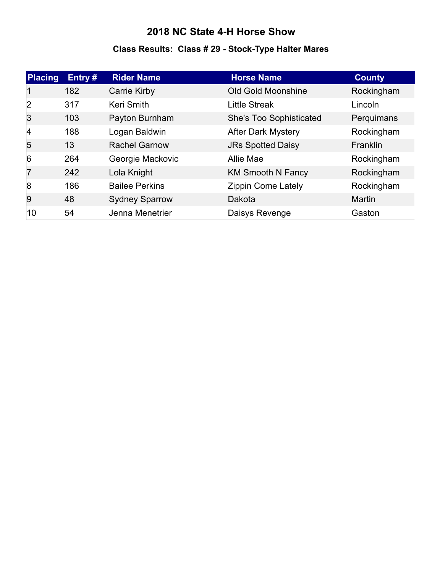# **Class Results: Class # 29 - Stock-Type Halter Mares**

| <b>Placing</b> | Entry $#$ | <b>Rider Name</b>     | <b>Horse Name</b>         | <b>County</b>   |
|----------------|-----------|-----------------------|---------------------------|-----------------|
|                | 182       | <b>Carrie Kirby</b>   | <b>Old Gold Moonshine</b> | Rockingham      |
| 2              | 317       | Keri Smith            | <b>Little Streak</b>      | Lincoln         |
| 3              | 103       | Payton Burnham        | She's Too Sophisticated   | Perquimans      |
| 4              | 188       | Logan Baldwin         | <b>After Dark Mystery</b> | Rockingham      |
| $\overline{5}$ | 13        | <b>Rachel Garnow</b>  | <b>JRs Spotted Daisy</b>  | <b>Franklin</b> |
| $\overline{6}$ | 264       | Georgie Mackovic      | Allie Mae                 | Rockingham      |
| 7              | 242       | Lola Knight           | <b>KM Smooth N Fancy</b>  | Rockingham      |
| 8              | 186       | <b>Bailee Perkins</b> | <b>Zippin Come Lately</b> | Rockingham      |
| <u>g</u>       | 48        | <b>Sydney Sparrow</b> | Dakota                    | <b>Martin</b>   |
| 10             | 54        | Jenna Menetrier       | Daisys Revenge            | Gaston          |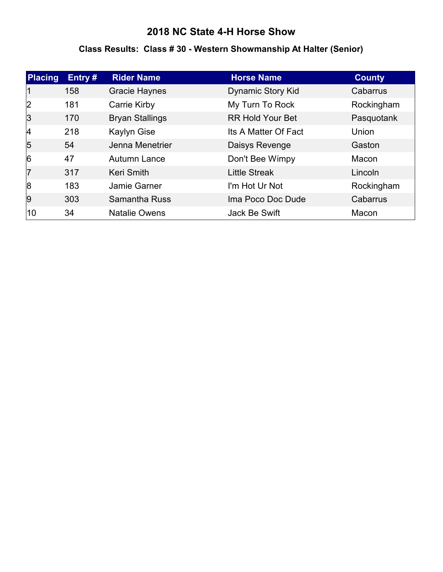#### **Class Results: Class # 30 - Western Showmanship At Halter (Senior)**

| <b>Placing</b> | Entry # | <b>Rider Name</b>      | <b>Horse Name</b>        | <b>County</b> |
|----------------|---------|------------------------|--------------------------|---------------|
|                | 158     | <b>Gracie Haynes</b>   | <b>Dynamic Story Kid</b> | Cabarrus      |
| 2              | 181     | Carrie Kirby           | My Turn To Rock          | Rockingham    |
| 3              | 170     | <b>Bryan Stallings</b> | <b>RR Hold Your Bet</b>  | Pasquotank    |
| 4              | 218     | <b>Kaylyn Gise</b>     | Its A Matter Of Fact     | Union         |
| 5              | 54      | Jenna Menetrier        | Daisys Revenge           | Gaston        |
| $\overline{6}$ | 47      | Autumn Lance           | Don't Bee Wimpy          | Macon         |
| 17             | 317     | <b>Keri Smith</b>      | <b>Little Streak</b>     | Lincoln       |
| 8              | 183     | Jamie Garner           | I'm Hot Ur Not           | Rockingham    |
| 9              | 303     | <b>Samantha Russ</b>   | Ima Poco Doc Dude        | Cabarrus      |
| 10             | 34      | <b>Natalie Owens</b>   | Jack Be Swift            | Macon         |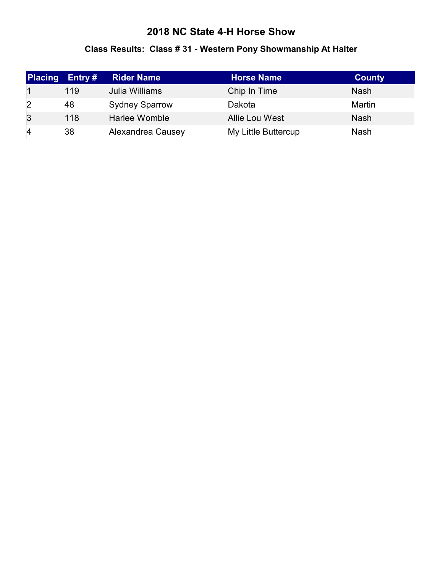# **Class Results: Class # 31 - Western Pony Showmanship At Halter**

| <b>Placing</b> | Entry $#$ | <b>Rider Name</b>     | <b>Horse Name</b>     | <b>County</b> |
|----------------|-----------|-----------------------|-----------------------|---------------|
|                | 119       | Julia Williams        | Chip In Time          | <b>Nash</b>   |
| 2              | 48        | <b>Sydney Sparrow</b> | Dakota                | Martin        |
| 3              | 118       | Harlee Womble         | <b>Allie Lou West</b> | <b>Nash</b>   |
| $\vert 4$      | 38        | Alexandrea Causey     | My Little Buttercup   | <b>Nash</b>   |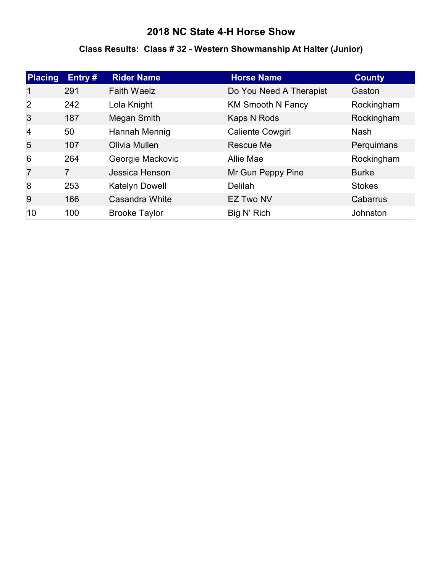#### **Class Results: Class # 32 - Western Showmanship At Halter (Junior)**

| <b>Placing</b> | Entry # | <b>Rider Name</b>     | <b>Horse Name</b>        | <b>County</b> |
|----------------|---------|-----------------------|--------------------------|---------------|
|                | 291     | <b>Faith Waelz</b>    | Do You Need A Therapist  | Gaston        |
| 2              | 242     | Lola Knight           | <b>KM Smooth N Fancy</b> | Rockingham    |
| 3              | 187     | Megan Smith           | Kaps N Rods              | Rockingham    |
| 4              | 50      | Hannah Mennig         | <b>Caliente Cowgirl</b>  | <b>Nash</b>   |
| $\overline{5}$ | 107     | Olivia Mullen         | Rescue Me                | Perquimans    |
| $\overline{6}$ | 264     | Georgie Mackovic      | Allie Mae                | Rockingham    |
| 7              | 7       | Jessica Henson        | Mr Gun Peppy Pine        | <b>Burke</b>  |
| 8              | 253     | <b>Katelyn Dowell</b> | Delilah                  | <b>Stokes</b> |
| 9              | 166     | Casandra White        | EZ Two NV                | Cabarrus      |
| 10             | 100     | <b>Brooke Taylor</b>  | Big N' Rich              | Johnston      |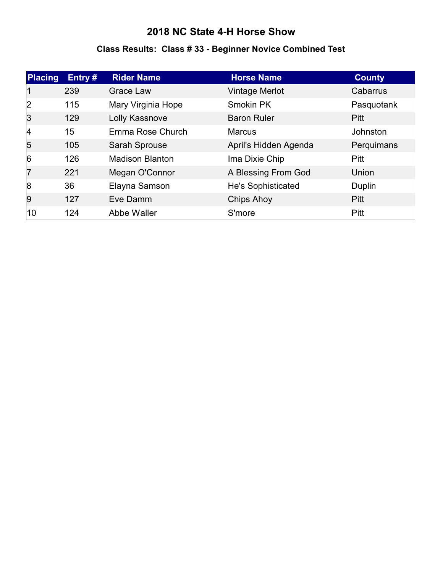# **Class Results: Class # 33 - Beginner Novice Combined Test**

| Placing        | Entry# | <b>Rider Name</b>      | <b>Horse Name</b>         | <b>County</b> |
|----------------|--------|------------------------|---------------------------|---------------|
| 11             | 239    | Grace Law              | <b>Vintage Merlot</b>     | Cabarrus      |
| 2              | 115    | Mary Virginia Hope     | <b>Smokin PK</b>          | Pasquotank    |
| 3              | 129    | Lolly Kassnove         | <b>Baron Ruler</b>        | <b>Pitt</b>   |
| 4              | 15     | Emma Rose Church       | <b>Marcus</b>             | Johnston      |
| $\overline{5}$ | 105    | Sarah Sprouse          | April's Hidden Agenda     | Perquimans    |
| 6              | 126    | <b>Madison Blanton</b> | Ima Dixie Chip            | <b>Pitt</b>   |
| 17             | 221    | Megan O'Connor         | A Blessing From God       | Union         |
| 8              | 36     | Elayna Samson          | <b>He's Sophisticated</b> | Duplin        |
| 9              | 127    | Eve Damm               | <b>Chips Ahoy</b>         | <b>Pitt</b>   |
| 10             | 124    | Abbe Waller            | S'more                    | <b>Pitt</b>   |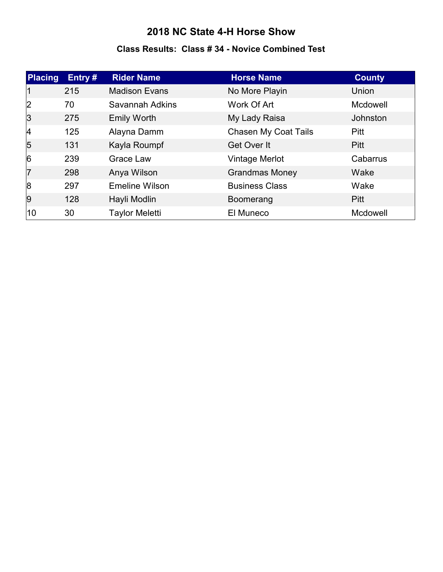#### **Class Results: Class # 34 - Novice Combined Test**

| <b>Placing</b> | Entry# | <b>Rider Name</b>     | <b>Horse Name</b>           | <b>County</b>   |
|----------------|--------|-----------------------|-----------------------------|-----------------|
| $\mathsf{I}$   | 215    | <b>Madison Evans</b>  | No More Playin              | Union           |
| 2              | 70     | Savannah Adkins       | Work Of Art                 | <b>Mcdowell</b> |
| 3              | 275    | <b>Emily Worth</b>    | My Lady Raisa               | Johnston        |
| 4              | 125    | Alayna Damm           | <b>Chasen My Coat Tails</b> | <b>Pitt</b>     |
| $\overline{5}$ | 131    | Kayla Roumpf          | Get Over It                 | <b>Pitt</b>     |
| $\overline{6}$ | 239    | <b>Grace Law</b>      | Vintage Merlot              | Cabarrus        |
| 17             | 298    | Anya Wilson           | <b>Grandmas Money</b>       | Wake            |
| 8              | 297    | <b>Emeline Wilson</b> | <b>Business Class</b>       | Wake            |
| 9              | 128    | Hayli Modlin          | Boomerang                   | <b>Pitt</b>     |
| 10             | 30     | <b>Taylor Meletti</b> | El Muneco                   | Mcdowell        |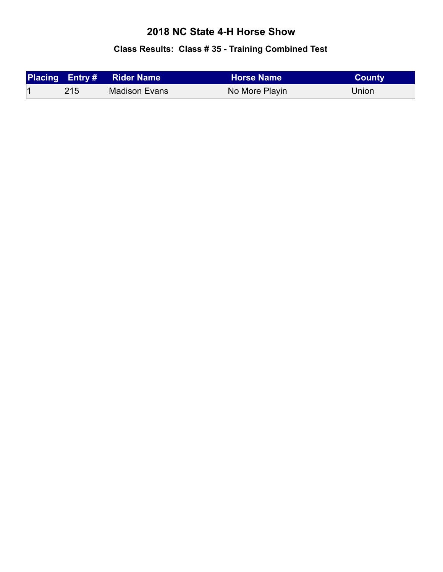# **Class Results: Class # 35 - Training Combined Test**

|     | <b>Placing Entry # Rider Name</b> | <b>Horse Name</b> | <b>County</b> |
|-----|-----------------------------------|-------------------|---------------|
| 215 | Madison Evans                     | No More Playin    | Union         |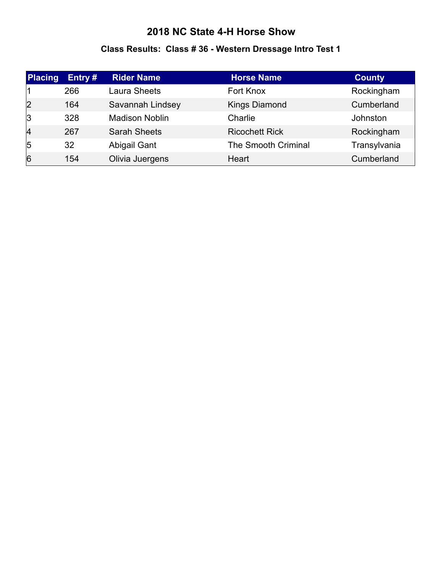#### **Class Results: Class # 36 - Western Dressage Intro Test 1**

| <b>Placing</b> | Entry # | <b>Rider Name</b>     | <b>Horse Name</b>     | <b>County</b> |
|----------------|---------|-----------------------|-----------------------|---------------|
|                | 266     | <b>Laura Sheets</b>   | Fort Knox             | Rockingham    |
| 2              | 164     | Savannah Lindsey      | <b>Kings Diamond</b>  | Cumberland    |
| 3              | 328     | <b>Madison Noblin</b> | Charlie               | Johnston      |
| $\overline{4}$ | 267     | <b>Sarah Sheets</b>   | <b>Ricochett Rick</b> | Rockingham    |
| $\overline{5}$ | 32      | Abigail Gant          | The Smooth Criminal   | Transylvania  |
| 6              | 154     | Olivia Juergens       | Heart                 | Cumberland    |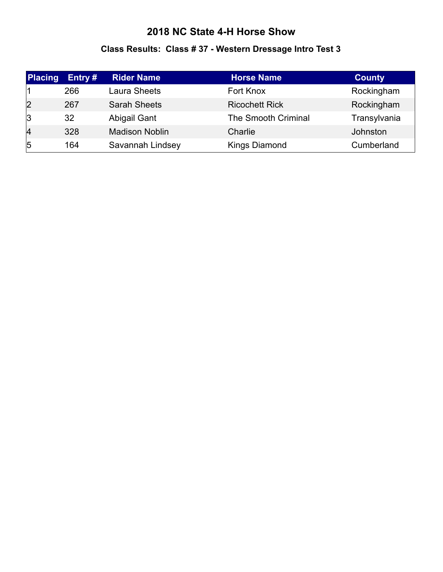#### **Class Results: Class # 37 - Western Dressage Intro Test 3**

| <b>Placing</b> | Entry $#$ | <b>Rider Name</b>     | <b>Horse Name</b>     | <b>County</b> |
|----------------|-----------|-----------------------|-----------------------|---------------|
|                | 266       | Laura Sheets          | Fort Knox             | Rockingham    |
| $\overline{2}$ | 267       | <b>Sarah Sheets</b>   | <b>Ricochett Rick</b> | Rockingham    |
| 3              | 32        | Abigail Gant          | The Smooth Criminal   | Transylvania  |
| $\overline{4}$ | 328       | <b>Madison Noblin</b> | Charlie               | Johnston      |
| $\overline{5}$ | 164       | Savannah Lindsey      | <b>Kings Diamond</b>  | Cumberland    |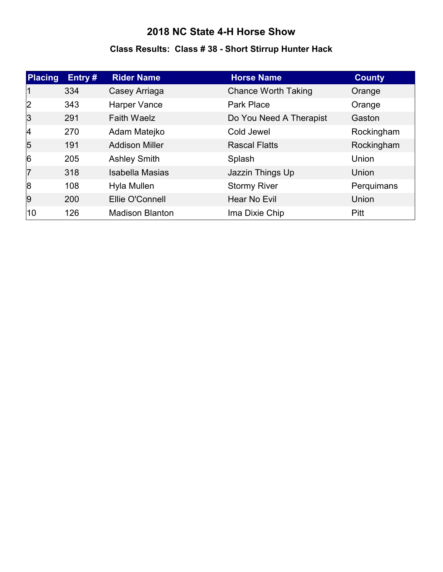#### **Class Results: Class # 38 - Short Stirrup Hunter Hack**

| Placing        | Entry# | <b>Rider Name</b>      | <b>Horse Name</b>          | <b>County</b> |
|----------------|--------|------------------------|----------------------------|---------------|
|                | 334    | Casey Arriaga          | <b>Chance Worth Taking</b> | Orange        |
| 2              | 343    | Harper Vance           | Park Place                 | Orange        |
| 3              | 291    | <b>Faith Waelz</b>     | Do You Need A Therapist    | Gaston        |
| $\vert$ 4      | 270    | Adam Matejko           | Cold Jewel                 | Rockingham    |
| $\overline{5}$ | 191    | <b>Addison Miller</b>  | <b>Rascal Flatts</b>       | Rockingham    |
| $\overline{6}$ | 205    | <b>Ashley Smith</b>    | Splash                     | Union         |
| 17             | 318    | <b>Isabella Masias</b> | Jazzin Things Up           | Union         |
| 8              | 108    | Hyla Mullen            | <b>Stormy River</b>        | Perquimans    |
| 9              | 200    | Ellie O'Connell        | Hear No Evil               | Union         |
| 10             | 126    | <b>Madison Blanton</b> | Ima Dixie Chip             | Pitt          |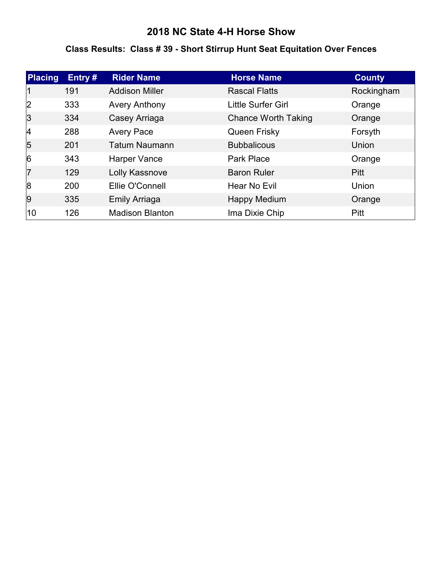#### **Class Results: Class # 39 - Short Stirrup Hunt Seat Equitation Over Fences**

| Placing        | Entry# | <b>Rider Name</b>      | <b>Horse Name</b>          | <b>County</b> |
|----------------|--------|------------------------|----------------------------|---------------|
|                | 191    | <b>Addison Miller</b>  | <b>Rascal Flatts</b>       | Rockingham    |
| 2              | 333    | <b>Avery Anthony</b>   | Little Surfer Girl         | Orange        |
| 3              | 334    | Casey Arriaga          | <b>Chance Worth Taking</b> | Orange        |
| $\vert$ 4      | 288    | <b>Avery Pace</b>      | Queen Frisky               | Forsyth       |
| $\overline{5}$ | 201    | <b>Tatum Naumann</b>   | <b>Bubbalicous</b>         | Union         |
| 6              | 343    | Harper Vance           | <b>Park Place</b>          | Orange        |
| 7              | 129    | Lolly Kassnove         | <b>Baron Ruler</b>         | <b>Pitt</b>   |
| 8              | 200    | Ellie O'Connell        | Hear No Evil               | Union         |
| 9              | 335    | <b>Emily Arriaga</b>   | <b>Happy Medium</b>        | Orange        |
| 10             | 126    | <b>Madison Blanton</b> | Ima Dixie Chip             | <b>Pitt</b>   |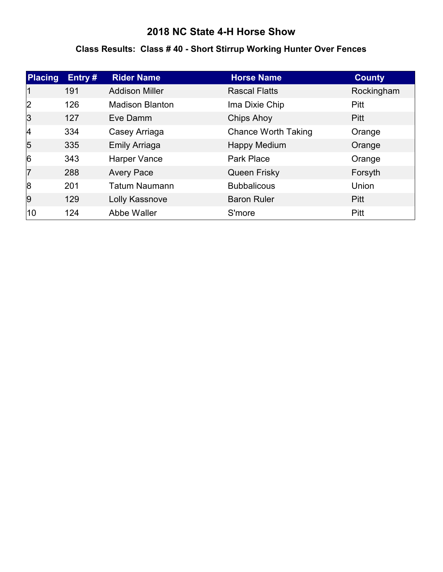#### **Class Results: Class # 40 - Short Stirrup Working Hunter Over Fences**

| Placing        | Entry# | <b>Rider Name</b>      | <b>Horse Name</b>          | <b>County</b> |
|----------------|--------|------------------------|----------------------------|---------------|
|                | 191    | <b>Addison Miller</b>  | <b>Rascal Flatts</b>       | Rockingham    |
| 2              | 126    | <b>Madison Blanton</b> | Ima Dixie Chip             | <b>Pitt</b>   |
| 3              | 127    | Eve Damm               | <b>Chips Ahoy</b>          | <b>Pitt</b>   |
| 4              | 334    | Casey Arriaga          | <b>Chance Worth Taking</b> | Orange        |
| $\overline{5}$ | 335    | <b>Emily Arriaga</b>   | <b>Happy Medium</b>        | Orange        |
| $\overline{6}$ | 343    | Harper Vance           | <b>Park Place</b>          | Orange        |
| 17             | 288    | <b>Avery Pace</b>      | <b>Queen Frisky</b>        | Forsyth       |
| 8              | 201    | <b>Tatum Naumann</b>   | <b>Bubbalicous</b>         | Union         |
| 9              | 129    | Lolly Kassnove         | <b>Baron Ruler</b>         | <b>Pitt</b>   |
| 10             | 124    | Abbe Waller            | S'more                     | Pitt          |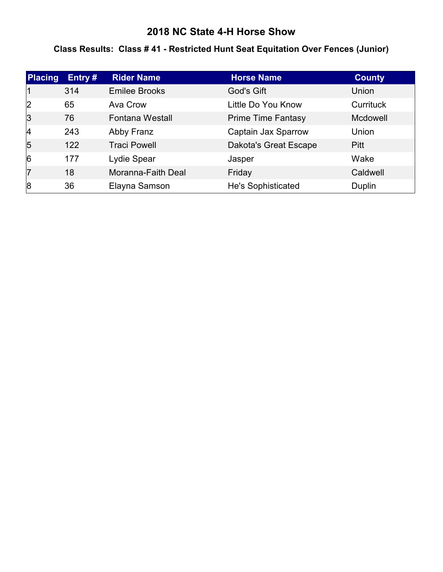#### **Class Results: Class # 41 - Restricted Hunt Seat Equitation Over Fences (Junior)**

| Placing        | Entry $#$ | <b>Rider Name</b>      | <b>Horse Name</b>            | <b>County</b>    |
|----------------|-----------|------------------------|------------------------------|------------------|
|                | 314       | <b>Emilee Brooks</b>   | God's Gift                   | Union            |
| 2              | 65        | Ava Crow               | Little Do You Know           | <b>Currituck</b> |
| 3              | 76        | <b>Fontana Westall</b> | <b>Prime Time Fantasy</b>    | <b>Mcdowell</b>  |
| 4              | 243       | Abby Franz             | Captain Jax Sparrow          | Union            |
| $\overline{5}$ | 122       | <b>Traci Powell</b>    | <b>Dakota's Great Escape</b> | <b>Pitt</b>      |
| $\overline{6}$ | 177       | Lydie Spear            | Jasper                       | Wake             |
| 17             | 18        | Moranna-Faith Deal     | Friday                       | Caldwell         |
| 8              | 36        | Elayna Samson          | <b>He's Sophisticated</b>    | Duplin           |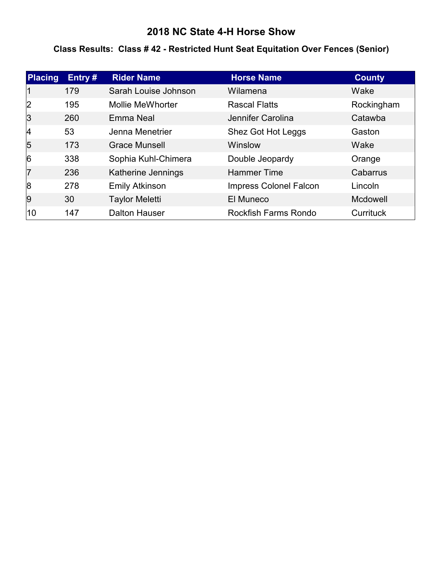#### **Class Results: Class # 42 - Restricted Hunt Seat Equitation Over Fences (Senior)**

| <b>Placing</b> | Entry# | <b>Rider Name</b>       | <b>Horse Name</b>             | <b>County</b>   |
|----------------|--------|-------------------------|-------------------------------|-----------------|
|                | 179    | Sarah Louise Johnson    | Wilamena                      | Wake            |
| 2              | 195    | <b>Mollie MeWhorter</b> | <b>Rascal Flatts</b>          | Rockingham      |
| 3              | 260    | Emma Neal               | Jennifer Carolina             | Catawba         |
| 4              | 53     | Jenna Menetrier         | Shez Got Hot Leggs            | Gaston          |
| 5              | 173    | Grace Munsell           | Winslow                       | Wake            |
| $\overline{6}$ | 338    | Sophia Kuhl-Chimera     | Double Jeopardy               | Orange          |
| 17             | 236    | Katherine Jennings      | <b>Hammer Time</b>            | Cabarrus        |
| 8              | 278    | <b>Emily Atkinson</b>   | <b>Impress Colonel Falcon</b> | Lincoln         |
| 9              | 30     | <b>Taylor Meletti</b>   | El Muneco                     | <b>Mcdowell</b> |
| 10             | 147    | <b>Dalton Hauser</b>    | <b>Rockfish Farms Rondo</b>   | Currituck       |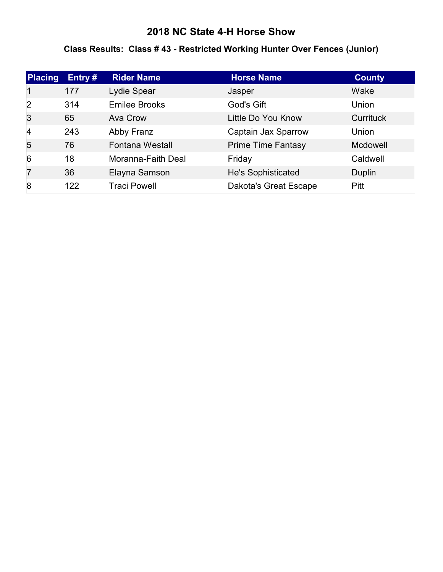#### **Class Results: Class # 43 - Restricted Working Hunter Over Fences (Junior)**

| Placing        | Entry# | <b>Rider Name</b>      | <b>Horse Name</b>            | <b>County</b>    |
|----------------|--------|------------------------|------------------------------|------------------|
|                | 177    | Lydie Spear            | Jasper                       | Wake             |
| 2              | 314    | <b>Emilee Brooks</b>   | God's Gift                   | Union            |
| 3              | 65     | Ava Crow               | Little Do You Know           | <b>Currituck</b> |
| 4              | 243    | Abby Franz             | Captain Jax Sparrow          | Union            |
| $\overline{5}$ | 76     | <b>Fontana Westall</b> | <b>Prime Time Fantasy</b>    | <b>Mcdowell</b>  |
| $\overline{6}$ | 18     | Moranna-Faith Deal     | Friday                       | Caldwell         |
| 17             | 36     | Elayna Samson          | He's Sophisticated           | Duplin           |
| 8              | 122    | <b>Traci Powell</b>    | <b>Dakota's Great Escape</b> | <b>Pitt</b>      |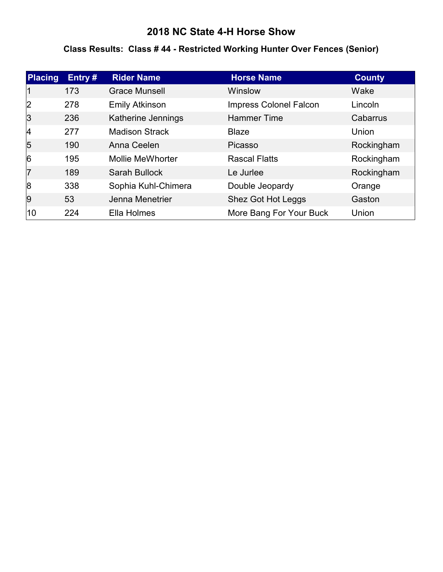#### **Class Results: Class # 44 - Restricted Working Hunter Over Fences (Senior)**

| Placing        | Entry# | <b>Rider Name</b>       | <b>Horse Name</b>             | <b>County</b> |
|----------------|--------|-------------------------|-------------------------------|---------------|
|                | 173    | <b>Grace Munsell</b>    | Winslow                       | Wake          |
| 2              | 278    | <b>Emily Atkinson</b>   | <b>Impress Colonel Falcon</b> | Lincoln       |
| 3              | 236    | Katherine Jennings      | <b>Hammer Time</b>            | Cabarrus      |
| 4              | 277    | <b>Madison Strack</b>   | <b>Blaze</b>                  | Union         |
| $\overline{5}$ | 190    | Anna Ceelen             | Picasso                       | Rockingham    |
| 6              | 195    | <b>Mollie MeWhorter</b> | <b>Rascal Flatts</b>          | Rockingham    |
| 17             | 189    | <b>Sarah Bullock</b>    | Le Jurlee                     | Rockingham    |
| 8              | 338    | Sophia Kuhl-Chimera     | Double Jeopardy               | Orange        |
| 9              | 53     | Jenna Menetrier         | Shez Got Hot Leggs            | Gaston        |
| 10             | 224    | Ella Holmes             | More Bang For Your Buck       | Union         |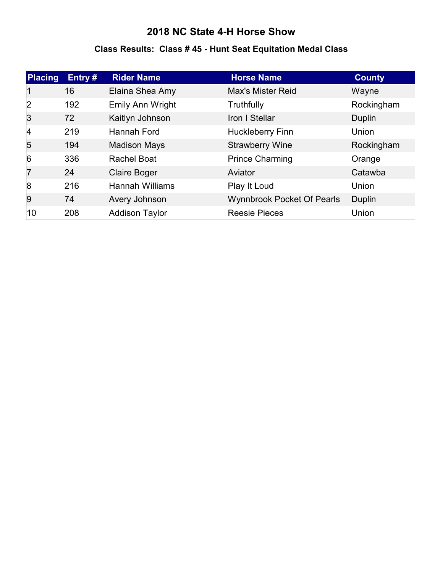#### **Class Results: Class # 45 - Hunt Seat Equitation Medal Class**

| <b>Placing</b> | Entry# | <b>Rider Name</b>      | <b>Horse Name</b>                 | <b>County</b> |
|----------------|--------|------------------------|-----------------------------------|---------------|
|                | 16     | Elaina Shea Amy        | <b>Max's Mister Reid</b>          | Wayne         |
| 2              | 192    | Emily Ann Wright       | Truthfully                        | Rockingham    |
| 3              | 72     | Kaitlyn Johnson        | Iron I Stellar                    | Duplin        |
| $\vert$ 4      | 219    | Hannah Ford            | <b>Huckleberry Finn</b>           | Union         |
| $\overline{5}$ | 194    | <b>Madison Mays</b>    | <b>Strawberry Wine</b>            | Rockingham    |
| 6              | 336    | <b>Rachel Boat</b>     | <b>Prince Charming</b>            | Orange        |
| 17             | 24     | <b>Claire Boger</b>    | Aviator                           | Catawba       |
| 8              | 216    | <b>Hannah Williams</b> | Play It Loud                      | Union         |
| 9              | 74     | Avery Johnson          | <b>Wynnbrook Pocket Of Pearls</b> | <b>Duplin</b> |
| 10             | 208    | <b>Addison Taylor</b>  | <b>Reesie Pieces</b>              | Union         |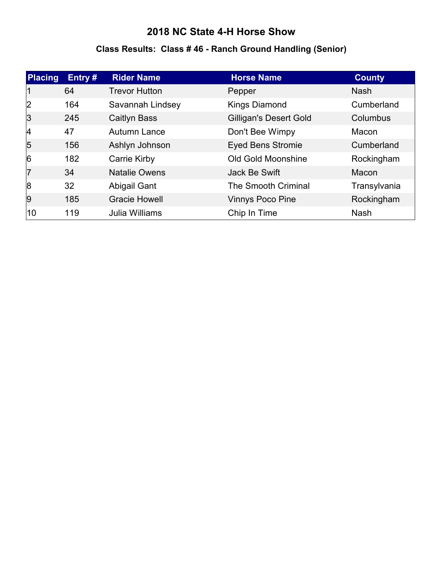#### **Class Results: Class # 46 - Ranch Ground Handling (Senior)**

| <b>Placing</b> | Entry# | <b>Rider Name</b>    | <b>Horse Name</b>             | <b>County</b> |
|----------------|--------|----------------------|-------------------------------|---------------|
|                | 64     | <b>Trevor Hutton</b> | Pepper                        | <b>Nash</b>   |
| 2              | 164    | Savannah Lindsey     | <b>Kings Diamond</b>          | Cumberland    |
| 3              | 245    | <b>Caitlyn Bass</b>  | <b>Gilligan's Desert Gold</b> | Columbus      |
| 4              | 47     | Autumn Lance         | Don't Bee Wimpy               | Macon         |
| $\overline{5}$ | 156    | Ashlyn Johnson       | <b>Eyed Bens Stromie</b>      | Cumberland    |
| 6              | 182    | Carrie Kirby         | <b>Old Gold Moonshine</b>     | Rockingham    |
| 17             | 34     | <b>Natalie Owens</b> | Jack Be Swift                 | Macon         |
| 8              | 32     | Abigail Gant         | <b>The Smooth Criminal</b>    | Transylvania  |
| 9              | 185    | <b>Gracie Howell</b> | <b>Vinnys Poco Pine</b>       | Rockingham    |
| 10             | 119    | Julia Williams       | Chip In Time                  | <b>Nash</b>   |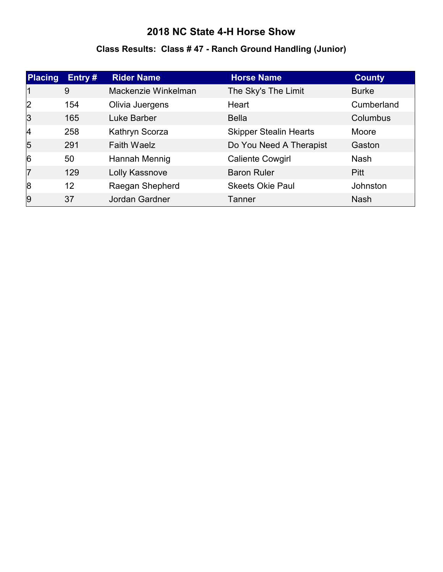#### **Class Results: Class # 47 - Ranch Ground Handling (Junior)**

| Placing        | Entry $#$ | <b>Rider Name</b>   | <b>Horse Name</b>             | <b>County</b> |
|----------------|-----------|---------------------|-------------------------------|---------------|
|                | 9         | Mackenzie Winkelman | The Sky's The Limit           | <b>Burke</b>  |
| 2              | 154       | Olivia Juergens     | Heart                         | Cumberland    |
| 3              | 165       | Luke Barber         | <b>Bella</b>                  | Columbus      |
| 4              | 258       | Kathryn Scorza      | <b>Skipper Stealin Hearts</b> | Moore         |
| $\overline{5}$ | 291       | <b>Faith Waelz</b>  | Do You Need A Therapist       | Gaston        |
| 6              | 50        | Hannah Mennig       | <b>Caliente Cowgirl</b>       | <b>Nash</b>   |
| 17             | 129       | Lolly Kassnove      | <b>Baron Ruler</b>            | <b>Pitt</b>   |
| 8              | 12        | Raegan Shepherd     | <b>Skeets Okie Paul</b>       | Johnston      |
| 9              | 37        | Jordan Gardner      | Tanner                        | <b>Nash</b>   |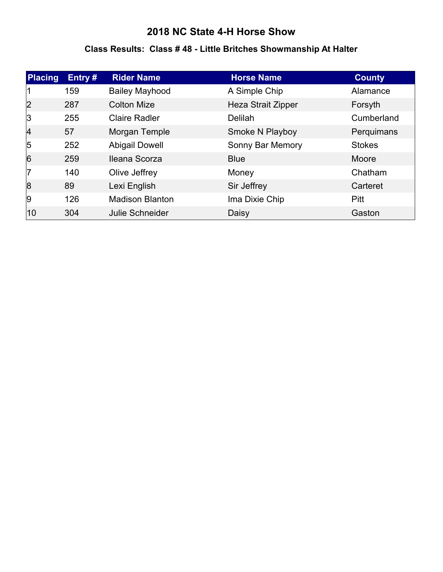#### **Class Results: Class # 48 - Little Britches Showmanship At Halter**

| Placing        | Entry# | <b>Rider Name</b>      | <b>Horse Name</b>         | <b>County</b> |
|----------------|--------|------------------------|---------------------------|---------------|
|                | 159    | <b>Bailey Mayhood</b>  | A Simple Chip             | Alamance      |
| 2              | 287    | <b>Colton Mize</b>     | <b>Heza Strait Zipper</b> | Forsyth       |
| 3              | 255    | <b>Claire Radler</b>   | <b>Delilah</b>            | Cumberland    |
| $\vert$ 4      | 57     | Morgan Temple          | Smoke N Playboy           | Perquimans    |
| $\overline{5}$ | 252    | <b>Abigail Dowell</b>  | Sonny Bar Memory          | <b>Stokes</b> |
| 6              | 259    | Ileana Scorza          | <b>Blue</b>               | Moore         |
| 17             | 140    | Olive Jeffrey          | Money                     | Chatham       |
| 8              | 89     | Lexi English           | Sir Jeffrey               | Carteret      |
| 9              | 126    | <b>Madison Blanton</b> | Ima Dixie Chip            | Pitt          |
| 10             | 304    | Julie Schneider        | Daisy                     | Gaston        |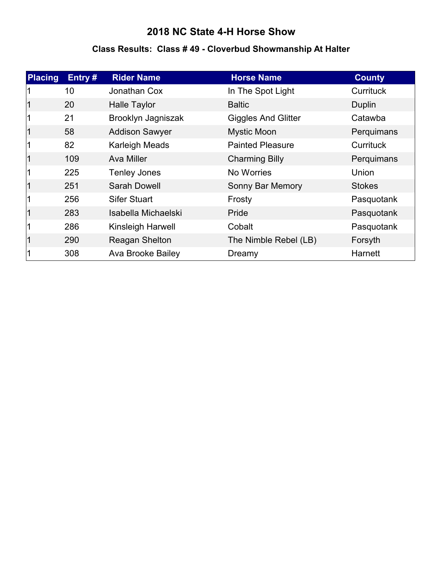#### **Class Results: Class # 49 - Cloverbud Showmanship At Halter**

| <b>Placing</b> | Entry# | <b>Rider Name</b>        | <b>Horse Name</b>          | <b>County</b>    |
|----------------|--------|--------------------------|----------------------------|------------------|
|                | 10     | Jonathan Cox             | In The Spot Light          | <b>Currituck</b> |
|                | 20     | <b>Halle Taylor</b>      | <b>Baltic</b>              | Duplin           |
|                | 21     | Brooklyn Jagniszak       | <b>Giggles And Glitter</b> | Catawba          |
|                | 58     | <b>Addison Sawyer</b>    | <b>Mystic Moon</b>         | Perquimans       |
|                | 82     | <b>Karleigh Meads</b>    | <b>Painted Pleasure</b>    | Currituck        |
|                | 109    | Ava Miller               | <b>Charming Billy</b>      | Perquimans       |
|                | 225    | <b>Tenley Jones</b>      | No Worries                 | Union            |
|                | 251    | Sarah Dowell             | Sonny Bar Memory           | <b>Stokes</b>    |
|                | 256    | <b>Sifer Stuart</b>      | Frosty                     | Pasquotank       |
|                | 283    | Isabella Michaelski      | Pride                      | Pasquotank       |
|                | 286    | Kinsleigh Harwell        | Cobalt                     | Pasquotank       |
|                | 290    | Reagan Shelton           | The Nimble Rebel (LB)      | Forsyth          |
|                | 308    | <b>Ava Brooke Bailey</b> | Dreamy                     | Harnett          |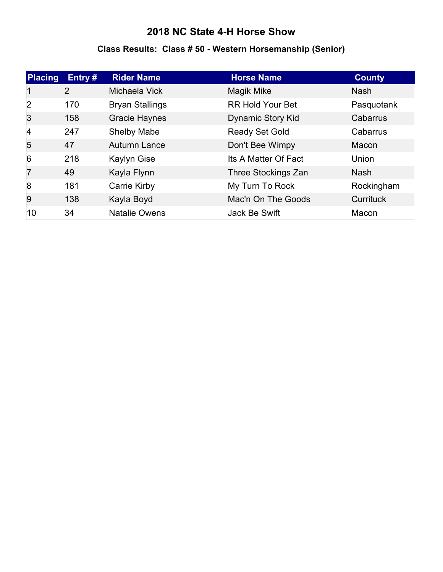#### **Class Results: Class # 50 - Western Horsemanship (Senior)**

| <b>Placing</b> | Entry $#$      | <b>Rider Name</b>      | <b>Horse Name</b>       | <b>County</b>    |
|----------------|----------------|------------------------|-------------------------|------------------|
|                | $\overline{2}$ | Michaela Vick          | Magik Mike              | <b>Nash</b>      |
| 2              | 170            | <b>Bryan Stallings</b> | <b>RR Hold Your Bet</b> | Pasquotank       |
| 3              | 158            | <b>Gracie Haynes</b>   | Dynamic Story Kid       | Cabarrus         |
| 14             | 247            | <b>Shelby Mabe</b>     | <b>Ready Set Gold</b>   | Cabarrus         |
| 5              | 47             | <b>Autumn Lance</b>    | Don't Bee Wimpy         | Macon            |
| $\overline{6}$ | 218            | <b>Kaylyn Gise</b>     | Its A Matter Of Fact    | Union            |
| 7              | 49             | Kayla Flynn            | Three Stockings Zan     | <b>Nash</b>      |
| 8              | 181            | Carrie Kirby           | My Turn To Rock         | Rockingham       |
| 9              | 138            | Kayla Boyd             | Mac'n On The Goods      | <b>Currituck</b> |
| 10             | 34             | <b>Natalie Owens</b>   | Jack Be Swift           | Macon            |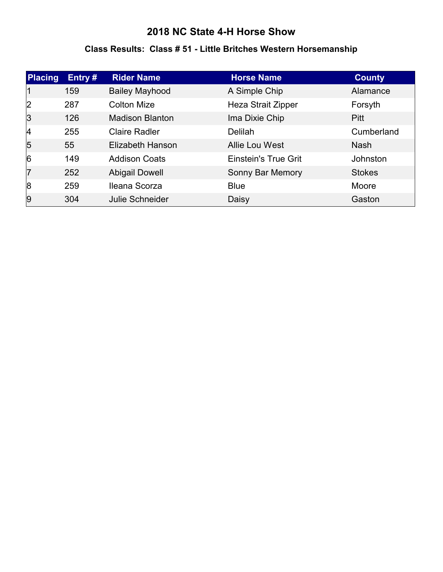#### **Class Results: Class # 51 - Little Britches Western Horsemanship**

| Placing        | Entry# | <b>Rider Name</b>      | <b>Horse Name</b>           | <b>County</b> |
|----------------|--------|------------------------|-----------------------------|---------------|
|                | 159    | <b>Bailey Mayhood</b>  | A Simple Chip               | Alamance      |
| 2              | 287    | <b>Colton Mize</b>     | Heza Strait Zipper          | Forsyth       |
| $\vert$ 3      | 126    | <b>Madison Blanton</b> | Ima Dixie Chip              | Pitt          |
| 4              | 255    | <b>Claire Radler</b>   | <b>Delilah</b>              | Cumberland    |
| $\overline{5}$ | 55     | Elizabeth Hanson       | Allie Lou West              | <b>Nash</b>   |
| 6              | 149    | <b>Addison Coats</b>   | <b>Einstein's True Grit</b> | Johnston      |
| 17             | 252    | <b>Abigail Dowell</b>  | Sonny Bar Memory            | <b>Stokes</b> |
| 8              | 259    | Ileana Scorza          | <b>Blue</b>                 | Moore         |
| 9              | 304    | Julie Schneider        | Daisy                       | Gaston        |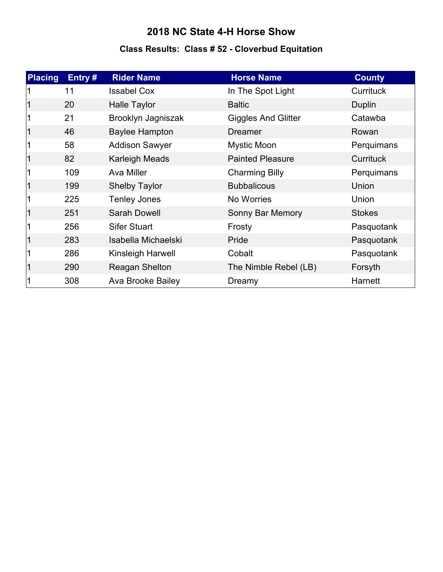# **Class Results: Class # 52 - Cloverbud Equitation**

| <b>Placing</b> | Entry# | <b>Rider Name</b>     | <b>Horse Name</b>          | <b>County</b>    |
|----------------|--------|-----------------------|----------------------------|------------------|
|                | 11     | <b>Issabel Cox</b>    | In The Spot Light          | <b>Currituck</b> |
|                | 20     | <b>Halle Taylor</b>   | <b>Baltic</b>              | Duplin           |
|                | 21     | Brooklyn Jagniszak    | <b>Giggles And Glitter</b> | Catawba          |
|                | 46     | <b>Baylee Hampton</b> | <b>Dreamer</b>             | Rowan            |
|                | 58     | <b>Addison Sawyer</b> | <b>Mystic Moon</b>         | Perquimans       |
|                | 82     | Karleigh Meads        | <b>Painted Pleasure</b>    | <b>Currituck</b> |
|                | 109    | Ava Miller            | <b>Charming Billy</b>      | Perquimans       |
|                | 199    | <b>Shelby Taylor</b>  | <b>Bubbalicous</b>         | Union            |
|                | 225    | <b>Tenley Jones</b>   | No Worries                 | Union            |
|                | 251    | <b>Sarah Dowell</b>   | Sonny Bar Memory           | <b>Stokes</b>    |
|                | 256    | <b>Sifer Stuart</b>   | Frosty                     | Pasquotank       |
|                | 283    | Isabella Michaelski   | Pride                      | Pasquotank       |
|                | 286    | Kinsleigh Harwell     | Cobalt                     | Pasquotank       |
|                | 290    | Reagan Shelton        | The Nimble Rebel (LB)      | Forsyth          |
|                | 308    | Ava Brooke Bailey     | Dreamy                     | <b>Harnett</b>   |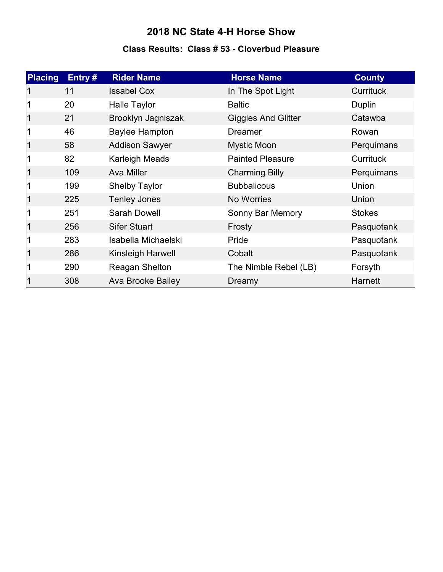#### **Class Results: Class # 53 - Cloverbud Pleasure**

| <b>Placing</b> | Entry# | <b>Rider Name</b>     | <b>Horse Name</b>          | <b>County</b>    |
|----------------|--------|-----------------------|----------------------------|------------------|
|                | 11     | <b>Issabel Cox</b>    | In The Spot Light          | <b>Currituck</b> |
|                | 20     | <b>Halle Taylor</b>   | <b>Baltic</b>              | Duplin           |
|                | 21     | Brooklyn Jagniszak    | <b>Giggles And Glitter</b> | Catawba          |
|                | 46     | <b>Baylee Hampton</b> | <b>Dreamer</b>             | Rowan            |
|                | 58     | <b>Addison Sawyer</b> | <b>Mystic Moon</b>         | Perquimans       |
|                | 82     | <b>Karleigh Meads</b> | <b>Painted Pleasure</b>    | <b>Currituck</b> |
|                | 109    | <b>Ava Miller</b>     | <b>Charming Billy</b>      | Perquimans       |
|                | 199    | <b>Shelby Taylor</b>  | <b>Bubbalicous</b>         | Union            |
|                | 225    | <b>Tenley Jones</b>   | No Worries                 | Union            |
|                | 251    | <b>Sarah Dowell</b>   | Sonny Bar Memory           | <b>Stokes</b>    |
|                | 256    | <b>Sifer Stuart</b>   | Frosty                     | Pasquotank       |
|                | 283    | Isabella Michaelski   | Pride                      | Pasquotank       |
|                | 286    | Kinsleigh Harwell     | Cobalt                     | Pasquotank       |
|                | 290    | Reagan Shelton        | The Nimble Rebel (LB)      | Forsyth          |
|                | 308    | Ava Brooke Bailey     | Dreamy                     | Harnett          |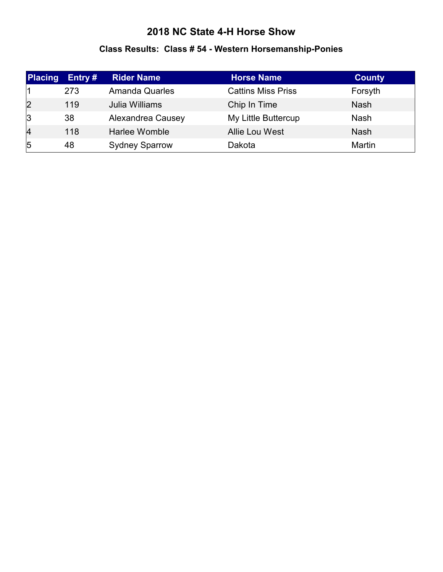#### **Class Results: Class # 54 - Western Horsemanship-Ponies**

| <b>Placing</b> | Entry $#$ | <b>Rider Name</b>     | <b>Horse Name</b>         | <b>County</b> |
|----------------|-----------|-----------------------|---------------------------|---------------|
|                | 273       | <b>Amanda Quarles</b> | <b>Cattins Miss Priss</b> | Forsyth       |
| 2              | 119       | Julia Williams        | Chip In Time              | <b>Nash</b>   |
| 3              | 38        | Alexandrea Causey     | My Little Buttercup       | <b>Nash</b>   |
| $\overline{4}$ | 118       | Harlee Womble         | Allie Lou West            | <b>Nash</b>   |
| $\overline{5}$ | 48        | <b>Sydney Sparrow</b> | Dakota                    | Martin        |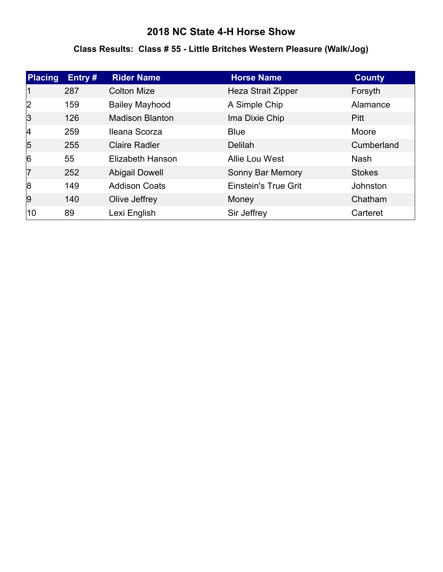#### **Class Results: Class # 55 - Little Britches Western Pleasure (Walk/Jog)**

| Placing        | Entry# | <b>Rider Name</b>      | <b>Horse Name</b>           | <b>County</b> |
|----------------|--------|------------------------|-----------------------------|---------------|
| 11             | 287    | <b>Colton Mize</b>     | Heza Strait Zipper          | Forsyth       |
| 2              | 159    | <b>Bailey Mayhood</b>  | A Simple Chip               | Alamance      |
| 3              | 126    | <b>Madison Blanton</b> | Ima Dixie Chip              | <b>Pitt</b>   |
| 4              | 259    | Ileana Scorza          | <b>Blue</b>                 | Moore         |
| $\overline{5}$ | 255    | <b>Claire Radler</b>   | <b>Delilah</b>              | Cumberland    |
| 6              | 55     | Elizabeth Hanson       | Allie Lou West              | <b>Nash</b>   |
| 7              | 252    | <b>Abigail Dowell</b>  | Sonny Bar Memory            | <b>Stokes</b> |
| 8              | 149    | <b>Addison Coats</b>   | <b>Einstein's True Grit</b> | Johnston      |
| 9              | 140    | Olive Jeffrey          | Money                       | Chatham       |
| 10             | 89     | Lexi English           | Sir Jeffrey                 | Carteret      |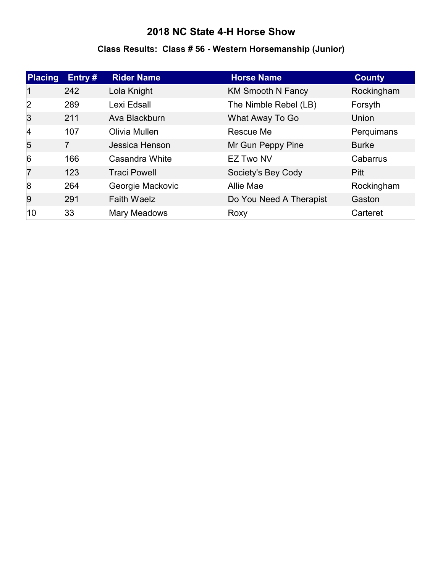#### **Class Results: Class # 56 - Western Horsemanship (Junior)**

| Placing   | Entry#         | <b>Rider Name</b>   | <b>Horse Name</b>        | <b>County</b> |
|-----------|----------------|---------------------|--------------------------|---------------|
| 11        | 242            | Lola Knight         | <b>KM Smooth N Fancy</b> | Rockingham    |
| 2         | 289            | Lexi Edsall         | The Nimble Rebel (LB)    | Forsyth       |
| 3         | 211            | Ava Blackburn       | What Away To Go          | Union         |
| $\vert$ 4 | 107            | Olivia Mullen       | Rescue Me                | Perquimans    |
| 5         | $\overline{7}$ | Jessica Henson      | Mr Gun Peppy Pine        | <b>Burke</b>  |
| 6         | 166            | Casandra White      | <b>EZ Two NV</b>         | Cabarrus      |
| 17        | 123            | <b>Traci Powell</b> | Society's Bey Cody       | <b>Pitt</b>   |
| 8         | 264            | Georgie Mackovic    | Allie Mae                | Rockingham    |
| 9         | 291            | <b>Faith Waelz</b>  | Do You Need A Therapist  | Gaston        |
| 10        | 33             | Mary Meadows        | Roxy                     | Carteret      |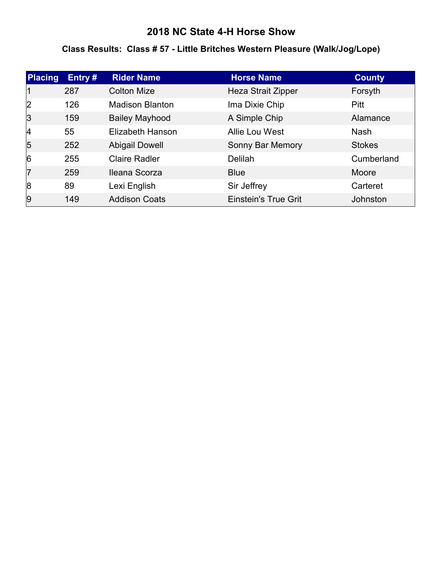#### **Class Results: Class # 57 - Little Britches Western Pleasure (Walk/Jog/Lope)**

| Placing        | Entry# | <b>Rider Name</b>      | <b>Horse Name</b>           | <b>County</b> |
|----------------|--------|------------------------|-----------------------------|---------------|
|                | 287    | <b>Colton Mize</b>     | <b>Heza Strait Zipper</b>   | Forsyth       |
| 2              | 126    | <b>Madison Blanton</b> | Ima Dixie Chip              | <b>Pitt</b>   |
| 3              | 159    | <b>Bailey Mayhood</b>  | A Simple Chip               | Alamance      |
| 4              | 55     | Elizabeth Hanson       | Allie Lou West              | <b>Nash</b>   |
| $\overline{5}$ | 252    | <b>Abigail Dowell</b>  | Sonny Bar Memory            | <b>Stokes</b> |
| 6              | 255    | <b>Claire Radler</b>   | Delilah                     | Cumberland    |
| 17             | 259    | Ileana Scorza          | <b>Blue</b>                 | Moore         |
| 8              | 89     | Lexi English           | Sir Jeffrey                 | Carteret      |
| 9              | 149    | <b>Addison Coats</b>   | <b>Einstein's True Grit</b> | Johnston      |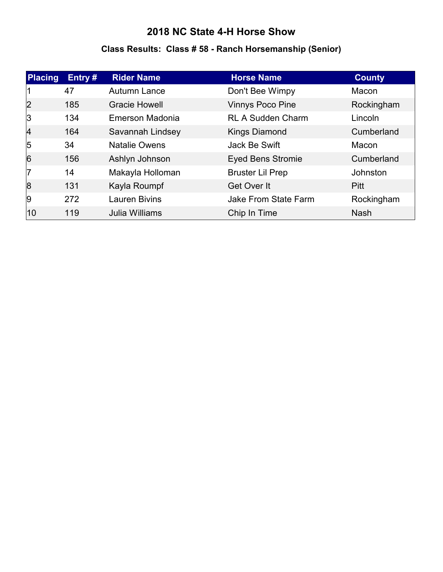#### **Class Results: Class # 58 - Ranch Horsemanship (Senior)**

| <b>Placing</b> | Entry# | <b>Rider Name</b>    | <b>Horse Name</b>        | <b>County</b> |
|----------------|--------|----------------------|--------------------------|---------------|
|                | 47     | Autumn Lance         | Don't Bee Wimpy          | Macon         |
| 2              | 185    | <b>Gracie Howell</b> | <b>Vinnys Poco Pine</b>  | Rockingham    |
| 3              | 134    | Emerson Madonia      | <b>RL A Sudden Charm</b> | Lincoln       |
| $\vert$ 4      | 164    | Savannah Lindsey     | <b>Kings Diamond</b>     | Cumberland    |
| $\overline{5}$ | 34     | <b>Natalie Owens</b> | Jack Be Swift            | Macon         |
| $\overline{6}$ | 156    | Ashlyn Johnson       | <b>Eyed Bens Stromie</b> | Cumberland    |
| 17             | 14     | Makayla Holloman     | <b>Bruster Lil Prep</b>  | Johnston      |
| 8              | 131    | Kayla Roumpf         | Get Over It              | Pitt          |
| 9              | 272    | <b>Lauren Bivins</b> | Jake From State Farm     | Rockingham    |
| 10             | 119    | Julia Williams       | Chip In Time             | <b>Nash</b>   |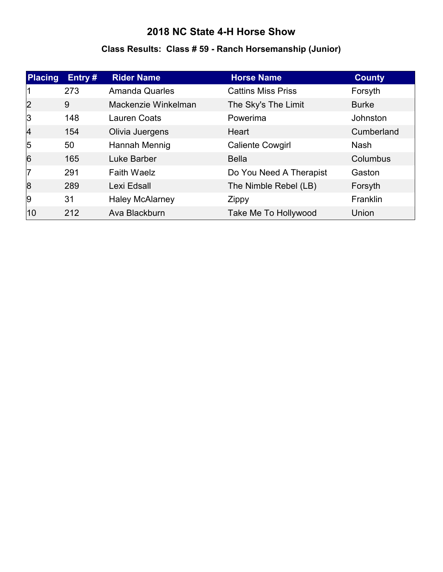#### **Class Results: Class # 59 - Ranch Horsemanship (Junior)**

| Placing   | Entry# | <b>Rider Name</b>      | <b>Horse Name</b>         | <b>County</b> |
|-----------|--------|------------------------|---------------------------|---------------|
|           | 273    | <b>Amanda Quarles</b>  | <b>Cattins Miss Priss</b> | Forsyth       |
| 2         | 9      | Mackenzie Winkelman    | The Sky's The Limit       | <b>Burke</b>  |
| 3         | 148    | <b>Lauren Coats</b>    | Powerima                  | Johnston      |
| $\vert$ 4 | 154    | Olivia Juergens        | Heart                     | Cumberland    |
| 5         | 50     | Hannah Mennig          | <b>Caliente Cowgirl</b>   | <b>Nash</b>   |
| 6         | 165    | Luke Barber            | <b>Bella</b>              | Columbus      |
| 17        | 291    | <b>Faith Waelz</b>     | Do You Need A Therapist   | Gaston        |
| 8         | 289    | Lexi Edsall            | The Nimble Rebel (LB)     | Forsyth       |
| 9         | 31     | <b>Haley McAlarney</b> | Zippy                     | Franklin      |
| 10        | 212    | Ava Blackburn          | Take Me To Hollywood      | Union         |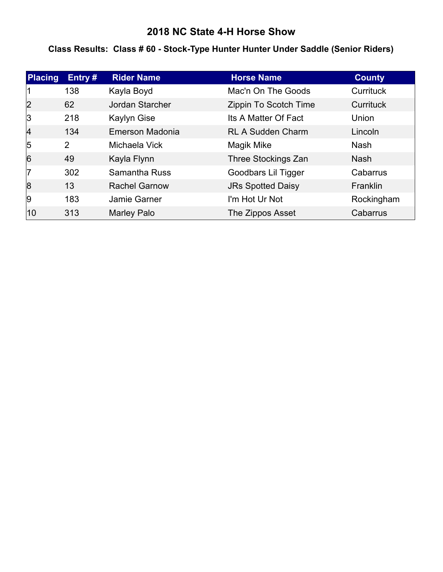#### **Class Results: Class # 60 - Stock-Type Hunter Hunter Under Saddle (Senior Riders)**

| <b>Placing</b> | Entry # | <b>Rider Name</b>    | <b>Horse Name</b>        | <b>County</b>    |
|----------------|---------|----------------------|--------------------------|------------------|
|                | 138     | Kayla Boyd           | Mac'n On The Goods       | Currituck        |
| 2              | 62      | Jordan Starcher      | Zippin To Scotch Time    | <b>Currituck</b> |
| 3              | 218     | <b>Kaylyn Gise</b>   | Its A Matter Of Fact     | Union            |
| 4              | 134     | Emerson Madonia      | <b>RL A Sudden Charm</b> | Lincoln          |
| 5              | 2       | Michaela Vick        | Magik Mike               | <b>Nash</b>      |
| $\overline{6}$ | 49      | Kayla Flynn          | Three Stockings Zan      | <b>Nash</b>      |
| 17             | 302     | <b>Samantha Russ</b> | Goodbars Lil Tigger      | Cabarrus         |
| 8              | 13      | <b>Rachel Garnow</b> | <b>JRs Spotted Daisy</b> | Franklin         |
| 9              | 183     | Jamie Garner         | I'm Hot Ur Not           | Rockingham       |
| 10             | 313     | Marley Palo          | The Zippos Asset         | Cabarrus         |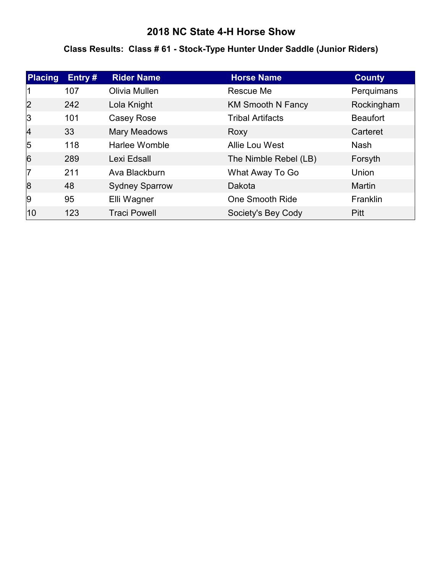#### **Class Results: Class # 61 - Stock-Type Hunter Under Saddle (Junior Riders)**

| <b>Placing</b> | Entry # | <b>Rider Name</b>     | <b>Horse Name</b>        | <b>County</b>   |
|----------------|---------|-----------------------|--------------------------|-----------------|
|                | 107     | Olivia Mullen         | Rescue Me                | Perquimans      |
| 2              | 242     | Lola Knight           | <b>KM Smooth N Fancy</b> | Rockingham      |
| 3              | 101     | Casey Rose            | <b>Tribal Artifacts</b>  | <b>Beaufort</b> |
| 4              | 33      | Mary Meadows          | Roxy                     | Carteret        |
| $\overline{5}$ | 118     | Harlee Womble         | Allie Lou West           | <b>Nash</b>     |
| 6              | 289     | Lexi Edsall           | The Nimble Rebel (LB)    | Forsyth         |
| 17             | 211     | Ava Blackburn         | What Away To Go          | Union           |
| 8              | 48      | <b>Sydney Sparrow</b> | Dakota                   | <b>Martin</b>   |
| 9              | 95      | Elli Wagner           | One Smooth Ride          | Franklin        |
| 10             | 123     | <b>Traci Powell</b>   | Society's Bey Cody       | <b>Pitt</b>     |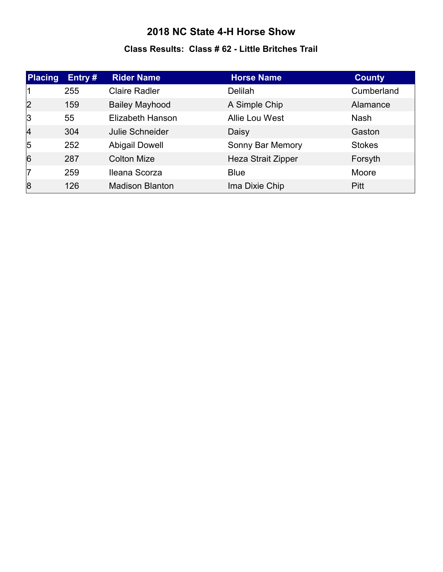#### **Class Results: Class # 62 - Little Britches Trail**

| Placing        | Entry# | <b>Rider Name</b>      | <b>Horse Name</b>         | <b>County</b> |
|----------------|--------|------------------------|---------------------------|---------------|
|                | 255    | <b>Claire Radler</b>   | Delilah                   | Cumberland    |
| 2              | 159    | <b>Bailey Mayhood</b>  | A Simple Chip             | Alamance      |
| 3              | 55     | Elizabeth Hanson       | Allie Lou West            | <b>Nash</b>   |
| $\overline{4}$ | 304    | Julie Schneider        | Daisy                     | Gaston        |
| $\overline{5}$ | 252    | <b>Abigail Dowell</b>  | Sonny Bar Memory          | <b>Stokes</b> |
| $\overline{6}$ | 287    | <b>Colton Mize</b>     | <b>Heza Strait Zipper</b> | Forsyth       |
| 17             | 259    | Ileana Scorza          | <b>Blue</b>               | Moore         |
| 8              | 126    | <b>Madison Blanton</b> | Ima Dixie Chip            | Pitt          |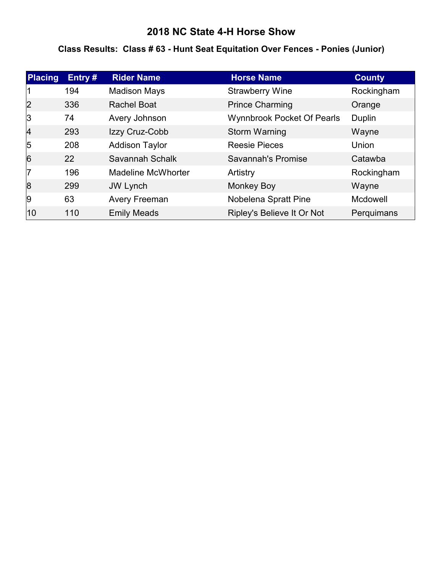#### **Class Results: Class # 63 - Hunt Seat Equitation Over Fences - Ponies (Junior)**

| <b>Placing</b> | Entry # | <b>Rider Name</b>         | <b>Horse Name</b>                 | <b>County</b> |
|----------------|---------|---------------------------|-----------------------------------|---------------|
|                | 194     | <b>Madison Mays</b>       | <b>Strawberry Wine</b>            | Rockingham    |
| 2              | 336     | <b>Rachel Boat</b>        | <b>Prince Charming</b>            | Orange        |
| 3              | 74      | Avery Johnson             | <b>Wynnbrook Pocket Of Pearls</b> | Duplin        |
| 4              | 293     | Izzy Cruz-Cobb            | <b>Storm Warning</b>              | Wayne         |
| 5              | 208     | <b>Addison Taylor</b>     | <b>Reesie Pieces</b>              | Union         |
| 6              | 22      | Savannah Schalk           | Savannah's Promise                | Catawba       |
| 17             | 196     | <b>Madeline McWhorter</b> | Artistry                          | Rockingham    |
| 8              | 299     | <b>JW Lynch</b>           | <b>Monkey Boy</b>                 | Wayne         |
| 9              | 63      | <b>Avery Freeman</b>      | Nobelena Spratt Pine              | Mcdowell      |
| 10             | 110     | <b>Emily Meads</b>        | Ripley's Believe It Or Not        | Perquimans    |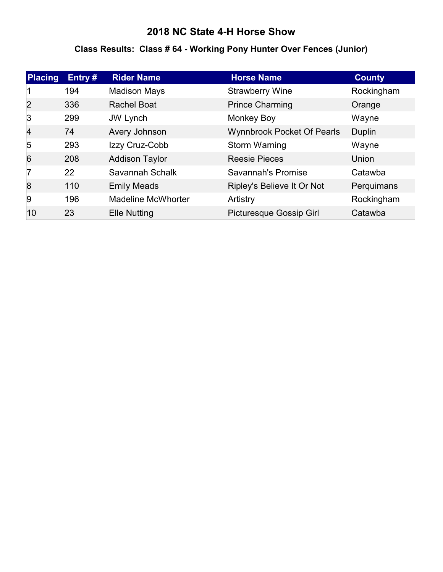#### **Class Results: Class # 64 - Working Pony Hunter Over Fences (Junior)**

| <b>Placing</b> | Entry # | <b>Rider Name</b>         | <b>Horse Name</b>                 | <b>County</b> |
|----------------|---------|---------------------------|-----------------------------------|---------------|
|                | 194     | <b>Madison Mays</b>       | <b>Strawberry Wine</b>            | Rockingham    |
| 2              | 336     | <b>Rachel Boat</b>        | <b>Prince Charming</b>            | Orange        |
| 3              | 299     | <b>JW Lynch</b>           | <b>Monkey Boy</b>                 | Wayne         |
| 4              | 74      | Avery Johnson             | <b>Wynnbrook Pocket Of Pearls</b> | Duplin        |
| 5              | 293     | Izzy Cruz-Cobb            | Storm Warning                     | Wayne         |
| 6              | 208     | <b>Addison Taylor</b>     | <b>Reesie Pieces</b>              | Union         |
| 17             | 22      | Savannah Schalk           | Savannah's Promise                | Catawba       |
| 8              | 110     | <b>Emily Meads</b>        | Ripley's Believe It Or Not        | Perquimans    |
| 9              | 196     | <b>Madeline McWhorter</b> | Artistry                          | Rockingham    |
| 10             | 23      | <b>Elle Nutting</b>       | <b>Picturesque Gossip Girl</b>    | Catawba       |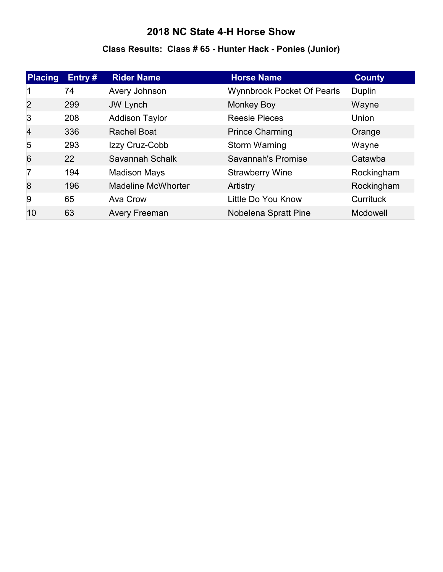# **Class Results: Class # 65 - Hunter Hack - Ponies (Junior)**

| <b>Placing</b> | Entry # | <b>Rider Name</b>         | <b>Horse Name</b>                 | <b>County</b>   |
|----------------|---------|---------------------------|-----------------------------------|-----------------|
|                | 74      | Avery Johnson             | <b>Wynnbrook Pocket Of Pearls</b> | Duplin          |
| 2              | 299     | <b>JW Lynch</b>           | <b>Monkey Boy</b>                 | Wayne           |
| 3              | 208     | <b>Addison Taylor</b>     | <b>Reesie Pieces</b>              | Union           |
| 4              | 336     | <b>Rachel Boat</b>        | <b>Prince Charming</b>            | Orange          |
| 5              | 293     | Izzy Cruz-Cobb            | Storm Warning                     | Wayne           |
| 6              | 22      | Savannah Schalk           | <b>Savannah's Promise</b>         | Catawba         |
| 17             | 194     | <b>Madison Mays</b>       | <b>Strawberry Wine</b>            | Rockingham      |
| 8              | 196     | <b>Madeline McWhorter</b> | Artistry                          | Rockingham      |
| 9              | 65      | Ava Crow                  | Little Do You Know                | Currituck       |
| 10             | 63      | <b>Avery Freeman</b>      | Nobelena Spratt Pine              | <b>Mcdowell</b> |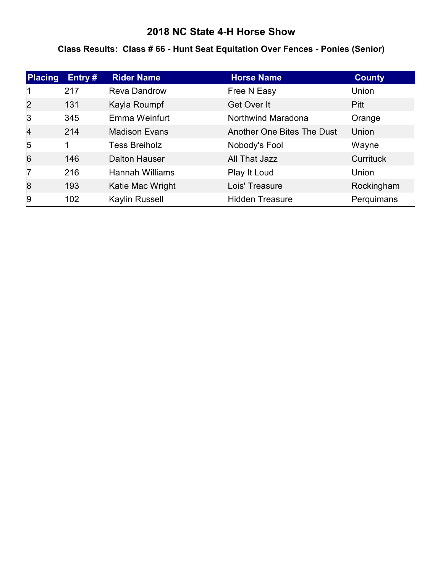#### **Class Results: Class # 66 - Hunt Seat Equitation Over Fences - Ponies (Senior)**

| Placing        | Entry# | <b>Rider Name</b>      | <b>Horse Name</b>          | <b>County</b>    |
|----------------|--------|------------------------|----------------------------|------------------|
|                | 217    | <b>Reva Dandrow</b>    | Free N Easy                | Union            |
| 2              | 131    | Kayla Roumpf           | Get Over It                | <b>Pitt</b>      |
| 3              | 345    | Emma Weinfurt          | Northwind Maradona         | Orange           |
| $\overline{4}$ | 214    | <b>Madison Evans</b>   | Another One Bites The Dust | Union            |
| $\overline{5}$ | 1      | <b>Tess Breiholz</b>   | Nobody's Fool              | Wayne            |
| $\overline{6}$ | 146    | <b>Dalton Hauser</b>   | All That Jazz              | <b>Currituck</b> |
| 17             | 216    | <b>Hannah Williams</b> | Play It Loud               | Union            |
| 8              | 193    | Katie Mac Wright       | Lois' Treasure             | Rockingham       |
| 9              | 102    | Kaylin Russell         | <b>Hidden Treasure</b>     | Perquimans       |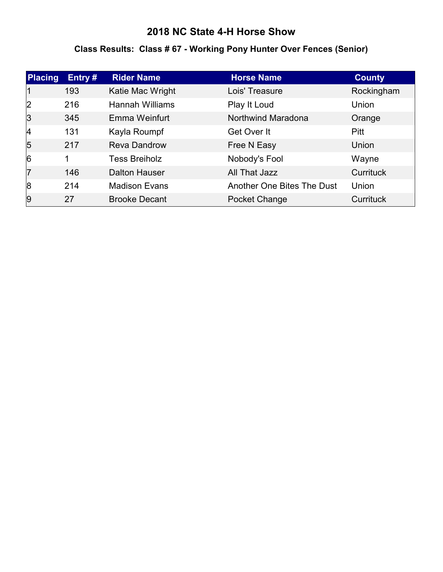# **Class Results: Class # 67 - Working Pony Hunter Over Fences (Senior)**

| Placing        | Entry $#$ | <b>Rider Name</b>      | <b>Horse Name</b>          | <b>County</b>    |
|----------------|-----------|------------------------|----------------------------|------------------|
|                | 193       | Katie Mac Wright       | Lois' Treasure             | Rockingham       |
| 2              | 216       | <b>Hannah Williams</b> | Play It Loud               | Union            |
| $\vert$ 3      | 345       | Emma Weinfurt          | Northwind Maradona         | Orange           |
| 4              | 131       | Kayla Roumpf           | Get Over It                | <b>Pitt</b>      |
| $\overline{5}$ | 217       | <b>Reva Dandrow</b>    | Free N Easy                | Union            |
| 6              | 1         | <b>Tess Breiholz</b>   | Nobody's Fool              | Wayne            |
| 17             | 146       | <b>Dalton Hauser</b>   | All That Jazz              | <b>Currituck</b> |
| 8              | 214       | <b>Madison Evans</b>   | Another One Bites The Dust | Union            |
| 9              | 27        | <b>Brooke Decant</b>   | Pocket Change              | <b>Currituck</b> |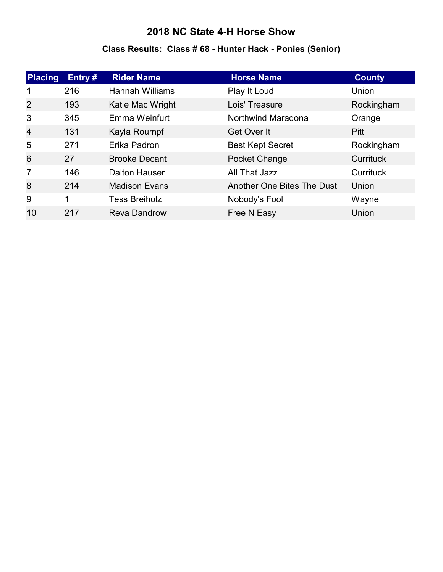# **Class Results: Class # 68 - Hunter Hack - Ponies (Senior)**

| Placing        | Entry# | <b>Rider Name</b>      | <b>Horse Name</b>          | <b>County</b> |
|----------------|--------|------------------------|----------------------------|---------------|
|                | 216    | <b>Hannah Williams</b> | Play It Loud               | Union         |
| 2              | 193    | Katie Mac Wright       | Lois' Treasure             | Rockingham    |
| 3              | 345    | Emma Weinfurt          | Northwind Maradona         | Orange        |
| $\vert$ 4      | 131    | Kayla Roumpf           | Get Over It                | <b>Pitt</b>   |
| $\overline{5}$ | 271    | Erika Padron           | <b>Best Kept Secret</b>    | Rockingham    |
| $\overline{6}$ | 27     | <b>Brooke Decant</b>   | Pocket Change              | Currituck     |
| 17             | 146    | <b>Dalton Hauser</b>   | All That Jazz              | Currituck     |
| 8              | 214    | <b>Madison Evans</b>   | Another One Bites The Dust | Union         |
| 9              | 1      | <b>Tess Breiholz</b>   | Nobody's Fool              | Wayne         |
| 10             | 217    | <b>Reva Dandrow</b>    | Free N Easy                | Union         |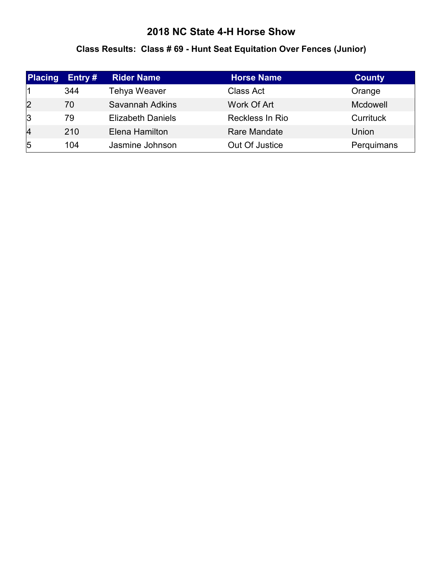#### **Class Results: Class # 69 - Hunt Seat Equitation Over Fences (Junior)**

| <b>Placing</b> | Entry $#$ | <b>Rider Name</b>        | <b>Horse Name</b> | <b>County</b> |
|----------------|-----------|--------------------------|-------------------|---------------|
|                | 344       | <b>Tehya Weaver</b>      | <b>Class Act</b>  | Orange        |
| 2              | 70        | Savannah Adkins          | Work Of Art       | Mcdowell      |
| 3              | 79        | <b>Elizabeth Daniels</b> | Reckless In Rio   | Currituck     |
| 4              | 210       | Elena Hamilton           | Rare Mandate      | Union         |
| 5              | 104       | Jasmine Johnson          | Out Of Justice    | Perquimans    |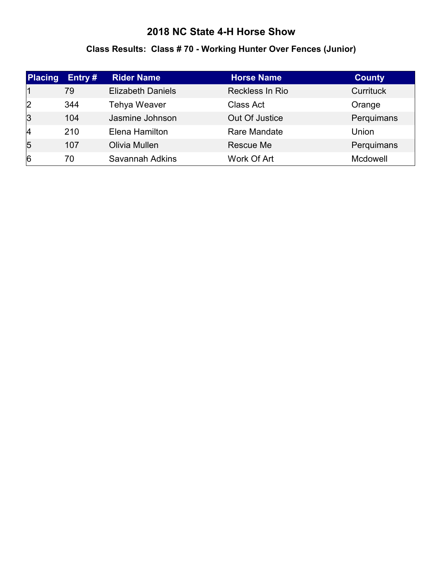# **Class Results: Class # 70 - Working Hunter Over Fences (Junior)**

| <b>Placing</b> | Entry # | <b>Rider Name</b>        | <b>Horse Name</b> | <b>County</b> |
|----------------|---------|--------------------------|-------------------|---------------|
|                | 79      | <b>Elizabeth Daniels</b> | Reckless In Rio   | Currituck     |
| 2              | 344     | <b>Tehya Weaver</b>      | Class Act         | Orange        |
| $\overline{3}$ | 104     | Jasmine Johnson          | Out Of Justice    | Perquimans    |
| 4              | 210     | Elena Hamilton           | Rare Mandate      | Union         |
| $\overline{5}$ | 107     | Olivia Mullen            | Rescue Me         | Perquimans    |
| $\overline{6}$ | 70      | Savannah Adkins          | Work Of Art       | Mcdowell      |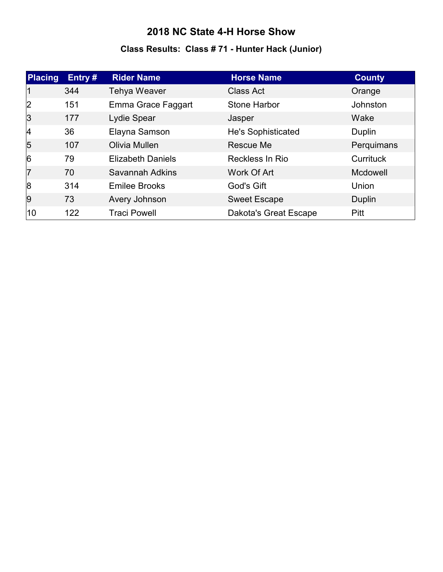# **Class Results: Class # 71 - Hunter Hack (Junior)**

| <b>Placing</b> | Entry# | <b>Rider Name</b>        | <b>Horse Name</b>     | <b>County</b> |
|----------------|--------|--------------------------|-----------------------|---------------|
| 11             | 344    | <b>Tehya Weaver</b>      | <b>Class Act</b>      | Orange        |
| 2              | 151    | Emma Grace Faggart       | <b>Stone Harbor</b>   | Johnston      |
| 3              | 177    | Lydie Spear              | Jasper                | Wake          |
| 4              | 36     | Elayna Samson            | He's Sophisticated    | Duplin        |
| 5              | 107    | Olivia Mullen            | Rescue Me             | Perquimans    |
| $\overline{6}$ | 79     | <b>Elizabeth Daniels</b> | Reckless In Rio       | Currituck     |
| 17             | 70     | Savannah Adkins          | Work Of Art           | Mcdowell      |
| 8              | 314    | <b>Emilee Brooks</b>     | God's Gift            | Union         |
| 9              | 73     | Avery Johnson            | <b>Sweet Escape</b>   | Duplin        |
| 10             | 122    | <b>Traci Powell</b>      | Dakota's Great Escape | Pitt          |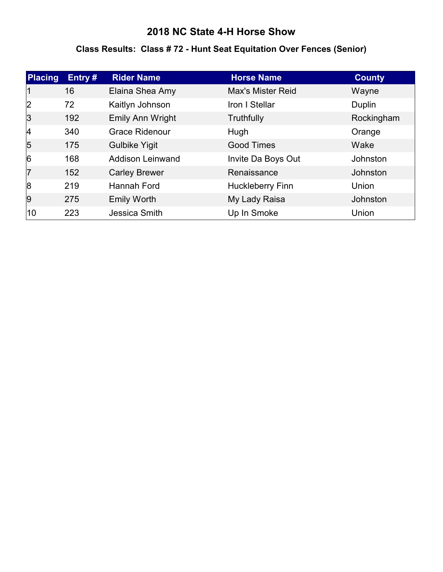#### **Class Results: Class # 72 - Hunt Seat Equitation Over Fences (Senior)**

| Placing        | Entry# | <b>Rider Name</b>       | <b>Horse Name</b>       | <b>County</b> |
|----------------|--------|-------------------------|-------------------------|---------------|
|                | 16     | Elaina Shea Amy         | Max's Mister Reid       | Wayne         |
| 2              | 72     | Kaitlyn Johnson         | Iron I Stellar          | Duplin        |
| 3              | 192    | Emily Ann Wright        | Truthfully              | Rockingham    |
| $\vert$ 4      | 340    | <b>Grace Ridenour</b>   | Hugh                    | Orange        |
| 5              | 175    | <b>Gulbike Yigit</b>    | <b>Good Times</b>       | Wake          |
| $\overline{6}$ | 168    | <b>Addison Leinwand</b> | Invite Da Boys Out      | Johnston      |
| 17             | 152    | <b>Carley Brewer</b>    | Renaissance             | Johnston      |
| 8              | 219    | Hannah Ford             | <b>Huckleberry Finn</b> | Union         |
| 9              | 275    | <b>Emily Worth</b>      | My Lady Raisa           | Johnston      |
| 10             | 223    | Jessica Smith           | Up In Smoke             | Union         |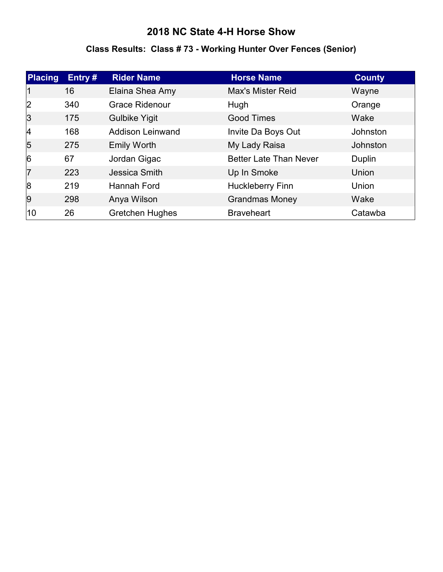# **Class Results: Class # 73 - Working Hunter Over Fences (Senior)**

| <b>Placing</b> | Entry # | <b>Rider Name</b>       | <b>Horse Name</b>             | <b>County</b> |
|----------------|---------|-------------------------|-------------------------------|---------------|
|                | 16      | Elaina Shea Amy         | <b>Max's Mister Reid</b>      | Wayne         |
| 2              | 340     | <b>Grace Ridenour</b>   | Hugh                          | Orange        |
| 3              | 175     | <b>Gulbike Yigit</b>    | <b>Good Times</b>             | Wake          |
| 4              | 168     | <b>Addison Leinwand</b> | Invite Da Boys Out            | Johnston      |
| 5              | 275     | <b>Emily Worth</b>      | My Lady Raisa                 | Johnston      |
| $\overline{6}$ | 67      | Jordan Gigac            | <b>Better Late Than Never</b> | Duplin        |
| 7              | 223     | Jessica Smith           | Up In Smoke                   | Union         |
| 8              | 219     | Hannah Ford             | <b>Huckleberry Finn</b>       | Union         |
| 9              | 298     | Anya Wilson             | <b>Grandmas Money</b>         | Wake          |
| 10             | 26      | <b>Gretchen Hughes</b>  | <b>Braveheart</b>             | Catawba       |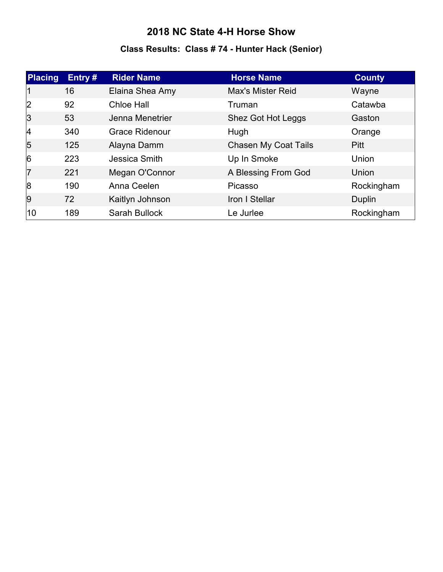# **Class Results: Class # 74 - Hunter Hack (Senior)**

| <b>Placing</b> | Entry # | <b>Rider Name</b>     | <b>Horse Name</b>        | <b>County</b> |
|----------------|---------|-----------------------|--------------------------|---------------|
|                | 16      | Elaina Shea Amy       | <b>Max's Mister Reid</b> | Wayne         |
| 2              | 92      | Chloe Hall            | Truman                   | Catawba       |
| 3              | 53      | Jenna Menetrier       | Shez Got Hot Leggs       | Gaston        |
| 14             | 340     | <b>Grace Ridenour</b> | Hugh                     | Orange        |
| 5              | 125     | Alayna Damm           | Chasen My Coat Tails     | <b>Pitt</b>   |
| $\overline{6}$ | 223     | Jessica Smith         | Up In Smoke              | Union         |
| 7              | 221     | Megan O'Connor        | A Blessing From God      | <b>Union</b>  |
| 8              | 190     | Anna Ceelen           | Picasso                  | Rockingham    |
| 9              | 72      | Kaitlyn Johnson       | Iron I Stellar           | Duplin        |
| 10             | 189     | <b>Sarah Bullock</b>  | Le Jurlee                | Rockingham    |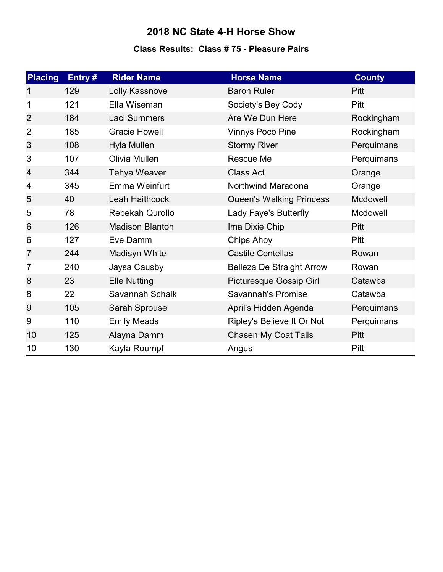#### **Class Results: Class # 75 - Pleasure Pairs**

| <b>Placing</b> | Entry# | <b>Rider Name</b>      | <b>Horse Name</b>                | <b>County</b> |
|----------------|--------|------------------------|----------------------------------|---------------|
|                | 129    | Lolly Kassnove         | <b>Baron Ruler</b>               | Pitt          |
|                | 121    | Ella Wiseman           | Society's Bey Cody               | Pitt          |
| 2              | 184    | Laci Summers           | Are We Dun Here                  | Rockingham    |
| 2              | 185    | <b>Gracie Howell</b>   | Vinnys Poco Pine                 | Rockingham    |
| 3              | 108    | Hyla Mullen            | <b>Stormy River</b>              | Perquimans    |
| 3              | 107    | Olivia Mullen          | Rescue Me                        | Perquimans    |
| 4              | 344    | <b>Tehya Weaver</b>    | <b>Class Act</b>                 | Orange        |
| 4              | 345    | Emma Weinfurt          | Northwind Maradona               | Orange        |
| $\overline{5}$ | 40     | Leah Haithcock         | <b>Queen's Walking Princess</b>  | Mcdowell      |
| 5              | 78     | <b>Rebekah Qurollo</b> | Lady Faye's Butterfly            | Mcdowell      |
| 6              | 126    | <b>Madison Blanton</b> | Ima Dixie Chip                   | <b>Pitt</b>   |
| 6              | 127    | Eve Damm               | Chips Ahoy                       | Pitt          |
| 17             | 244    | Madisyn White          | <b>Castile Centellas</b>         | Rowan         |
| 17             | 240    | Jaysa Causby           | <b>Belleza De Straight Arrow</b> | Rowan         |
| 8              | 23     | <b>Elle Nutting</b>    | <b>Picturesque Gossip Girl</b>   | Catawba       |
| 8              | 22     | Savannah Schalk        | Savannah's Promise               | Catawba       |
| 9              | 105    | Sarah Sprouse          | April's Hidden Agenda            | Perquimans    |
| 9              | 110    | <b>Emily Meads</b>     | Ripley's Believe It Or Not       | Perquimans    |
| $ 10\rangle$   | 125    | Alayna Damm            | Chasen My Coat Tails             | Pitt          |
| 10             | 130    | Kayla Roumpf           | Angus                            | Pitt          |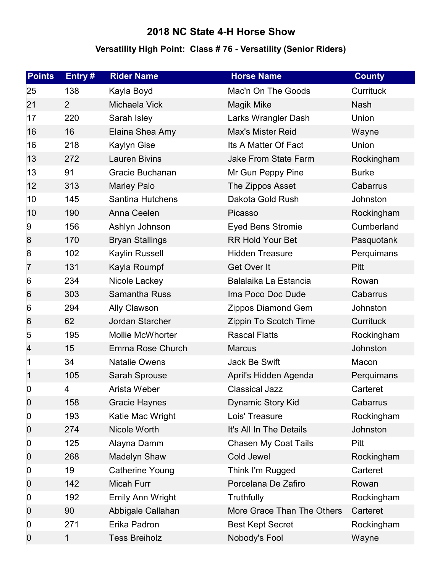### **Versatility High Point: Class # 76 - Versatility (Senior Riders)**

| <b>Points</b> | Entry#         | <b>Rider Name</b>       | <b>Horse Name</b>           | <b>County</b> |
|---------------|----------------|-------------------------|-----------------------------|---------------|
| 25            | 138            | Kayla Boyd              | Mac'n On The Goods          | Currituck     |
| 21            | $\overline{2}$ | Michaela Vick           | <b>Magik Mike</b>           | <b>Nash</b>   |
| 17            | 220            | Sarah Isley             | Larks Wrangler Dash         | Union         |
| 16            | 16             | Elaina Shea Amy         | <b>Max's Mister Reid</b>    | Wayne         |
| 16            | 218            | <b>Kaylyn Gise</b>      | Its A Matter Of Fact        | Union         |
| 13            | 272            | <b>Lauren Bivins</b>    | Jake From State Farm        | Rockingham    |
| 13            | 91             | Gracie Buchanan         | Mr Gun Peppy Pine           | <b>Burke</b>  |
| 12            | 313            | <b>Marley Palo</b>      | The Zippos Asset            | Cabarrus      |
| 10            | 145            | <b>Santina Hutchens</b> | Dakota Gold Rush            | Johnston      |
| 10            | 190            | Anna Ceelen             | Picasso                     | Rockingham    |
| 9             | 156            | Ashlyn Johnson          | <b>Eyed Bens Stromie</b>    | Cumberland    |
| 8             | 170            | <b>Bryan Stallings</b>  | <b>RR Hold Your Bet</b>     | Pasquotank    |
| 8             | 102            | Kaylin Russell          | <b>Hidden Treasure</b>      | Perquimans    |
| 7             | 131            | Kayla Roumpf            | Get Over It                 | <b>Pitt</b>   |
| 6             | 234            | Nicole Lackey           | Balalaika La Estancia       | Rowan         |
| 6             | 303            | Samantha Russ           | Ima Poco Doc Dude           | Cabarrus      |
| 6             | 294            | Ally Clawson            | Zippos Diamond Gem          | Johnston      |
| 6             | 62             | Jordan Starcher         | Zippin To Scotch Time       | Currituck     |
| 5             | 195            | <b>Mollie McWhorter</b> | <b>Rascal Flatts</b>        | Rockingham    |
| 4             | 15             | Emma Rose Church        | <b>Marcus</b>               | Johnston      |
| 1             | 34             | <b>Natalie Owens</b>    | Jack Be Swift               | Macon         |
| 1             | 105            | Sarah Sprouse           | April's Hidden Agenda       | Perquimans    |
| $ 0\rangle$   | 4              | Arista Weber            | <b>Classical Jazz</b>       | Carteret      |
| $ 0\rangle$   | 158            | <b>Gracie Haynes</b>    | Dynamic Story Kid           | Cabarrus      |
| $ 0\rangle$   | 193            | Katie Mac Wright        | Lois' Treasure              | Rockingham    |
| $ 0\rangle$   | 274            | Nicole Worth            | It's All In The Details     | Johnston      |
| $ 0\rangle$   | 125            | Alayna Damm             | <b>Chasen My Coat Tails</b> | Pitt          |
| $ 0\rangle$   | 268            | Madelyn Shaw            | Cold Jewel                  | Rockingham    |
| $ 0\rangle$   | 19             | Catherine Young         | Think I'm Rugged            | Carteret      |
| $ 0\rangle$   | 142            | Micah Furr              | Porcelana De Zafiro         | Rowan         |
| $ 0\rangle$   | 192            | Emily Ann Wright        | Truthfully                  | Rockingham    |
| $ 0\rangle$   | 90             | Abbigale Callahan       | More Grace Than The Others  | Carteret      |
| $ 0\rangle$   | 271            | Erika Padron            | <b>Best Kept Secret</b>     | Rockingham    |
| $ 0\rangle$   | 1              | <b>Tess Breiholz</b>    | Nobody's Fool               | Wayne         |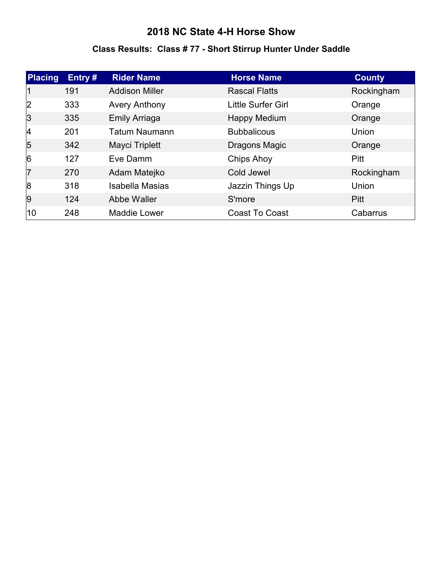#### **Class Results: Class # 77 - Short Stirrup Hunter Under Saddle**

| <b>Placing</b> | Entry# | <b>Rider Name</b>      | <b>Horse Name</b>     | <b>County</b> |
|----------------|--------|------------------------|-----------------------|---------------|
|                | 191    | <b>Addison Miller</b>  | <b>Rascal Flatts</b>  | Rockingham    |
| 2              | 333    | <b>Avery Anthony</b>   | Little Surfer Girl    | Orange        |
| 3              | 335    | <b>Emily Arriaga</b>   | <b>Happy Medium</b>   | Orange        |
| 4              | 201    | <b>Tatum Naumann</b>   | <b>Bubbalicous</b>    | Union         |
| $\overline{5}$ | 342    | Mayci Triplett         | Dragons Magic         | Orange        |
| $\overline{6}$ | 127    | Eve Damm               | Chips Ahoy            | Pitt          |
| 7              | 270    | Adam Matejko           | Cold Jewel            | Rockingham    |
| 8              | 318    | <b>Isabella Masias</b> | Jazzin Things Up      | Union         |
| 9              | 124    | Abbe Waller            | S'more                | <b>Pitt</b>   |
| 10             | 248    | <b>Maddie Lower</b>    | <b>Coast To Coast</b> | Cabarrus      |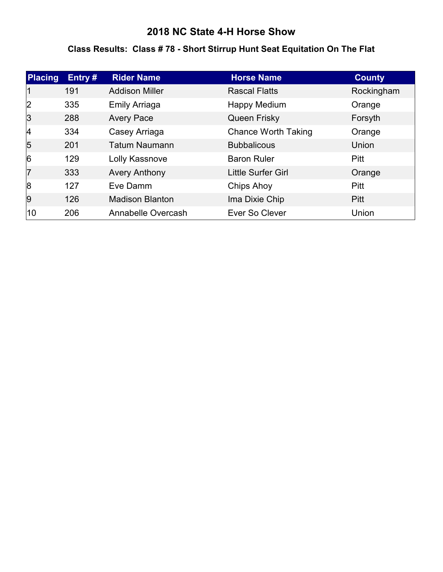### **Class Results: Class # 78 - Short Stirrup Hunt Seat Equitation On The Flat**

| <b>Placing</b> | Entry# | <b>Rider Name</b>      | <b>Horse Name</b>          | <b>County</b> |
|----------------|--------|------------------------|----------------------------|---------------|
| 1              | 191    | <b>Addison Miller</b>  | <b>Rascal Flatts</b>       | Rockingham    |
| 2              | 335    | <b>Emily Arriaga</b>   | Happy Medium               | Orange        |
| 3              | 288    | <b>Avery Pace</b>      | Queen Frisky               | Forsyth       |
| 4              | 334    | Casey Arriaga          | <b>Chance Worth Taking</b> | Orange        |
| 5              | 201    | <b>Tatum Naumann</b>   | <b>Bubbalicous</b>         | Union         |
| $\overline{6}$ | 129    | Lolly Kassnove         | <b>Baron Ruler</b>         | <b>Pitt</b>   |
| 17             | 333    | <b>Avery Anthony</b>   | Little Surfer Girl         | Orange        |
| 8              | 127    | Eve Damm               | Chips Ahoy                 | <b>Pitt</b>   |
| 9              | 126    | <b>Madison Blanton</b> | Ima Dixie Chip             | <b>Pitt</b>   |
| 10             | 206    | Annabelle Overcash     | Ever So Clever             | Union         |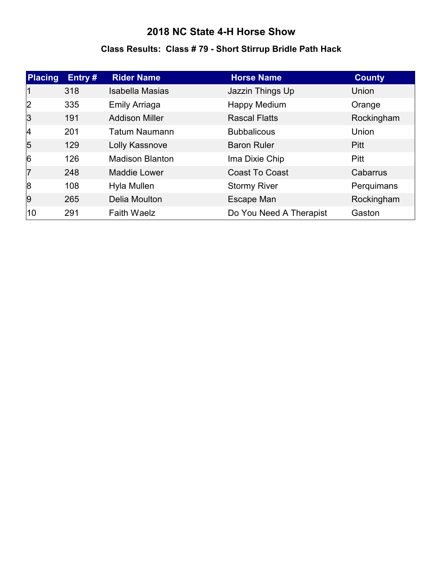### **Class Results: Class # 79 - Short Stirrup Bridle Path Hack**

| <b>Placing</b> | Entry# | <b>Rider Name</b>      | <b>Horse Name</b>       | <b>County</b> |
|----------------|--------|------------------------|-------------------------|---------------|
| 11             | 318    | <b>Isabella Masias</b> | Jazzin Things Up        | Union         |
| 2              | 335    | <b>Emily Arriaga</b>   | Happy Medium            | Orange        |
| 3              | 191    | <b>Addison Miller</b>  | <b>Rascal Flatts</b>    | Rockingham    |
| 4              | 201    | <b>Tatum Naumann</b>   | <b>Bubbalicous</b>      | Union         |
| $\overline{5}$ | 129    | Lolly Kassnove         | <b>Baron Ruler</b>      | <b>Pitt</b>   |
| $\overline{6}$ | 126    | <b>Madison Blanton</b> | Ima Dixie Chip          | <b>Pitt</b>   |
| 17             | 248    | <b>Maddie Lower</b>    | <b>Coast To Coast</b>   | Cabarrus      |
| 8              | 108    | Hyla Mullen            | <b>Stormy River</b>     | Perquimans    |
| 9              | 265    | Delia Moulton          | Escape Man              | Rockingham    |
| 10             | 291    | <b>Faith Waelz</b>     | Do You Need A Therapist | Gaston        |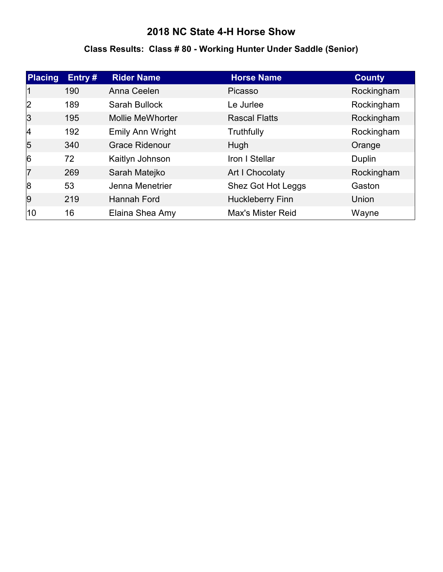# **Class Results: Class # 80 - Working Hunter Under Saddle (Senior)**

| <b>Placing</b> | Entry# | <b>Rider Name</b>       | <b>Horse Name</b>        | <b>County</b> |
|----------------|--------|-------------------------|--------------------------|---------------|
| 11             | 190    | Anna Ceelen             | Picasso                  | Rockingham    |
| 2              | 189    | Sarah Bullock           | Le Jurlee                | Rockingham    |
| 3              | 195    | <b>Mollie MeWhorter</b> | <b>Rascal Flatts</b>     | Rockingham    |
| 4              | 192    | Emily Ann Wright        | Truthfully               | Rockingham    |
| $\overline{5}$ | 340    | <b>Grace Ridenour</b>   | Hugh                     | Orange        |
| $\overline{6}$ | 72     | Kaitlyn Johnson         | Iron I Stellar           | Duplin        |
| 17             | 269    | Sarah Matejko           | Art I Chocolaty          | Rockingham    |
| 8              | 53     | Jenna Menetrier         | Shez Got Hot Leggs       | Gaston        |
| 9              | 219    | Hannah Ford             | <b>Huckleberry Finn</b>  | Union         |
| 10             | 16     | Elaina Shea Amy         | <b>Max's Mister Reid</b> | Wayne         |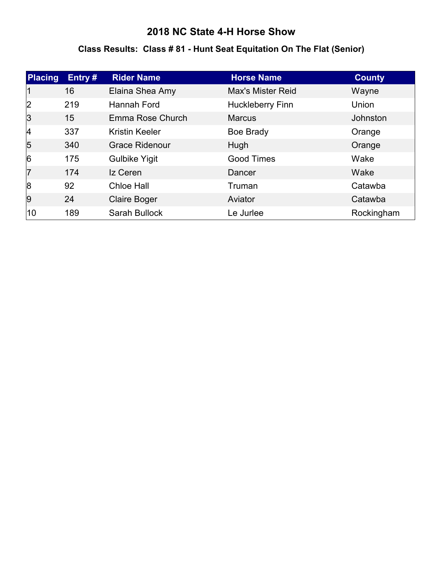### **Class Results: Class # 81 - Hunt Seat Equitation On The Flat (Senior)**

| <b>Placing</b> | Entry# | <b>Rider Name</b>     | <b>Horse Name</b>        | <b>County</b> |
|----------------|--------|-----------------------|--------------------------|---------------|
| 1              | 16     | Elaina Shea Amy       | <b>Max's Mister Reid</b> | Wayne         |
| 2              | 219    | Hannah Ford           | <b>Huckleberry Finn</b>  | Union         |
| 3              | 15     | Emma Rose Church      | <b>Marcus</b>            | Johnston      |
| 4              | 337    | <b>Kristin Keeler</b> | Boe Brady                | Orange        |
| $\overline{5}$ | 340    | <b>Grace Ridenour</b> | Hugh                     | Orange        |
| $\overline{6}$ | 175    | <b>Gulbike Yigit</b>  | <b>Good Times</b>        | Wake          |
| 7              | 174    | Iz Ceren              | Dancer                   | Wake          |
| 8              | 92     | <b>Chloe Hall</b>     | Truman                   | Catawba       |
| 9              | 24     | <b>Claire Boger</b>   | Aviator                  | Catawba       |
| 10             | 189    | Sarah Bullock         | Le Jurlee                | Rockingham    |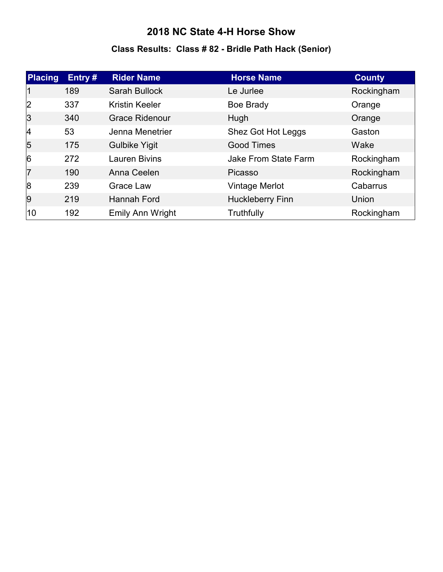# **Class Results: Class # 82 - Bridle Path Hack (Senior)**

| <b>Placing</b> | Entry# | <b>Rider Name</b>       | <b>Horse Name</b>           | <b>County</b> |
|----------------|--------|-------------------------|-----------------------------|---------------|
| 11             | 189    | <b>Sarah Bullock</b>    | Le Jurlee                   | Rockingham    |
| 2              | 337    | <b>Kristin Keeler</b>   | Boe Brady                   | Orange        |
| 3              | 340    | <b>Grace Ridenour</b>   | Hugh                        | Orange        |
| 4              | 53     | Jenna Menetrier         | Shez Got Hot Leggs          | Gaston        |
| $\overline{5}$ | 175    | <b>Gulbike Yigit</b>    | <b>Good Times</b>           | Wake          |
| 6              | 272    | <b>Lauren Bivins</b>    | <b>Jake From State Farm</b> | Rockingham    |
| 17             | 190    | Anna Ceelen             | Picasso                     | Rockingham    |
| 8              | 239    | Grace Law               | Vintage Merlot              | Cabarrus      |
| 9              | 219    | <b>Hannah Ford</b>      | <b>Huckleberry Finn</b>     | Union         |
| 10             | 192    | <b>Emily Ann Wright</b> | Truthfully                  | Rockingham    |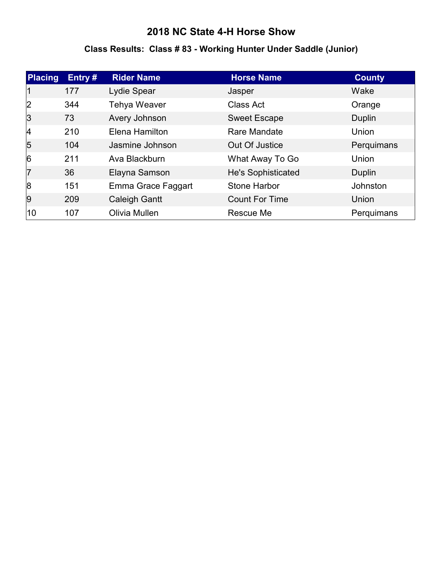# **Class Results: Class # 83 - Working Hunter Under Saddle (Junior)**

| <b>Placing</b> | Entry# | <b>Rider Name</b>    | <b>Horse Name</b>     | <b>County</b> |
|----------------|--------|----------------------|-----------------------|---------------|
|                | 177    | Lydie Spear          | Jasper                | Wake          |
| 2              | 344    | <b>Tehya Weaver</b>  | Class Act             | Orange        |
| 3              | 73     | Avery Johnson        | <b>Sweet Escape</b>   | Duplin        |
| $\vert$ 4      | 210    | Elena Hamilton       | Rare Mandate          | Union         |
| 5              | 104    | Jasmine Johnson      | Out Of Justice        | Perquimans    |
| $\overline{6}$ | 211    | Ava Blackburn        | What Away To Go       | Union         |
| 17             | 36     | Elayna Samson        | He's Sophisticated    | Duplin        |
| 8              | 151    | Emma Grace Faggart   | <b>Stone Harbor</b>   | Johnston      |
| 9              | 209    | <b>Caleigh Gantt</b> | <b>Count For Time</b> | Union         |
| 10             | 107    | Olivia Mullen        | Rescue Me             | Perquimans    |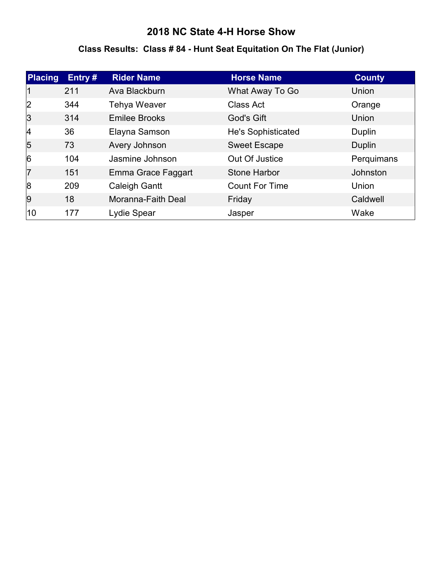### **Class Results: Class # 84 - Hunt Seat Equitation On The Flat (Junior)**

| <b>Placing</b> | Entry# | <b>Rider Name</b>    | <b>Horse Name</b>         | <b>County</b> |
|----------------|--------|----------------------|---------------------------|---------------|
|                | 211    | Ava Blackburn        | What Away To Go           | Union         |
| 2              | 344    | <b>Tehya Weaver</b>  | <b>Class Act</b>          | Orange        |
| 3              | 314    | <b>Emilee Brooks</b> | God's Gift                | Union         |
| 4              | 36     | Elayna Samson        | <b>He's Sophisticated</b> | Duplin        |
| 5              | 73     | Avery Johnson        | <b>Sweet Escape</b>       | Duplin        |
| $\overline{6}$ | 104    | Jasmine Johnson      | Out Of Justice            | Perquimans    |
| 17             | 151    | Emma Grace Faggart   | <b>Stone Harbor</b>       | Johnston      |
| 8              | 209    | <b>Caleigh Gantt</b> | <b>Count For Time</b>     | Union         |
| 9              | 18     | Moranna-Faith Deal   | Friday                    | Caldwell      |
| 10             | 177    | Lydie Spear          | Jasper                    | Wake          |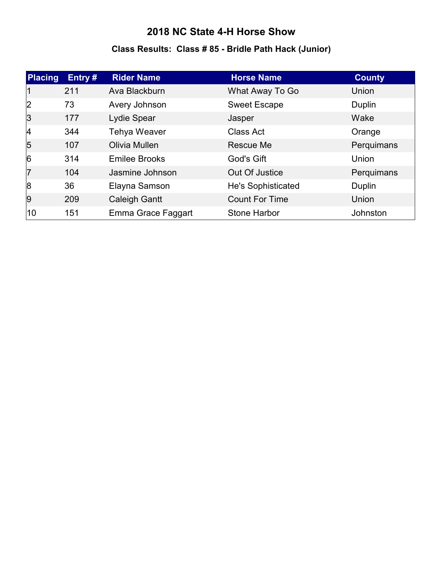# **Class Results: Class # 85 - Bridle Path Hack (Junior)**

| <b>Placing</b> | Entry# | <b>Rider Name</b>    | <b>Horse Name</b>     | <b>County</b> |
|----------------|--------|----------------------|-----------------------|---------------|
| $\mathsf{I}$   | 211    | Ava Blackburn        | What Away To Go       | Union         |
| 2              | 73     | Avery Johnson        | <b>Sweet Escape</b>   | Duplin        |
| 3              | 177    | Lydie Spear          | Jasper                | Wake          |
| 4              | 344    | Tehya Weaver         | Class Act             | Orange        |
| $\overline{5}$ | 107    | Olivia Mullen        | Rescue Me             | Perquimans    |
| $\overline{6}$ | 314    | <b>Emilee Brooks</b> | God's Gift            | Union         |
| 17             | 104    | Jasmine Johnson      | Out Of Justice        | Perquimans    |
| 8              | 36     | Elayna Samson        | He's Sophisticated    | Duplin        |
| 9              | 209    | <b>Caleigh Gantt</b> | <b>Count For Time</b> | Union         |
| 10             | 151    | Emma Grace Faggart   | Stone Harbor          | Johnston      |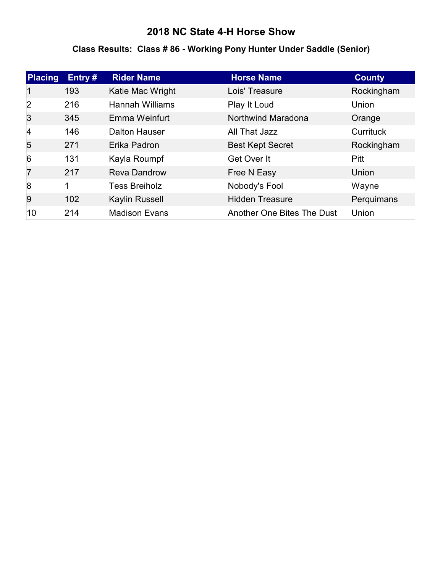### **Class Results: Class # 86 - Working Pony Hunter Under Saddle (Senior)**

| <b>Placing</b> | Entry# | <b>Rider Name</b>      | <b>Horse Name</b>          | <b>County</b> |
|----------------|--------|------------------------|----------------------------|---------------|
|                | 193    | Katie Mac Wright       | Lois' Treasure             | Rockingham    |
| 2              | 216    | <b>Hannah Williams</b> | Play It Loud               | Union         |
| 3              | 345    | Emma Weinfurt          | Northwind Maradona         | Orange        |
| 4              | 146    | <b>Dalton Hauser</b>   | All That Jazz              | Currituck     |
| $\overline{5}$ | 271    | Erika Padron           | <b>Best Kept Secret</b>    | Rockingham    |
| $\overline{6}$ | 131    | Kayla Roumpf           | Get Over It                | Pitt          |
| 17             | 217    | <b>Reva Dandrow</b>    | Free N Easy                | Union         |
| 8              | 1      | <b>Tess Breiholz</b>   | Nobody's Fool              | Wayne         |
| 9              | 102    | Kaylin Russell         | <b>Hidden Treasure</b>     | Perquimans    |
| 10             | 214    | <b>Madison Evans</b>   | Another One Bites The Dust | Union         |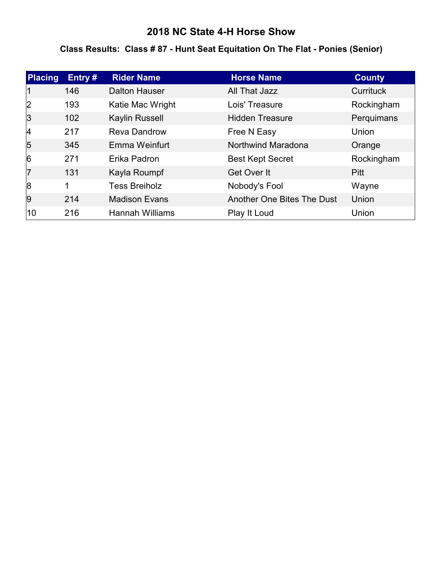### **Class Results: Class # 87 - Hunt Seat Equitation On The Flat - Ponies (Senior)**

| <b>Placing</b> | Entry# | <b>Rider Name</b>      | <b>Horse Name</b>          | <b>County</b>    |
|----------------|--------|------------------------|----------------------------|------------------|
|                | 146    | <b>Dalton Hauser</b>   | All That Jazz              | <b>Currituck</b> |
| 2              | 193    | Katie Mac Wright       | Lois' Treasure             | Rockingham       |
| 3              | 102    | Kaylin Russell         | <b>Hidden Treasure</b>     | Perquimans       |
| 4              | 217    | <b>Reva Dandrow</b>    | Free N Easy                | Union            |
| 5              | 345    | Emma Weinfurt          | Northwind Maradona         | Orange           |
| $\overline{6}$ | 271    | Erika Padron           | <b>Best Kept Secret</b>    | Rockingham       |
| $\overline{7}$ | 131    | Kayla Roumpf           | Get Over It                | <b>Pitt</b>      |
| 8              | 1      | <b>Tess Breiholz</b>   | Nobody's Fool              | Wayne            |
| 9              | 214    | <b>Madison Evans</b>   | Another One Bites The Dust | Union            |
| 10             | 216    | <b>Hannah Williams</b> | Play It Loud               | Union            |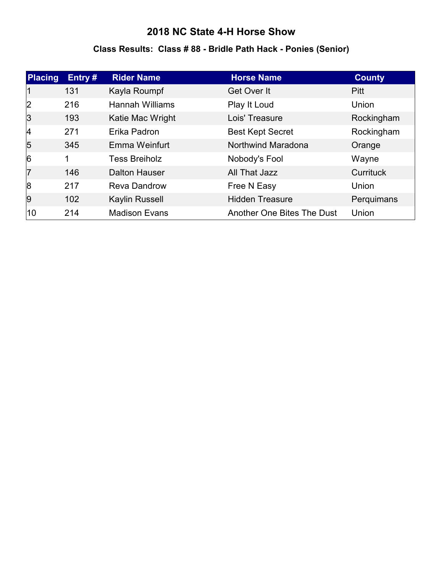### **Class Results: Class # 88 - Bridle Path Hack - Ponies (Senior)**

| <b>Placing</b> | Entry# | <b>Rider Name</b>      | <b>Horse Name</b>          | <b>County</b> |
|----------------|--------|------------------------|----------------------------|---------------|
|                | 131    | Kayla Roumpf           | Get Over It                | <b>Pitt</b>   |
| 2              | 216    | <b>Hannah Williams</b> | Play It Loud               | Union         |
| 3              | 193    | Katie Mac Wright       | Lois' Treasure             | Rockingham    |
| $\vert$ 4      | 271    | Erika Padron           | <b>Best Kept Secret</b>    | Rockingham    |
| 5              | 345    | Emma Weinfurt          | Northwind Maradona         | Orange        |
| $\overline{6}$ | 1      | <b>Tess Breiholz</b>   | Nobody's Fool              | Wayne         |
| 17             | 146    | <b>Dalton Hauser</b>   | All That Jazz              | Currituck     |
| 8              | 217    | <b>Reva Dandrow</b>    | Free N Easy                | Union         |
| 9              | 102    | Kaylin Russell         | <b>Hidden Treasure</b>     | Perquimans    |
| 10             | 214    | <b>Madison Evans</b>   | Another One Bites The Dust | Union         |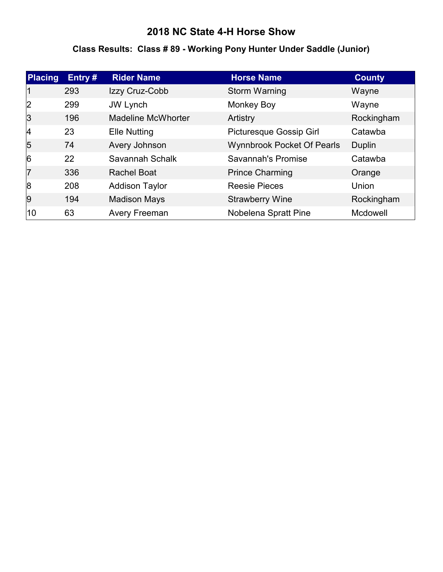# **Class Results: Class # 89 - Working Pony Hunter Under Saddle (Junior)**

| <b>Placing</b> | Entry# | <b>Rider Name</b>         | <b>Horse Name</b>                 | <b>County</b> |
|----------------|--------|---------------------------|-----------------------------------|---------------|
|                | 293    | Izzy Cruz-Cobb            | Storm Warning                     | Wayne         |
| 2              | 299    | JW Lynch                  | <b>Monkey Boy</b>                 | Wayne         |
| 3              | 196    | <b>Madeline McWhorter</b> | Artistry                          | Rockingham    |
| $\vert$ 4      | 23     | <b>Elle Nutting</b>       | Picturesque Gossip Girl           | Catawba       |
| 5              | 74     | Avery Johnson             | <b>Wynnbrook Pocket Of Pearls</b> | Duplin        |
| 6              | 22     | Savannah Schalk           | Savannah's Promise                | Catawba       |
| 7              | 336    | <b>Rachel Boat</b>        | <b>Prince Charming</b>            | Orange        |
| 8              | 208    | <b>Addison Taylor</b>     | <b>Reesie Pieces</b>              | Union         |
| 9              | 194    | <b>Madison Mays</b>       | <b>Strawberry Wine</b>            | Rockingham    |
| 10             | 63     | <b>Avery Freeman</b>      | Nobelena Spratt Pine              | Mcdowell      |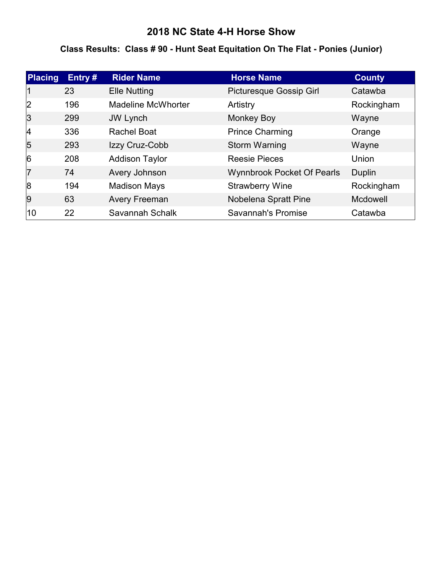### **Class Results: Class # 90 - Hunt Seat Equitation On The Flat - Ponies (Junior)**

| <b>Placing</b> | Entry # | <b>Rider Name</b>         | <b>Horse Name</b>                 | <b>County</b> |
|----------------|---------|---------------------------|-----------------------------------|---------------|
|                | 23      | <b>Elle Nutting</b>       | Picturesque Gossip Girl           | Catawba       |
| 2              | 196     | <b>Madeline McWhorter</b> | Artistry                          | Rockingham    |
| 3              | 299     | <b>JW Lynch</b>           | Monkey Boy                        | Wayne         |
| 4              | 336     | <b>Rachel Boat</b>        | <b>Prince Charming</b>            | Orange        |
| 5              | 293     | Izzy Cruz-Cobb            | Storm Warning                     | Wayne         |
| $\overline{6}$ | 208     | <b>Addison Taylor</b>     | <b>Reesie Pieces</b>              | Union         |
| 17             | 74      | Avery Johnson             | <b>Wynnbrook Pocket Of Pearls</b> | Duplin        |
| 8              | 194     | <b>Madison Mays</b>       | <b>Strawberry Wine</b>            | Rockingham    |
| 9              | 63      | <b>Avery Freeman</b>      | Nobelena Spratt Pine              | Mcdowell      |
| 10             | 22      | Savannah Schalk           | Savannah's Promise                | Catawba       |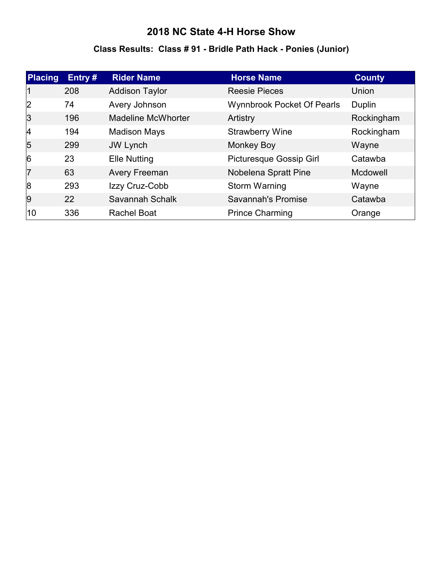### **Class Results: Class # 91 - Bridle Path Hack - Ponies (Junior)**

| <b>Placing</b> | Entry# | <b>Rider Name</b>         | <b>Horse Name</b>                 | <b>County</b>   |
|----------------|--------|---------------------------|-----------------------------------|-----------------|
|                | 208    | <b>Addison Taylor</b>     | <b>Reesie Pieces</b>              | Union           |
| 2              | 74     | Avery Johnson             | <b>Wynnbrook Pocket Of Pearls</b> | Duplin          |
| 3              | 196    | <b>Madeline McWhorter</b> | Artistry                          | Rockingham      |
| 4              | 194    | <b>Madison Mays</b>       | <b>Strawberry Wine</b>            | Rockingham      |
| 5              | 299    | JW Lynch                  | <b>Monkey Boy</b>                 | Wayne           |
| 6              | 23     | <b>Elle Nutting</b>       | Picturesque Gossip Girl           | Catawba         |
| 7              | 63     | Avery Freeman             | Nobelena Spratt Pine              | <b>Mcdowell</b> |
| 8              | 293    | Izzy Cruz-Cobb            | Storm Warning                     | Wayne           |
| 9              | 22     | Savannah Schalk           | Savannah's Promise                | Catawba         |
| 10             | 336    | <b>Rachel Boat</b>        | <b>Prince Charming</b>            | Orange          |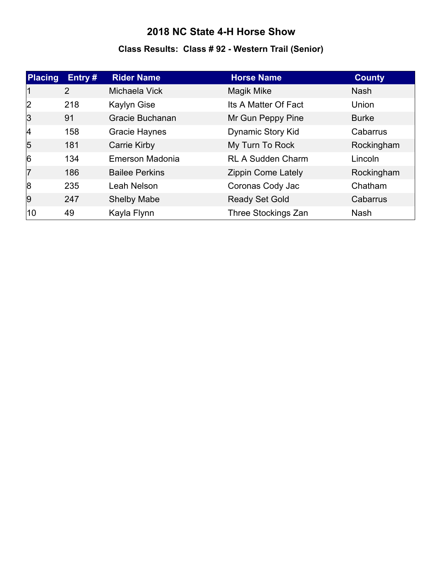# **Class Results: Class # 92 - Western Trail (Senior)**

| <b>Placing</b> | Entry $#$ | <b>Rider Name</b>     | <b>Horse Name</b>         | <b>County</b> |
|----------------|-----------|-----------------------|---------------------------|---------------|
| 11             | 2         | Michaela Vick         | Magik Mike                | <b>Nash</b>   |
| 2              | 218       | Kaylyn Gise           | Its A Matter Of Fact      | Union         |
| 3              | 91        | Gracie Buchanan       | Mr Gun Peppy Pine         | <b>Burke</b>  |
| 4              | 158       | <b>Gracie Haynes</b>  | Dynamic Story Kid         | Cabarrus      |
| $\overline{5}$ | 181       | <b>Carrie Kirby</b>   | My Turn To Rock           | Rockingham    |
| 6              | 134       | Emerson Madonia       | <b>RL A Sudden Charm</b>  | Lincoln       |
| 7              | 186       | <b>Bailee Perkins</b> | <b>Zippin Come Lately</b> | Rockingham    |
| 8              | 235       | Leah Nelson           | Coronas Cody Jac          | Chatham       |
| 9              | 247       | <b>Shelby Mabe</b>    | <b>Ready Set Gold</b>     | Cabarrus      |
| 10             | 49        | Kayla Flynn           | Three Stockings Zan       | <b>Nash</b>   |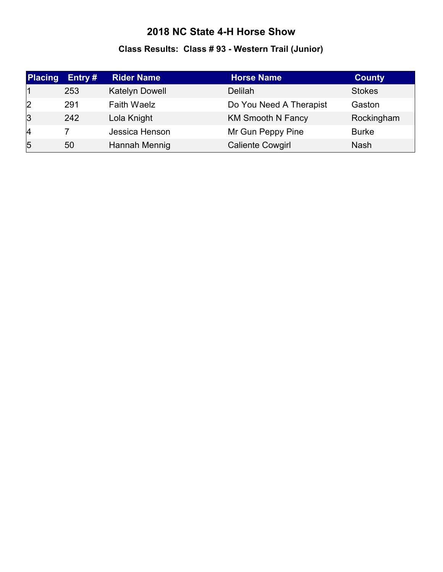# **Class Results: Class # 93 - Western Trail (Junior)**

| <b>Placing</b> | Entry $#$ | <b>Rider Name</b>  | <b>Horse Name</b>        | <b>County</b> |
|----------------|-----------|--------------------|--------------------------|---------------|
|                | 253       | Katelyn Dowell     | Delilah                  | <b>Stokes</b> |
| 2              | 291       | <b>Faith Waelz</b> | Do You Need A Therapist  | Gaston        |
| $\overline{3}$ | 242       | Lola Knight        | <b>KM Smooth N Fancy</b> | Rockingham    |
| $\vert 4$      |           | Jessica Henson     | Mr Gun Peppy Pine        | <b>Burke</b>  |
| $\overline{5}$ | 50        | Hannah Mennig      | <b>Caliente Cowgirl</b>  | <b>Nash</b>   |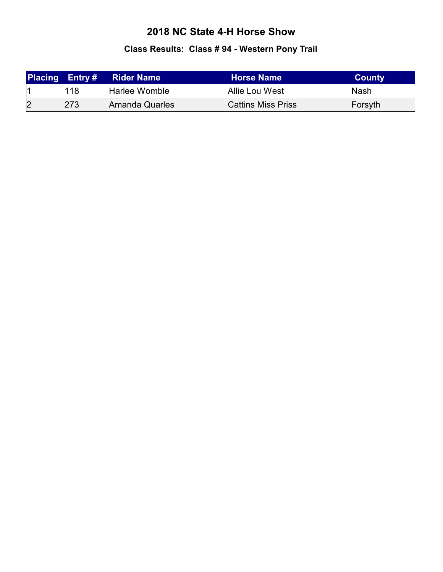# **Class Results: Class # 94 - Western Pony Trail**

|   | <b>Placing Entry#</b> | <b>Rider Name</b>     | <b>Horse Name</b>         | <b>County</b> |
|---|-----------------------|-----------------------|---------------------------|---------------|
|   | 118                   | Harlee Womble         | Allie Lou West            | Nash          |
| 2 | 273                   | <b>Amanda Quarles</b> | <b>Cattins Miss Priss</b> | Forsyth       |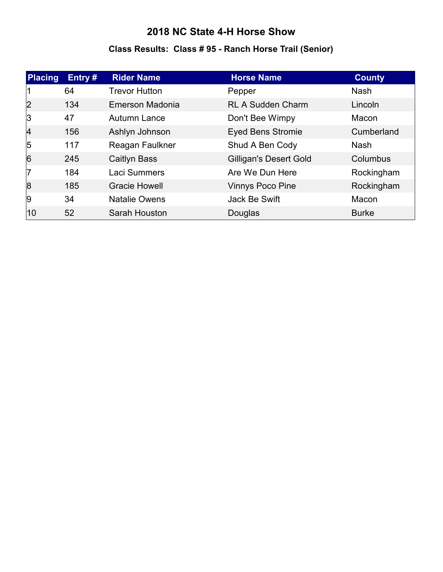# **Class Results: Class # 95 - Ranch Horse Trail (Senior)**

| <b>Placing</b> | Entry# | <b>Rider Name</b>    | <b>Horse Name</b>             | <b>County</b> |
|----------------|--------|----------------------|-------------------------------|---------------|
|                | 64     | <b>Trevor Hutton</b> | Pepper                        | <b>Nash</b>   |
| 2              | 134    | Emerson Madonia      | <b>RL A Sudden Charm</b>      | Lincoln       |
| 3              | 47     | Autumn Lance         | Don't Bee Wimpy               | Macon         |
| $\vert$ 4      | 156    | Ashlyn Johnson       | <b>Eyed Bens Stromie</b>      | Cumberland    |
| $\overline{5}$ | 117    | Reagan Faulkner      | Shud A Ben Cody               | <b>Nash</b>   |
| $\overline{6}$ | 245    | <b>Caitlyn Bass</b>  | <b>Gilligan's Desert Gold</b> | Columbus      |
| 17             | 184    | <b>Laci Summers</b>  | Are We Dun Here               | Rockingham    |
| 8              | 185    | <b>Gracie Howell</b> | <b>Vinnys Poco Pine</b>       | Rockingham    |
| 9              | 34     | <b>Natalie Owens</b> | Jack Be Swift                 | Macon         |
| 10             | 52     | Sarah Houston        | Douglas                       | <b>Burke</b>  |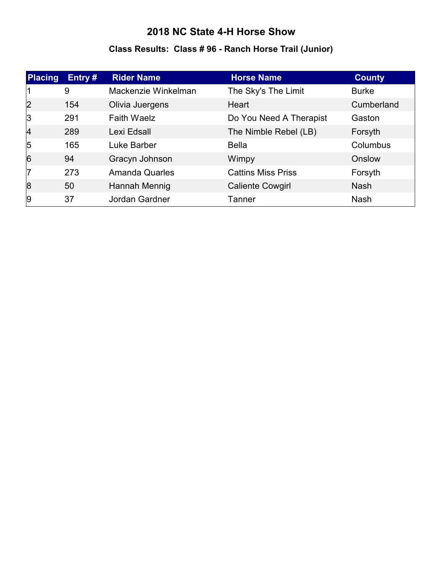# **Class Results: Class # 96 - Ranch Horse Trail (Junior)**

| <b>Placing</b> | Entry # | <b>Rider Name</b>     | <b>Horse Name</b>         | <b>County</b> |
|----------------|---------|-----------------------|---------------------------|---------------|
|                | 9       | Mackenzie Winkelman   | The Sky's The Limit       | <b>Burke</b>  |
| 2              | 154     | Olivia Juergens       | Heart                     | Cumberland    |
| 3              | 291     | <b>Faith Waelz</b>    | Do You Need A Therapist   | Gaston        |
| $\overline{4}$ | 289     | Lexi Edsall           | The Nimble Rebel (LB)     | Forsyth       |
| $\overline{5}$ | 165     | Luke Barber           | <b>Bella</b>              | Columbus      |
| 6              | 94      | Gracyn Johnson        | Wimpy                     | Onslow        |
| $\overline{7}$ | 273     | <b>Amanda Quarles</b> | <b>Cattins Miss Priss</b> | Forsyth       |
| 8              | 50      | Hannah Mennig         | <b>Caliente Cowgirl</b>   | <b>Nash</b>   |
| 9              | 37      | Jordan Gardner        | Tanner                    | <b>Nash</b>   |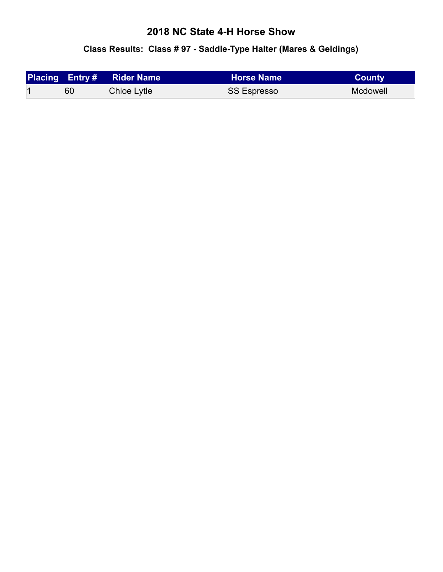# **Class Results: Class # 97 - Saddle-Type Halter (Mares & Geldings)**

|    | Placing Entry # Rider Name | <b>Horse Name</b>  | <b>County</b> |
|----|----------------------------|--------------------|---------------|
| 60 | Chloe Lytle                | <b>SS Espresso</b> | Mcdowell      |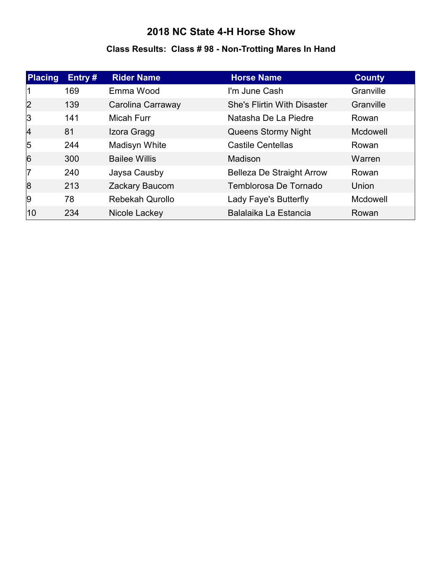### **Class Results: Class # 98 - Non-Trotting Mares In Hand**

| <b>Placing</b> | Entry $#$ | <b>Rider Name</b>      | <b>Horse Name</b>                  | <b>County</b> |
|----------------|-----------|------------------------|------------------------------------|---------------|
|                | 169       | Emma Wood              | I'm June Cash                      | Granville     |
| $\overline{2}$ | 139       | Carolina Carraway      | <b>She's Flirtin With Disaster</b> | Granville     |
| 3              | 141       | <b>Micah Furr</b>      | Natasha De La Piedre               | Rowan         |
| 4              | 81        | Izora Gragg            | Queens Stormy Night                | Mcdowell      |
| 5              | 244       | Madisyn White          | <b>Castile Centellas</b>           | Rowan         |
| $\overline{6}$ | 300       | <b>Bailee Willis</b>   | Madison                            | Warren        |
| 17             | 240       | Jaysa Causby           | <b>Belleza De Straight Arrow</b>   | Rowan         |
| 8              | 213       | Zackary Baucom         | Temblorosa De Tornado              | Union         |
| 9              | 78        | <b>Rebekah Qurollo</b> | Lady Faye's Butterfly              | Mcdowell      |
| 10             | 234       | Nicole Lackey          | Balalaika La Estancia              | Rowan         |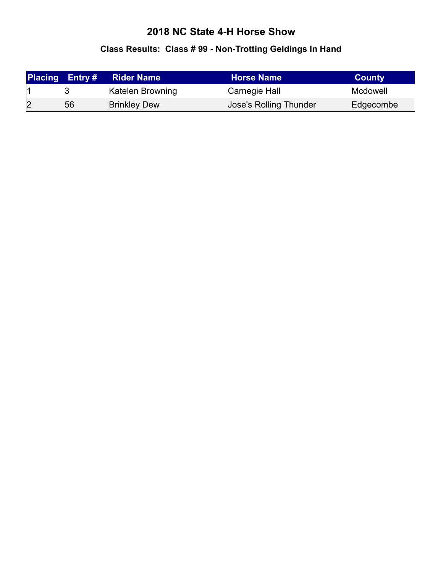# **Class Results: Class # 99 - Non-Trotting Geldings In Hand**

|   | <b>Placing Entry #</b> | <b>Rider Name</b>   | <b>Horse Name</b>      | <b>County</b> |
|---|------------------------|---------------------|------------------------|---------------|
|   |                        | Katelen Browning    | Carnegie Hall          | Mcdowell      |
| 2 | 56                     | <b>Brinkley Dew</b> | Jose's Rolling Thunder | Edgecombe     |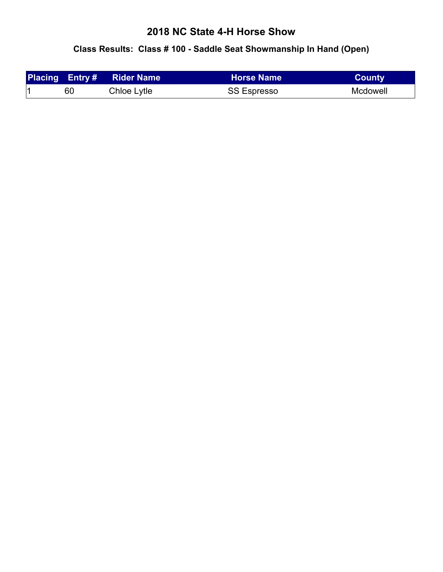### **Class Results: Class # 100 - Saddle Seat Showmanship In Hand (Open)**

|    | <b>Placing Entry # Rider Name</b> | <b>Horse Name</b>  | <b>County</b> |
|----|-----------------------------------|--------------------|---------------|
| 60 | Chloe Lytle                       | <b>SS Espresso</b> | Mcdowell      |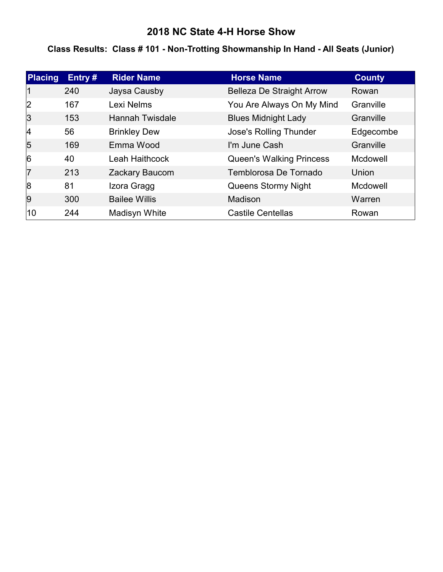### **Class Results: Class # 101 - Non-Trotting Showmanship In Hand - All Seats (Junior)**

| <b>Placing</b> | Entry # | <b>Rider Name</b>      | <b>Horse Name</b>                | <b>County</b> |
|----------------|---------|------------------------|----------------------------------|---------------|
|                | 240     | Jaysa Causby           | <b>Belleza De Straight Arrow</b> | Rowan         |
| 2              | 167     | Lexi Nelms             | You Are Always On My Mind        | Granville     |
| 3              | 153     | <b>Hannah Twisdale</b> | <b>Blues Midnight Lady</b>       | Granville     |
| 4              | 56      | <b>Brinkley Dew</b>    | <b>Jose's Rolling Thunder</b>    | Edgecombe     |
| 5              | 169     | Emma Wood              | I'm June Cash                    | Granville     |
| $\overline{6}$ | 40      | <b>Leah Haithcock</b>  | <b>Queen's Walking Princess</b>  | Mcdowell      |
| 7              | 213     | Zackary Baucom         | Temblorosa De Tornado            | Union         |
| 8              | 81      | Izora Gragg            | Queens Stormy Night              | Mcdowell      |
| 9              | 300     | <b>Bailee Willis</b>   | Madison                          | Warren        |
| 10             | 244     | Madisyn White          | <b>Castile Centellas</b>         | Rowan         |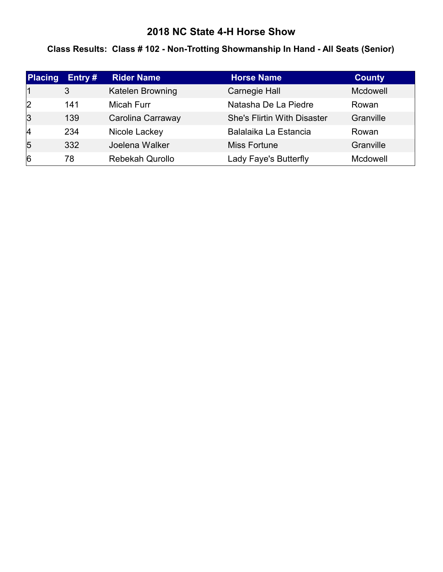### **Class Results: Class # 102 - Non-Trotting Showmanship In Hand - All Seats (Senior)**

| <b>Placing</b> | Entry $#$ | <b>Rider Name</b>      | <b>Horse Name</b>                  | <b>County</b>   |
|----------------|-----------|------------------------|------------------------------------|-----------------|
|                | 3         | Katelen Browning       | Carnegie Hall                      | <b>Mcdowell</b> |
| 2              | 141       | <b>Micah Furr</b>      | Natasha De La Piedre               | Rowan           |
| $\overline{3}$ | 139       | Carolina Carraway      | <b>She's Flirtin With Disaster</b> | Granville       |
| 4              | 234       | Nicole Lackey          | Balalaika La Estancia              | Rowan           |
| $\overline{5}$ | 332       | Joelena Walker         | Miss Fortune                       | Granville       |
| $\overline{6}$ | 78        | <b>Rebekah Qurollo</b> | Lady Faye's Butterfly              | Mcdowell        |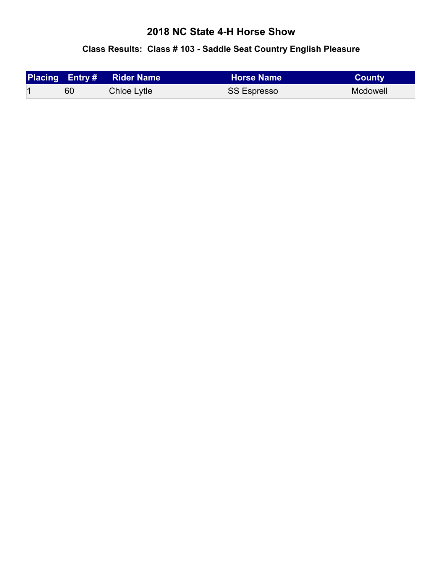# **Class Results: Class # 103 - Saddle Seat Country English Pleasure**

|    | <b>Placing Entry # Rider Name</b> | <b>∖ Horse Name</b> \ | <b>County</b> |
|----|-----------------------------------|-----------------------|---------------|
| 60 | Chloe Lytle                       | <b>SS Espresso</b>    | Mcdowell      |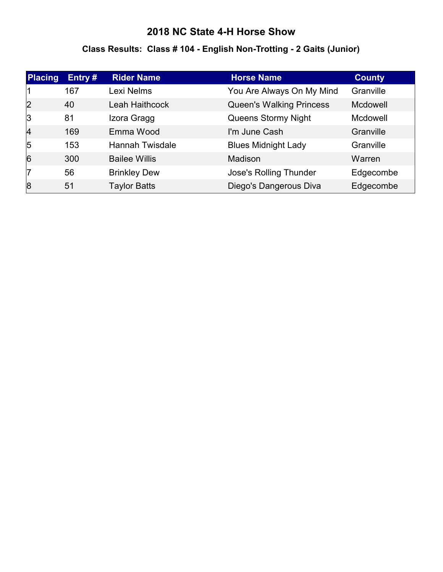# **Class Results: Class # 104 - English Non-Trotting - 2 Gaits (Junior)**

| <b>Placing</b> | Entry# | <b>Rider Name</b>      | <b>Horse Name</b>               | <b>County</b>   |
|----------------|--------|------------------------|---------------------------------|-----------------|
|                | 167    | Lexi Nelms             | You Are Always On My Mind       | Granville       |
| 2              | 40     | <b>Leah Haithcock</b>  | <b>Queen's Walking Princess</b> | <b>Mcdowell</b> |
| 3              | 81     | Izora Gragg            | Queens Stormy Night             | <b>Mcdowell</b> |
| $\overline{4}$ | 169    | Emma Wood              | I'm June Cash                   | Granville       |
| $\overline{5}$ | 153    | <b>Hannah Twisdale</b> | <b>Blues Midnight Lady</b>      | Granville       |
| 6              | 300    | <b>Bailee Willis</b>   | Madison                         | Warren          |
| 17             | 56     | <b>Brinkley Dew</b>    | <b>Jose's Rolling Thunder</b>   | Edgecombe       |
| 8              | 51     | <b>Taylor Batts</b>    | Diego's Dangerous Diva          | Edgecombe       |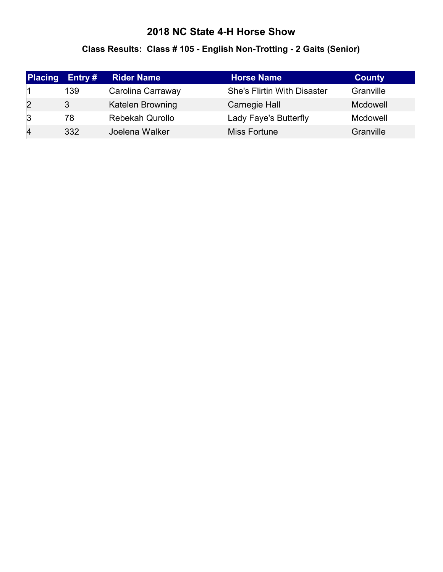# **Class Results: Class # 105 - English Non-Trotting - 2 Gaits (Senior)**

| <b>Placing</b> | Entry $#$ | <b>Rider Name</b>       | <b>Horse Name</b>                  | <b>County</b> |
|----------------|-----------|-------------------------|------------------------------------|---------------|
|                | 139       | Carolina Carraway       | <b>She's Flirtin With Disaster</b> | Granville     |
| $\overline{2}$ | 3         | <b>Katelen Browning</b> | <b>Carnegie Hall</b>               | Mcdowell      |
| 3              | 78        | <b>Rebekah Qurollo</b>  | Lady Faye's Butterfly              | Mcdowell      |
| 4              | 332       | Joelena Walker          | Miss Fortune                       | Granville     |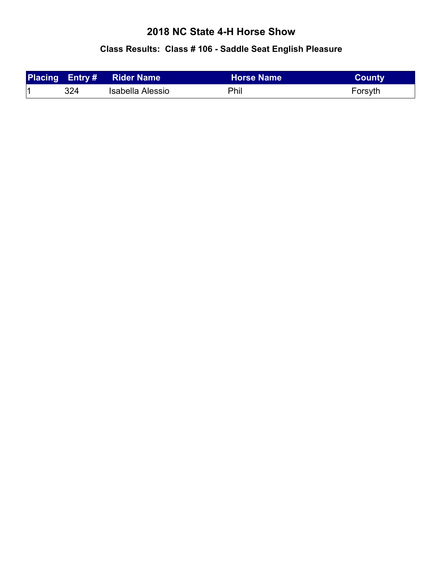# **Class Results: Class # 106 - Saddle Seat English Pleasure**

|     | <b>Placing Entry# Rider Name</b> | <b>⊦Horse Name</b> | <b>County</b> |
|-----|----------------------------------|--------------------|---------------|
| 324 | Isabella Alessio                 | <b>Phil</b>        | Forsyth       |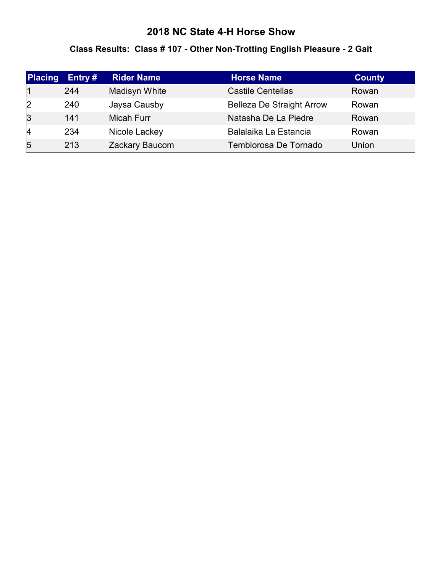### **Class Results: Class # 107 - Other Non-Trotting English Pleasure - 2 Gait**

| <b>Placing</b> | Entry $#$ | <b>Rider Name</b> | <b>Horse Name</b>                | <b>County</b> |
|----------------|-----------|-------------------|----------------------------------|---------------|
|                | 244       | Madisyn White     | <b>Castile Centellas</b>         | Rowan         |
| 2              | 240       | Jaysa Causby      | <b>Belleza De Straight Arrow</b> | Rowan         |
| $\overline{3}$ | 141       | Micah Furr        | Natasha De La Piedre             | Rowan         |
| 4              | 234       | Nicole Lackey     | Balalaika La Estancia            | Rowan         |
| $\overline{5}$ | 213       | Zackary Baucom    | Temblorosa De Tornado            | Union         |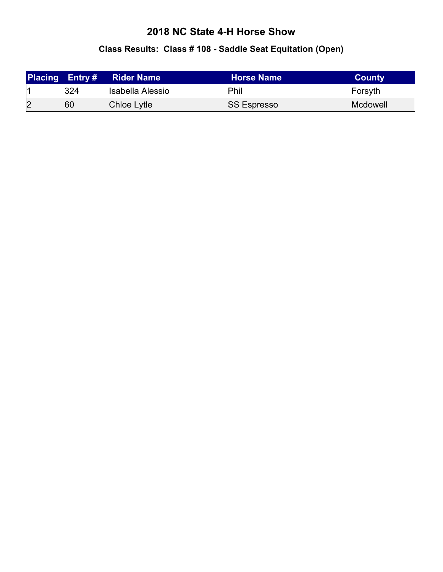# **Class Results: Class # 108 - Saddle Seat Equitation (Open)**

|                |     | <b>Placing Entry# Rider Name</b> | <b>Horse Name</b>  | <b>County</b> |
|----------------|-----|----------------------------------|--------------------|---------------|
|                | 324 | Isabella Alessio                 | Phil               | Forsyth       |
| $\overline{2}$ | 60  | Chloe Lytle                      | <b>SS Espresso</b> | Mcdowell      |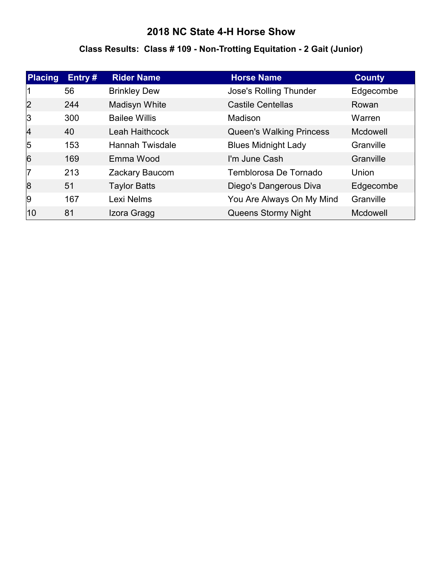# **Class Results: Class # 109 - Non-Trotting Equitation - 2 Gait (Junior)**

| <b>Placing</b> | Entry $#$ | <b>Rider Name</b>      | <b>Horse Name</b>               | <b>County</b>   |
|----------------|-----------|------------------------|---------------------------------|-----------------|
|                | 56        | <b>Brinkley Dew</b>    | <b>Jose's Rolling Thunder</b>   | Edgecombe       |
| $\overline{2}$ | 244       | Madisyn White          | <b>Castile Centellas</b>        | Rowan           |
| 3              | 300       | <b>Bailee Willis</b>   | Madison                         | Warren          |
| 4              | 40        | Leah Haithcock         | <b>Queen's Walking Princess</b> | Mcdowell        |
| $\overline{5}$ | 153       | <b>Hannah Twisdale</b> | <b>Blues Midnight Lady</b>      | Granville       |
| 6              | 169       | Emma Wood              | I'm June Cash                   | Granville       |
| 17             | 213       | Zackary Baucom         | Temblorosa De Tornado           | Union           |
| 8              | 51        | <b>Taylor Batts</b>    | Diego's Dangerous Diva          | Edgecombe       |
| 9              | 167       | Lexi Nelms             | You Are Always On My Mind       | Granville       |
| 10             | 81        | Izora Gragg            | Queens Stormy Night             | <b>Mcdowell</b> |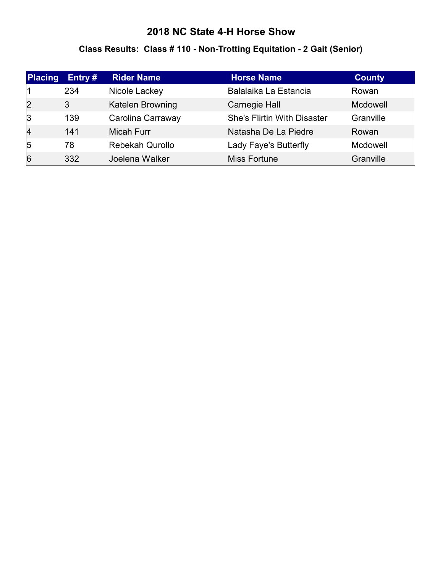#### **Class Results: Class # 110 - Non-Trotting Equitation - 2 Gait (Senior)**

| Placing        | Entry # | <b>Rider Name</b>      | <b>Horse Name</b>                  | <b>County</b> |
|----------------|---------|------------------------|------------------------------------|---------------|
|                | 234     | Nicole Lackey          | Balalaika La Estancia              | Rowan         |
| $\overline{2}$ | 3       | Katelen Browning       | Carnegie Hall                      | Mcdowell      |
| 3              | 139     | Carolina Carraway      | <b>She's Flirtin With Disaster</b> | Granville     |
| 4              | 141     | <b>Micah Furr</b>      | Natasha De La Piedre               | Rowan         |
| 5              | 78      | <b>Rebekah Qurollo</b> | Lady Faye's Butterfly              | Mcdowell      |
| 6              | 332     | Joelena Walker         | Miss Fortune                       | Granville     |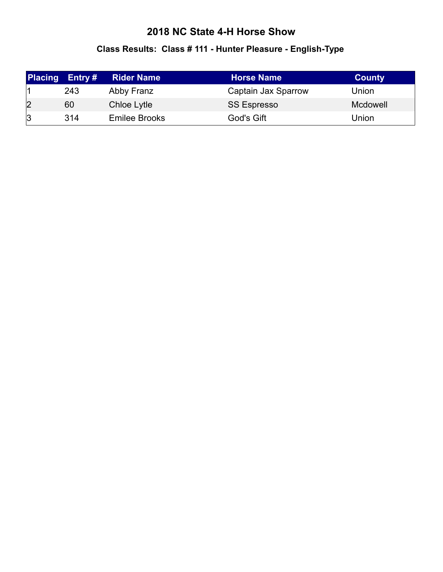# **Class Results: Class # 111 - Hunter Pleasure - English-Type**

| <b>Placing</b> | Entry # | <b>Rider Name</b> | <b>Horse Name</b>   | <b>County</b> |
|----------------|---------|-------------------|---------------------|---------------|
|                | 243     | Abby Franz        | Captain Jax Sparrow | Union         |
| $\overline{2}$ | 60      | Chloe Lytle       | <b>SS Espresso</b>  | Mcdowell      |
| 3              | 314     | Emilee Brooks     | God's Gift          | Union         |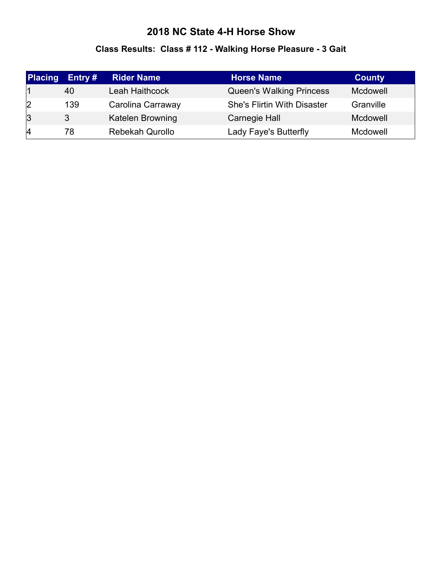# **Class Results: Class # 112 - Walking Horse Pleasure - 3 Gait**

| <b>Placing</b> | Entry $#$ | <b>Rider Name</b>       | <b>Horse Name</b>                  | <b>County</b> |
|----------------|-----------|-------------------------|------------------------------------|---------------|
|                | 40        | Leah Haithcock          | <b>Queen's Walking Princess</b>    | Mcdowell      |
| 2              | 139       | Carolina Carraway       | <b>She's Flirtin With Disaster</b> | Granville     |
| $\overline{3}$ | 3         | <b>Katelen Browning</b> | Carnegie Hall                      | Mcdowell      |
| 14             | 78        | <b>Rebekah Qurollo</b>  | Lady Faye's Butterfly              | Mcdowell      |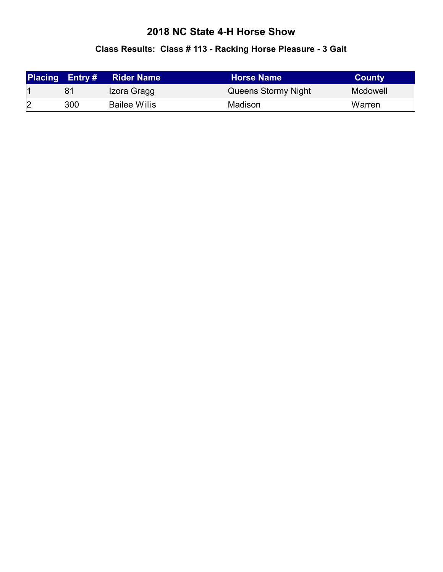#### **Class Results: Class # 113 - Racking Horse Pleasure - 3 Gait**

|   | <b>Placing Entry#</b> | <b>Rider Name</b>    | <b>Horse Name</b>   | <b>County</b> |
|---|-----------------------|----------------------|---------------------|---------------|
|   | 81                    | Izora Gragg          | Queens Stormy Night | Mcdowell      |
| 2 | 300                   | <b>Bailee Willis</b> | Madison             | Warren        |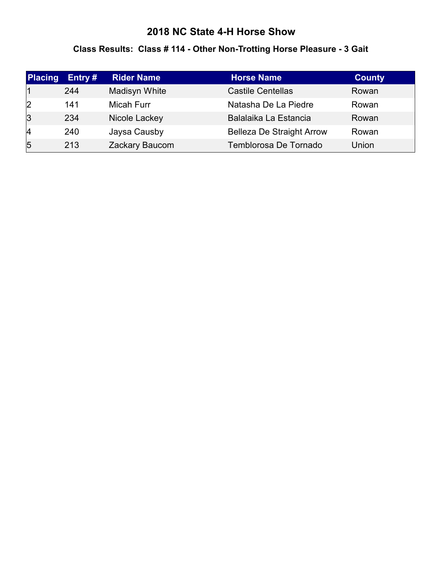#### **Class Results: Class # 114 - Other Non-Trotting Horse Pleasure - 3 Gait**

| <b>Placing</b> | Entry $#$ | <b>Rider Name</b> | Horse Name                       | <b>County</b> |
|----------------|-----------|-------------------|----------------------------------|---------------|
|                | 244       | Madisyn White     | <b>Castile Centellas</b>         | Rowan         |
| 2              | 141       | Micah Furr        | Natasha De La Piedre             | Rowan         |
| $\overline{3}$ | 234       | Nicole Lackey     | Balalaika La Estancia            | Rowan         |
| 4              | 240       | Jaysa Causby      | <b>Belleza De Straight Arrow</b> | Rowan         |
| $\overline{5}$ | 213       | Zackary Baucom    | Temblorosa De Tornado            | Union         |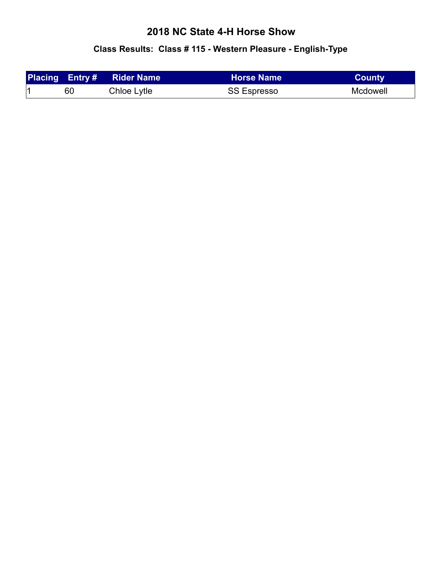# **Class Results: Class # 115 - Western Pleasure - English-Type**

|    | <b>Placing Entry # Rider Name</b> | <b>Horse Name</b>  | <b>County</b> |
|----|-----------------------------------|--------------------|---------------|
| 60 | Chloe Lytle                       | <b>SS Espresso</b> | Mcdowell      |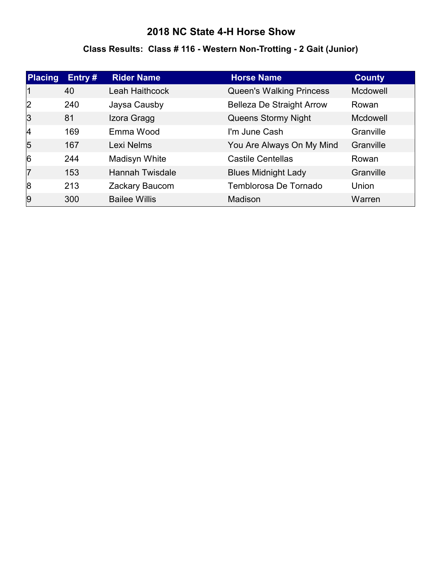# **Class Results: Class # 116 - Western Non-Trotting - 2 Gait (Junior)**

| <b>Placing</b> | Entry# | <b>Rider Name</b>      | <b>Horse Name</b>                | <b>County</b> |
|----------------|--------|------------------------|----------------------------------|---------------|
|                | 40     | Leah Haithcock         | <b>Queen's Walking Princess</b>  | Mcdowell      |
| 2              | 240    | Jaysa Causby           | <b>Belleza De Straight Arrow</b> | Rowan         |
| 3              | 81     | Izora Gragg            | Queens Stormy Night              | Mcdowell      |
| 4              | 169    | Emma Wood              | I'm June Cash                    | Granville     |
| $\overline{5}$ | 167    | Lexi Nelms             | You Are Always On My Mind        | Granville     |
| 6              | 244    | <b>Madisyn White</b>   | <b>Castile Centellas</b>         | Rowan         |
| 17             | 153    | <b>Hannah Twisdale</b> | <b>Blues Midnight Lady</b>       | Granville     |
| 8              | 213    | Zackary Baucom         | Temblorosa De Tornado            | Union         |
| 9              | 300    | <b>Bailee Willis</b>   | Madison                          | Warren        |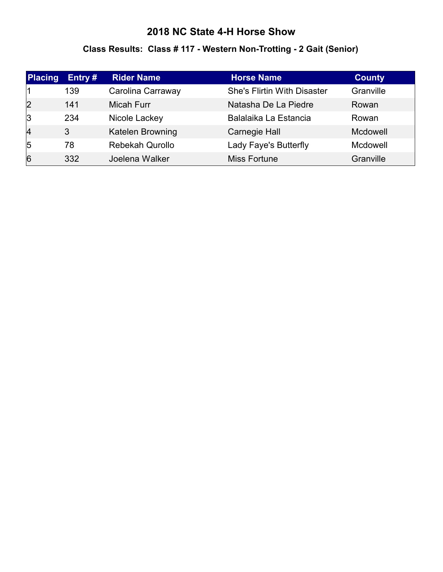# **Class Results: Class # 117 - Western Non-Trotting - 2 Gait (Senior)**

| Placing        | Entry# | <b>Rider Name</b> | <b>Horse Name</b>                  | <b>County</b> |
|----------------|--------|-------------------|------------------------------------|---------------|
|                | 139    | Carolina Carraway | <b>She's Flirtin With Disaster</b> | Granville     |
| 2              | 141    | <b>Micah Furr</b> | Natasha De La Piedre               | Rowan         |
| 3              | 234    | Nicole Lackey     | Balalaika La Estancia              | Rowan         |
| $\overline{4}$ | 3      | Katelen Browning  | Carnegie Hall                      | Mcdowell      |
| $\overline{5}$ | 78     | Rebekah Qurollo   | Lady Faye's Butterfly              | Mcdowell      |
| 6              | 332    | Joelena Walker    | <b>Miss Fortune</b>                | Granville     |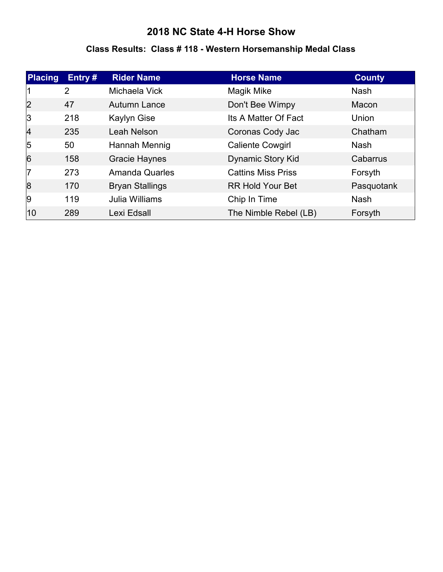#### **Class Results: Class # 118 - Western Horsemanship Medal Class**

| Placing   | Entry#         | <b>Rider Name</b>      | <b>Horse Name</b>         | <b>County</b> |
|-----------|----------------|------------------------|---------------------------|---------------|
|           | $\overline{2}$ | Michaela Vick          | Magik Mike                | <b>Nash</b>   |
| 2         | 47             | Autumn Lance           | Don't Bee Wimpy           | Macon         |
| 3         | 218            | <b>Kaylyn Gise</b>     | Its A Matter Of Fact      | Union         |
| $\vert$ 4 | 235            | Leah Nelson            | Coronas Cody Jac          | Chatham       |
| 5         | 50             | Hannah Mennig          | <b>Caliente Cowgirl</b>   | <b>Nash</b>   |
| 6         | 158            | <b>Gracie Haynes</b>   | <b>Dynamic Story Kid</b>  | Cabarrus      |
| 17        | 273            | <b>Amanda Quarles</b>  | <b>Cattins Miss Priss</b> | Forsyth       |
| 8         | 170            | <b>Bryan Stallings</b> | <b>RR Hold Your Bet</b>   | Pasquotank    |
| 9         | 119            | Julia Williams         | Chip In Time              | <b>Nash</b>   |
| 10        | 289            | Lexi Edsall            | The Nimble Rebel (LB)     | Forsyth       |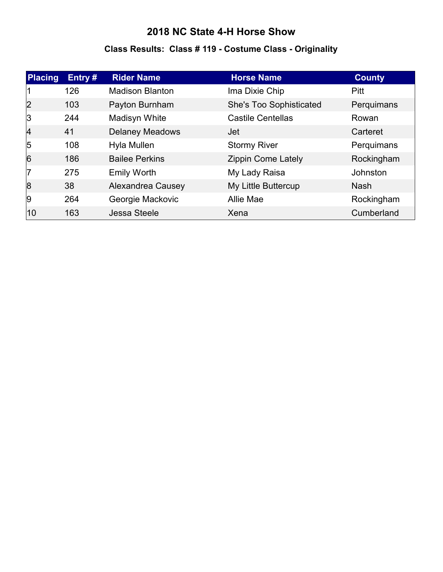# **Class Results: Class # 119 - Costume Class - Originality**

| <b>Placing</b> | Entry $#$ | <b>Rider Name</b>      | <b>Horse Name</b>         | <b>County</b>   |
|----------------|-----------|------------------------|---------------------------|-----------------|
|                | 126       | <b>Madison Blanton</b> | Ima Dixie Chip            | Pitt            |
| $\overline{2}$ | 103       | Payton Burnham         | She's Too Sophisticated   | Perquimans      |
| 3              | 244       | Madisyn White          | <b>Castile Centellas</b>  | Rowan           |
| $\overline{4}$ | 41        | <b>Delaney Meadows</b> | Jet                       | Carteret        |
| $\overline{5}$ | 108       | Hyla Mullen            | <b>Stormy River</b>       | Perquimans      |
| $\overline{6}$ | 186       | <b>Bailee Perkins</b>  | <b>Zippin Come Lately</b> | Rockingham      |
| 17             | 275       | <b>Emily Worth</b>     | My Lady Raisa             | <b>Johnston</b> |
| 8              | 38        | Alexandrea Causey      | My Little Buttercup       | <b>Nash</b>     |
| 9              | 264       | Georgie Mackovic       | <b>Allie Mae</b>          | Rockingham      |
| 10             | 163       | Jessa Steele           | Xena                      | Cumberland      |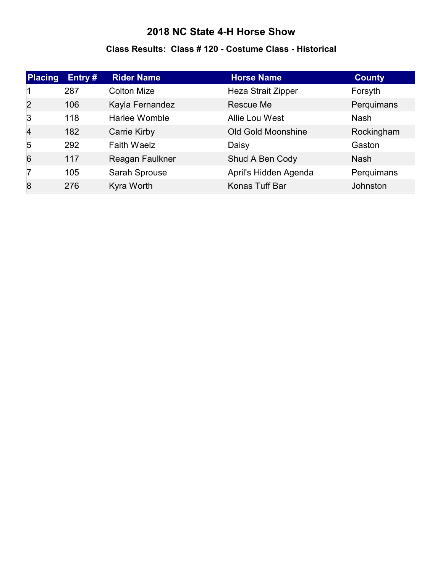#### **Class Results: Class # 120 - Costume Class - Historical**

| Placing        | Entry# | <b>Rider Name</b>   | <b>Horse Name</b>         | <b>County</b> |
|----------------|--------|---------------------|---------------------------|---------------|
|                | 287    | <b>Colton Mize</b>  | <b>Heza Strait Zipper</b> | Forsyth       |
| 2              | 106    | Kayla Fernandez     | Rescue Me                 | Perquimans    |
| 3              | 118    | Harlee Womble       | Allie Lou West            | <b>Nash</b>   |
| $\overline{4}$ | 182    | <b>Carrie Kirby</b> | <b>Old Gold Moonshine</b> | Rockingham    |
| $\overline{5}$ | 292    | <b>Faith Waelz</b>  | Daisy                     | Gaston        |
| 6              | 117    | Reagan Faulkner     | Shud A Ben Cody           | <b>Nash</b>   |
| 17             | 105    | Sarah Sprouse       | April's Hidden Agenda     | Perquimans    |
| 8              | 276    | Kyra Worth          | Konas Tuff Bar            | Johnston      |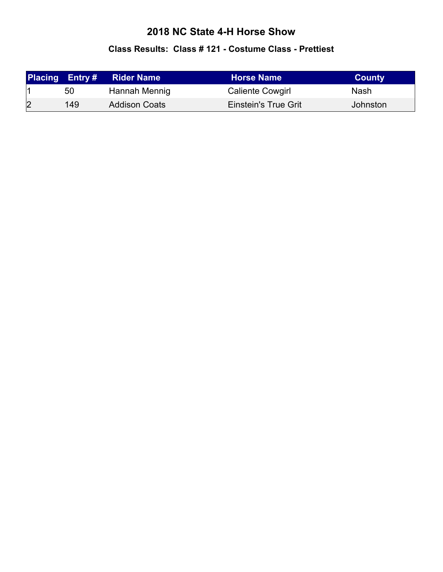#### **Class Results: Class # 121 - Costume Class - Prettiest**

|   | <b>Placing Entry#</b> | <b>Rider Name</b>    | <b>Horse Name</b>           | <b>County</b> |
|---|-----------------------|----------------------|-----------------------------|---------------|
|   | 50                    | Hannah Mennig        | <b>Caliente Cowgirl</b>     | Nash          |
| 2 | 149                   | <b>Addison Coats</b> | <b>Einstein's True Grit</b> | Johnston      |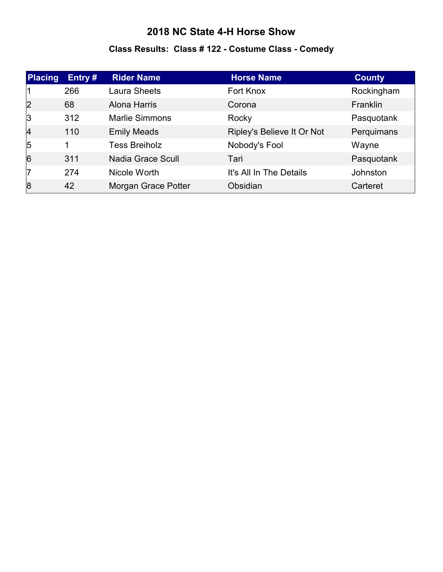# **Class Results: Class # 122 - Costume Class - Comedy**

| Placing        | Entry# | <b>Rider Name</b>        | <b>Horse Name</b>          | <b>County</b>   |
|----------------|--------|--------------------------|----------------------------|-----------------|
|                | 266    | Laura Sheets             | Fort Knox                  | Rockingham      |
| 2              | 68     | Alona Harris             | Corona                     | Franklin        |
| 3              | 312    | <b>Marlie Simmons</b>    | Rocky                      | Pasquotank      |
| $\overline{4}$ | 110    | <b>Emily Meads</b>       | Ripley's Believe It Or Not | Perquimans      |
| $\sqrt{5}$     | 1      | <b>Tess Breiholz</b>     | Nobody's Fool              | Wayne           |
| 6              | 311    | <b>Nadia Grace Scull</b> | Tari                       | Pasquotank      |
| 17             | 274    | Nicole Worth             | It's All In The Details    | <b>Johnston</b> |
| 8              | 42     | Morgan Grace Potter      | Obsidian                   | Carteret        |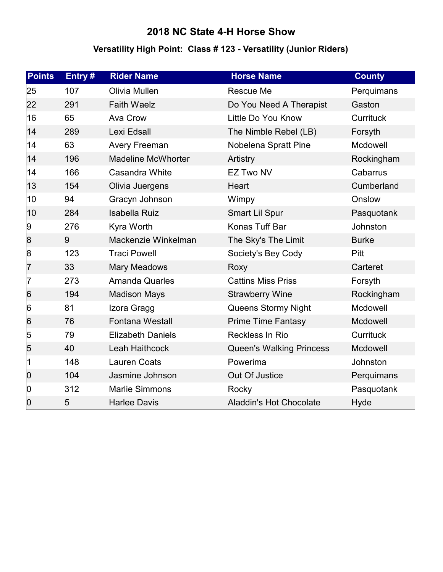# **Versatility High Point: Class # 123 - Versatility (Junior Riders)**

| <b>Points</b>   | Entry# | <b>Rider Name</b>         | <b>Horse Name</b>               | <b>County</b>    |
|-----------------|--------|---------------------------|---------------------------------|------------------|
| 25              | 107    | Olivia Mullen             | Rescue Me                       | Perquimans       |
| 22              | 291    | <b>Faith Waelz</b>        | Do You Need A Therapist         | Gaston           |
| 16              | 65     | Ava Crow                  | Little Do You Know              | <b>Currituck</b> |
| 14              | 289    | Lexi Edsall               | The Nimble Rebel (LB)           | Forsyth          |
| 14              | 63     | <b>Avery Freeman</b>      | Nobelena Spratt Pine            | Mcdowell         |
| 14              | 196    | <b>Madeline McWhorter</b> | Artistry                        | Rockingham       |
| 14              | 166    | Casandra White            | <b>EZ Two NV</b>                | Cabarrus         |
| 13              | 154    | Olivia Juergens           | <b>Heart</b>                    | Cumberland       |
| 10              | 94     | Gracyn Johnson            | Wimpy                           | Onslow           |
| 10              | 284    | <b>Isabella Ruiz</b>      | <b>Smart Lil Spur</b>           | Pasquotank       |
| 9               | 276    | Kyra Worth                | Konas Tuff Bar                  | Johnston         |
| 8               | 9      | Mackenzie Winkelman       | The Sky's The Limit             | <b>Burke</b>     |
| 8               | 123    | <b>Traci Powell</b>       | Society's Bey Cody              | <b>Pitt</b>      |
| 7               | 33     | <b>Mary Meadows</b>       | Roxy                            | Carteret         |
| 7               | 273    | <b>Amanda Quarles</b>     | <b>Cattins Miss Priss</b>       | Forsyth          |
| $6\overline{6}$ | 194    | <b>Madison Mays</b>       | <b>Strawberry Wine</b>          | Rockingham       |
| 6               | 81     | Izora Gragg               | Queens Stormy Night             | Mcdowell         |
| $6\overline{6}$ | 76     | <b>Fontana Westall</b>    | <b>Prime Time Fantasy</b>       | Mcdowell         |
| 5               | 79     | <b>Elizabeth Daniels</b>  | Reckless In Rio                 | <b>Currituck</b> |
| 5               | 40     | Leah Haithcock            | <b>Queen's Walking Princess</b> | Mcdowell         |
| 1               | 148    | <b>Lauren Coats</b>       | Powerima                        | Johnston         |
| $ 0\rangle$     | 104    | Jasmine Johnson           | Out Of Justice                  | Perquimans       |
| 0               | 312    | <b>Marlie Simmons</b>     | Rocky                           | Pasquotank       |
| 0               | 5      | <b>Harlee Davis</b>       | <b>Aladdin's Hot Chocolate</b>  | Hyde             |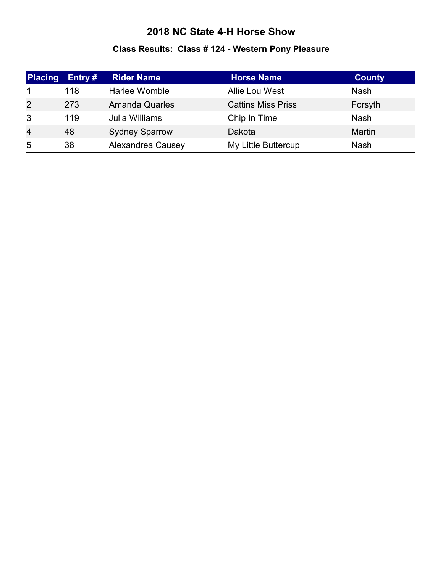# **Class Results: Class # 124 - Western Pony Pleasure**

| Placing        | Entry $#$ | <b>Rider Name</b>     | <b>Horse Name</b>         | <b>County</b> |
|----------------|-----------|-----------------------|---------------------------|---------------|
|                | 118       | Harlee Womble         | <b>Allie Lou West</b>     | <b>Nash</b>   |
| $\overline{2}$ | 273       | <b>Amanda Quarles</b> | <b>Cattins Miss Priss</b> | Forsyth       |
| 3              | 119       | Julia Williams        | Chip In Time              | <b>Nash</b>   |
| $\overline{4}$ | 48        | <b>Sydney Sparrow</b> | Dakota                    | <b>Martin</b> |
| $\overline{5}$ | 38        | Alexandrea Causey     | My Little Buttercup       | <b>Nash</b>   |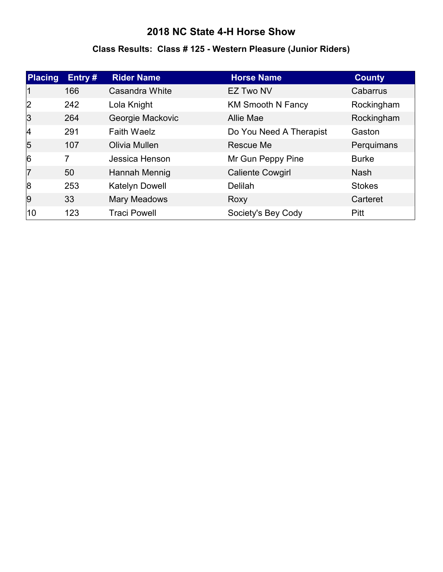#### **Class Results: Class # 125 - Western Pleasure (Junior Riders)**

| Placing        | Entry# | <b>Rider Name</b>   | <b>Horse Name</b>        | <b>County</b> |
|----------------|--------|---------------------|--------------------------|---------------|
|                | 166    | Casandra White      | <b>EZ Two NV</b>         | Cabarrus      |
| 2              | 242    | Lola Knight         | <b>KM Smooth N Fancy</b> | Rockingham    |
| 3              | 264    | Georgie Mackovic    | <b>Allie Mae</b>         | Rockingham    |
| 4              | 291    | <b>Faith Waelz</b>  | Do You Need A Therapist  | Gaston        |
| $\overline{5}$ | 107    | Olivia Mullen       | Rescue Me                | Perquimans    |
| 6              | 7      | Jessica Henson      | Mr Gun Peppy Pine        | <b>Burke</b>  |
| 7              | 50     | Hannah Mennig       | <b>Caliente Cowgirl</b>  | <b>Nash</b>   |
| 8              | 253    | Katelyn Dowell      | <b>Delilah</b>           | <b>Stokes</b> |
| 9              | 33     | <b>Mary Meadows</b> | Roxy                     | Carteret      |
| 10             | 123    | <b>Traci Powell</b> | Society's Bey Cody       | Pitt          |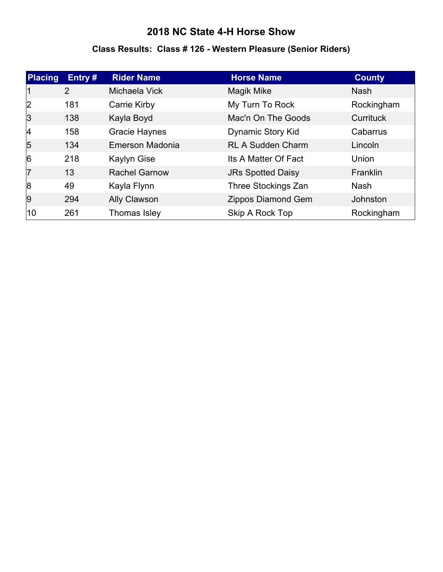#### **Class Results: Class # 126 - Western Pleasure (Senior Riders)**

| <b>Placing</b> | Entry# | <b>Rider Name</b>    | <b>Horse Name</b>         | <b>County</b> |
|----------------|--------|----------------------|---------------------------|---------------|
|                | 2      | Michaela Vick        | Magik Mike                | <b>Nash</b>   |
| 2              | 181    | Carrie Kirby         | My Turn To Rock           | Rockingham    |
| 3              | 138    | Kayla Boyd           | Mac'n On The Goods        | Currituck     |
| $\vert$ 4      | 158    | <b>Gracie Haynes</b> | <b>Dynamic Story Kid</b>  | Cabarrus      |
| $\overline{5}$ | 134    | Emerson Madonia      | <b>RL A Sudden Charm</b>  | Lincoln       |
| 6              | 218    | <b>Kaylyn Gise</b>   | Its A Matter Of Fact      | Union         |
| 17             | 13     | <b>Rachel Garnow</b> | <b>JRs Spotted Daisy</b>  | Franklin      |
| 8              | 49     | Kayla Flynn          | Three Stockings Zan       | <b>Nash</b>   |
| 9              | 294    | Ally Clawson         | <b>Zippos Diamond Gem</b> | Johnston      |
| 10             | 261    | Thomas Isley         | Skip A Rock Top           | Rockingham    |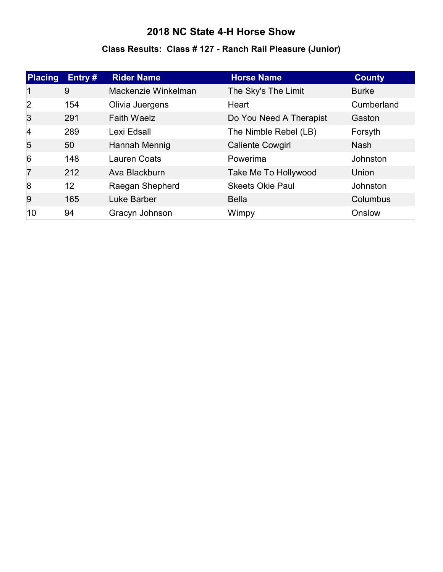#### **Class Results: Class # 127 - Ranch Rail Pleasure (Junior)**

| <b>Placing</b> | Entry $#$ | <b>Rider Name</b>   | <b>Horse Name</b>       | <b>County</b>   |
|----------------|-----------|---------------------|-------------------------|-----------------|
|                | 9         | Mackenzie Winkelman | The Sky's The Limit     | <b>Burke</b>    |
| 2              | 154       | Olivia Juergens     | Heart                   | Cumberland      |
| 3              | 291       | <b>Faith Waelz</b>  | Do You Need A Therapist | Gaston          |
| 14             | 289       | Lexi Edsall         | The Nimble Rebel (LB)   | Forsyth         |
| $\overline{5}$ | 50        | Hannah Mennig       | <b>Caliente Cowgirl</b> | <b>Nash</b>     |
| $\overline{6}$ | 148       | <b>Lauren Coats</b> | Powerima                | <b>Johnston</b> |
| 7              | 212       | Ava Blackburn       | Take Me To Hollywood    | Union           |
| 8              | 12        | Raegan Shepherd     | <b>Skeets Okie Paul</b> | Johnston        |
| 9              | 165       | Luke Barber         | <b>Bella</b>            | Columbus        |
| 10             | 94        | Gracyn Johnson      | Wimpy                   | Onslow          |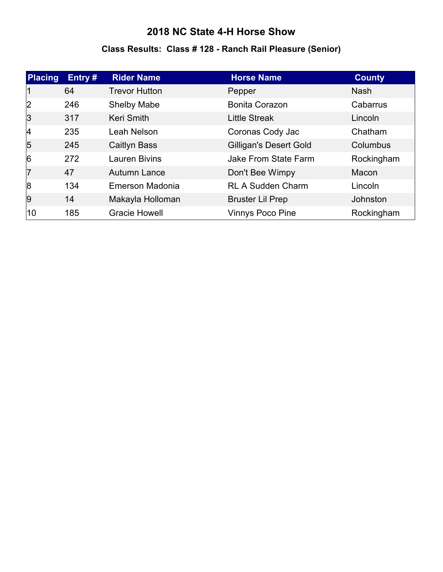#### **Class Results: Class # 128 - Ranch Rail Pleasure (Senior)**

| <b>Placing</b> | Entry# | <b>Rider Name</b>    | <b>Horse Name</b>             | <b>County</b> |
|----------------|--------|----------------------|-------------------------------|---------------|
| 11             | 64     | <b>Trevor Hutton</b> | Pepper                        | <b>Nash</b>   |
| 2              | 246    | <b>Shelby Mabe</b>   | <b>Bonita Corazon</b>         | Cabarrus      |
| 3              | 317    | Keri Smith           | <b>Little Streak</b>          | Lincoln       |
| 4              | 235    | Leah Nelson          | Coronas Cody Jac              | Chatham       |
| $\overline{5}$ | 245    | Caitlyn Bass         | <b>Gilligan's Desert Gold</b> | Columbus      |
| 6              | 272    | <b>Lauren Bivins</b> | Jake From State Farm          | Rockingham    |
| 17             | 47     | Autumn Lance         | Don't Bee Wimpy               | Macon         |
| 8              | 134    | Emerson Madonia      | <b>RL A Sudden Charm</b>      | Lincoln       |
| <u>g</u>       | 14     | Makayla Holloman     | <b>Bruster Lil Prep</b>       | Johnston      |
| 10             | 185    | <b>Gracie Howell</b> | <b>Vinnys Poco Pine</b>       | Rockingham    |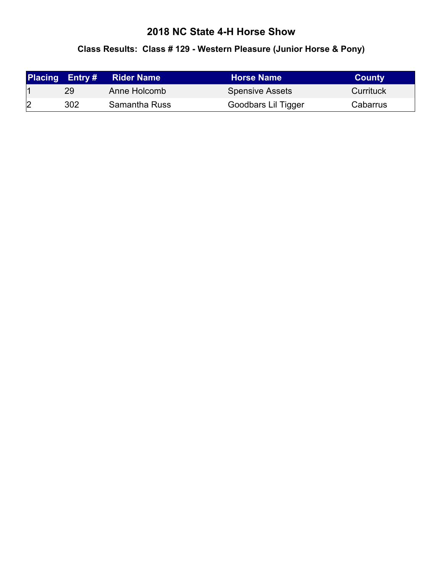#### **Class Results: Class # 129 - Western Pleasure (Junior Horse & Pony)**

|   | <b>Placing Entry#</b> | <b>Rider Name</b> | <b>Horse Name</b>      | <b>County</b> |
|---|-----------------------|-------------------|------------------------|---------------|
|   | 29                    | Anne Holcomb      | <b>Spensive Assets</b> | Currituck     |
| 2 | 302                   | Samantha Russ     | Goodbars Lil Tigger    | Cabarrus      |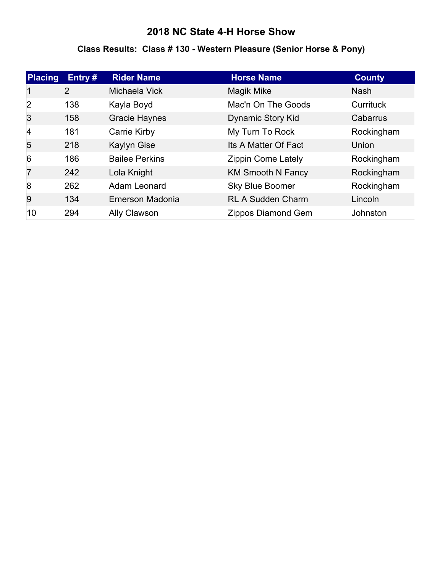#### **Class Results: Class # 130 - Western Pleasure (Senior Horse & Pony)**

| <b>Placing</b>  | Entry $#$      | <b>Rider Name</b>     | <b>Horse Name</b>         | <b>County</b> |
|-----------------|----------------|-----------------------|---------------------------|---------------|
|                 | $\overline{2}$ | Michaela Vick         | Magik Mike                | <b>Nash</b>   |
| 2               | 138            | Kayla Boyd            | Mac'n On The Goods        | Currituck     |
| 3               | 158            | <b>Gracie Haynes</b>  | Dynamic Story Kid         | Cabarrus      |
| $\vert 4 \vert$ | 181            | Carrie Kirby          | My Turn To Rock           | Rockingham    |
| $\overline{5}$  | 218            | <b>Kaylyn Gise</b>    | Its A Matter Of Fact      | Union         |
| 6               | 186            | <b>Bailee Perkins</b> | <b>Zippin Come Lately</b> | Rockingham    |
| 17              | 242            | Lola Knight           | <b>KM Smooth N Fancy</b>  | Rockingham    |
| 8               | 262            | Adam Leonard          | <b>Sky Blue Boomer</b>    | Rockingham    |
| 9               | 134            | Emerson Madonia       | <b>RL A Sudden Charm</b>  | Lincoln       |
| 10              | 294            | Ally Clawson          | Zippos Diamond Gem        | Johnston      |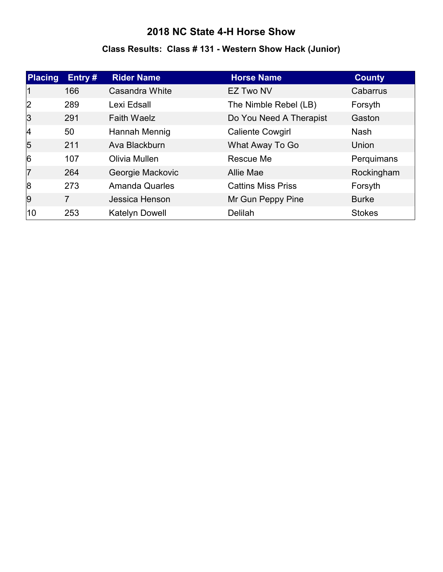# **Class Results: Class # 131 - Western Show Hack (Junior)**

| Placing        | Entry# | <b>Rider Name</b>     | <b>Horse Name</b>         | <b>County</b> |
|----------------|--------|-----------------------|---------------------------|---------------|
| 11             | 166    | Casandra White        | <b>EZ Two NV</b>          | Cabarrus      |
| 2              | 289    | Lexi Edsall           | The Nimble Rebel (LB)     | Forsyth       |
| 3              | 291    | <b>Faith Waelz</b>    | Do You Need A Therapist   | Gaston        |
| $\vert$ 4      | 50     | Hannah Mennig         | <b>Caliente Cowgirl</b>   | <b>Nash</b>   |
| $\overline{5}$ | 211    | Ava Blackburn         | What Away To Go           | Union         |
| 6              | 107    | Olivia Mullen         | Rescue Me                 | Perquimans    |
| 17             | 264    | Georgie Mackovic      | Allie Mae                 | Rockingham    |
| 8              | 273    | <b>Amanda Quarles</b> | <b>Cattins Miss Priss</b> | Forsyth       |
| 9              | 7      | Jessica Henson        | Mr Gun Peppy Pine         | <b>Burke</b>  |
| 10             | 253    | <b>Katelyn Dowell</b> | <b>Delilah</b>            | <b>Stokes</b> |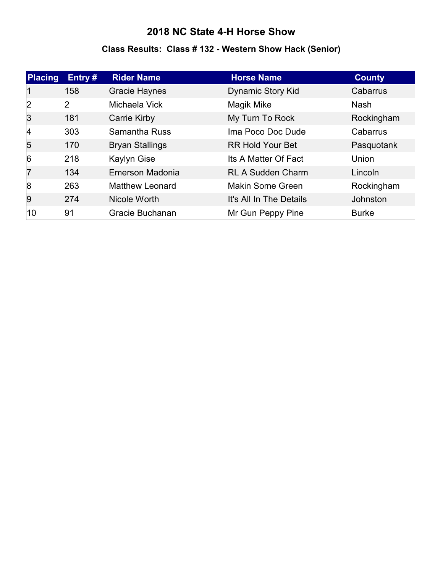# **Class Results: Class # 132 - Western Show Hack (Senior)**

| <b>Placing</b> | Entry $#$ | <b>Rider Name</b>      | <b>Horse Name</b>        | <b>County</b>   |
|----------------|-----------|------------------------|--------------------------|-----------------|
|                | 158       | <b>Gracie Haynes</b>   | <b>Dynamic Story Kid</b> | Cabarrus        |
| 2              | 2         | Michaela Vick          | Magik Mike               | <b>Nash</b>     |
| 3              | 181       | <b>Carrie Kirby</b>    | My Turn To Rock          | Rockingham      |
| 4              | 303       | <b>Samantha Russ</b>   | Ima Poco Doc Dude        | Cabarrus        |
| 5              | 170       | <b>Bryan Stallings</b> | <b>RR Hold Your Bet</b>  | Pasquotank      |
| 6              | 218       | <b>Kaylyn Gise</b>     | Its A Matter Of Fact     | Union           |
| 17             | 134       | Emerson Madonia        | <b>RL A Sudden Charm</b> | Lincoln         |
| 8              | 263       | <b>Matthew Leonard</b> | Makin Some Green         | Rockingham      |
| 9              | 274       | Nicole Worth           | It's All In The Details  | <b>Johnston</b> |
| 10             | 91        | Gracie Buchanan        | Mr Gun Peppy Pine        | <b>Burke</b>    |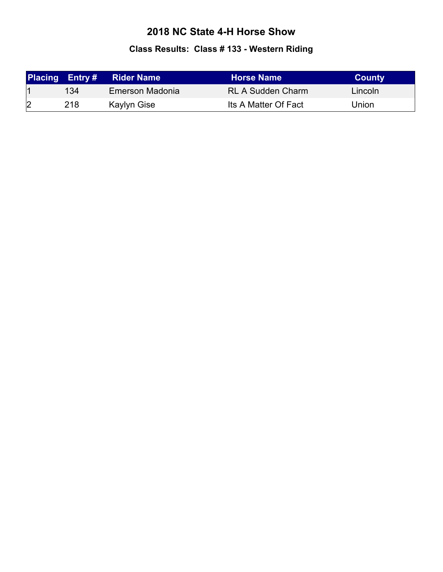# **Class Results: Class # 133 - Western Riding**

|   |     | <b>Placing Entry # Rider Name</b> | <b>Horse Name</b>        | <b>County</b> |
|---|-----|-----------------------------------|--------------------------|---------------|
|   | 134 | Emerson Madonia                   | <b>RL A Sudden Charm</b> | Lincoln       |
| 2 | 218 | Kaylyn Gise                       | Its A Matter Of Fact     | Union         |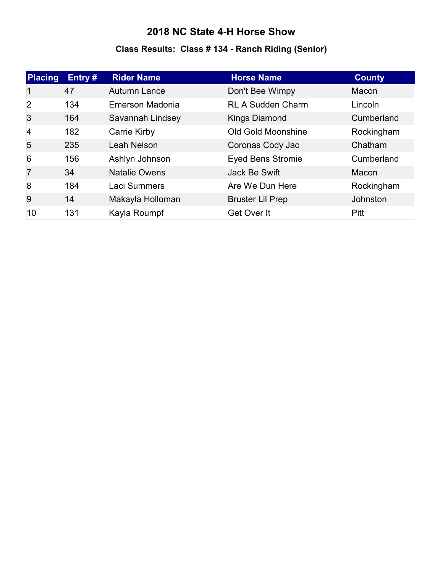# **Class Results: Class # 134 - Ranch Riding (Senior)**

| Placing        | Entry# | <b>Rider Name</b>    | <b>Horse Name</b>        | <b>County</b> |
|----------------|--------|----------------------|--------------------------|---------------|
| 11             | 47     | Autumn Lance         | Don't Bee Wimpy          | Macon         |
| 2              | 134    | Emerson Madonia      | <b>RL A Sudden Charm</b> | Lincoln       |
| 3              | 164    | Savannah Lindsey     | <b>Kings Diamond</b>     | Cumberland    |
| 4              | 182    | Carrie Kirby         | Old Gold Moonshine       | Rockingham    |
| $\overline{5}$ | 235    | Leah Nelson          | Coronas Cody Jac         | Chatham       |
| 6              | 156    | Ashlyn Johnson       | <b>Eyed Bens Stromie</b> | Cumberland    |
| 7              | 34     | <b>Natalie Owens</b> | Jack Be Swift            | Macon         |
| 8              | 184    | Laci Summers         | Are We Dun Here          | Rockingham    |
| <u>g</u>       | 14     | Makayla Holloman     | <b>Bruster Lil Prep</b>  | Johnston      |
| 10             | 131    | Kayla Roumpf         | Get Over It              | Pitt          |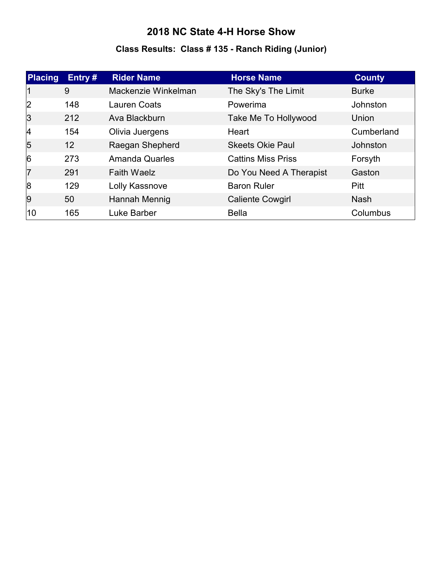# **Class Results: Class # 135 - Ranch Riding (Junior)**

| <b>Placing</b> | Entry# | <b>Rider Name</b>     | <b>Horse Name</b>         | <b>County</b> |
|----------------|--------|-----------------------|---------------------------|---------------|
|                | 9      | Mackenzie Winkelman   | The Sky's The Limit       | <b>Burke</b>  |
| 2              | 148    | <b>Lauren Coats</b>   | Powerima                  | Johnston      |
| 3              | 212    | Ava Blackburn         | Take Me To Hollywood      | Union         |
| 4              | 154    | Olivia Juergens       | Heart                     | Cumberland    |
| 5              | 12     | Raegan Shepherd       | <b>Skeets Okie Paul</b>   | Johnston      |
| 6              | 273    | <b>Amanda Quarles</b> | <b>Cattins Miss Priss</b> | Forsyth       |
| 17             | 291    | <b>Faith Waelz</b>    | Do You Need A Therapist   | Gaston        |
| 8              | 129    | Lolly Kassnove        | <b>Baron Ruler</b>        | <b>Pitt</b>   |
| 9              | 50     | Hannah Mennig         | <b>Caliente Cowgirl</b>   | <b>Nash</b>   |
| 10             | 165    | Luke Barber           | <b>Bella</b>              | Columbus      |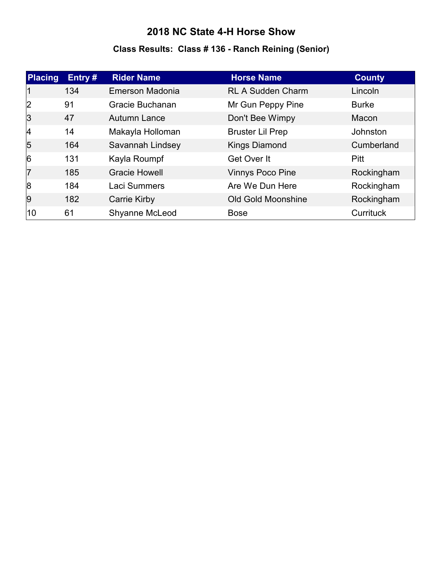#### **Class Results: Class # 136 - Ranch Reining (Senior)**

| <b>Placing</b> | Entry# | <b>Rider Name</b>    | <b>Horse Name</b>         | <b>County</b>   |
|----------------|--------|----------------------|---------------------------|-----------------|
| 11             | 134    | Emerson Madonia      | <b>RL A Sudden Charm</b>  | Lincoln         |
| 2              | 91     | Gracie Buchanan      | Mr Gun Peppy Pine         | <b>Burke</b>    |
| 3              | 47     | <b>Autumn Lance</b>  | Don't Bee Wimpy           | Macon           |
| 4              | 14     | Makayla Holloman     | <b>Bruster Lil Prep</b>   | <b>Johnston</b> |
| $\overline{5}$ | 164    | Savannah Lindsey     | <b>Kings Diamond</b>      | Cumberland      |
| 6              | 131    | Kayla Roumpf         | Get Over It               | <b>Pitt</b>     |
| 17             | 185    | <b>Gracie Howell</b> | <b>Vinnys Poco Pine</b>   | Rockingham      |
| 8              | 184    | Laci Summers         | Are We Dun Here           | Rockingham      |
| <u>g</u>       | 182    | Carrie Kirby         | <b>Old Gold Moonshine</b> | Rockingham      |
| 10             | 61     | Shyanne McLeod       | <b>Bose</b>               | Currituck       |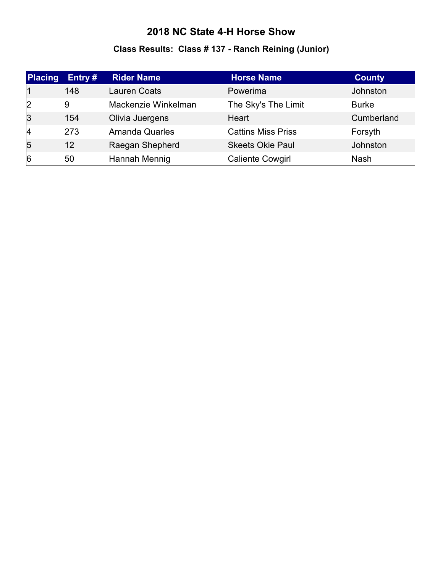# **Class Results: Class # 137 - Ranch Reining (Junior)**

| <b>Placing</b> | Entry # | <b>Rider Name</b>     | <b>Horse Name</b>         | <b>County</b> |
|----------------|---------|-----------------------|---------------------------|---------------|
|                | 148     | <b>Lauren Coats</b>   | Powerima                  | Johnston      |
| 2              | 9       | Mackenzie Winkelman   | The Sky's The Limit       | <b>Burke</b>  |
| 3              | 154     | Olivia Juergens       | Heart                     | Cumberland    |
| 14             | 273     | <b>Amanda Quarles</b> | <b>Cattins Miss Priss</b> | Forsyth       |
| 5              | 12      | Raegan Shepherd       | <b>Skeets Okie Paul</b>   | Johnston      |
| $\overline{6}$ | 50      | Hannah Mennig         | <b>Caliente Cowgirl</b>   | <b>Nash</b>   |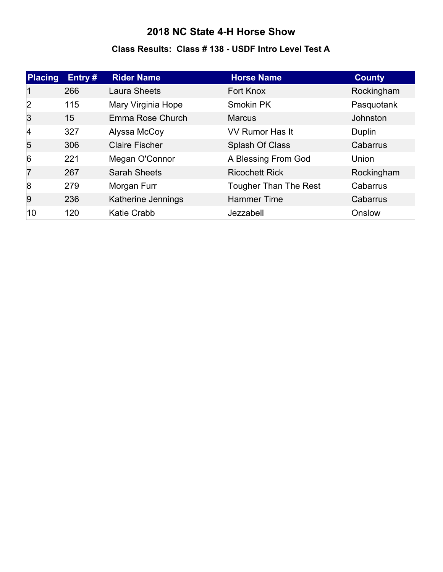#### **Class Results: Class # 138 - USDF Intro Level Test A**

| <b>Placing</b> | Entry# | <b>Rider Name</b>     | <b>Horse Name</b>            | <b>County</b>   |
|----------------|--------|-----------------------|------------------------------|-----------------|
|                | 266    | <b>Laura Sheets</b>   | Fort Knox                    | Rockingham      |
| 2              | 115    | Mary Virginia Hope    | Smokin PK                    | Pasquotank      |
| 3              | 15     | Emma Rose Church      | <b>Marcus</b>                | <b>Johnston</b> |
| 4              | 327    | Alyssa McCoy          | <b>VV Rumor Has It</b>       | Duplin          |
| $\overline{5}$ | 306    | <b>Claire Fischer</b> | Splash Of Class              | Cabarrus        |
| 6              | 221    | Megan O'Connor        | A Blessing From God          | Union           |
| 17             | 267    | <b>Sarah Sheets</b>   | <b>Ricochett Rick</b>        | Rockingham      |
| 8              | 279    | Morgan Furr           | <b>Tougher Than The Rest</b> | Cabarrus        |
| <u> 9</u>      | 236    | Katherine Jennings    | <b>Hammer Time</b>           | Cabarrus        |
| 10             | 120    | <b>Katie Crabb</b>    | Jezzabell                    | Onslow          |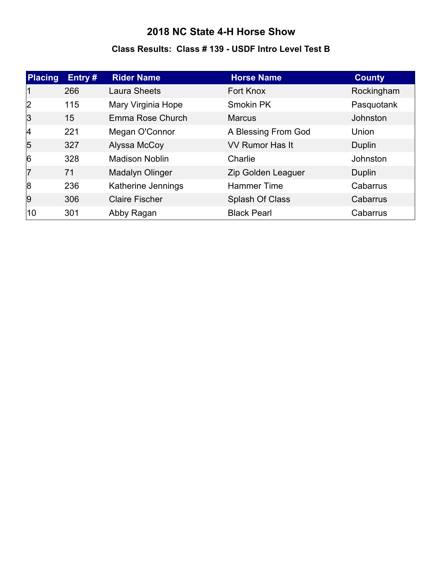#### **Class Results: Class # 139 - USDF Intro Level Test B**

| Placing        | Entry $#$ | <b>Rider Name</b>     | <b>Horse Name</b>      | <b>County</b> |
|----------------|-----------|-----------------------|------------------------|---------------|
| 11             | 266       | <b>Laura Sheets</b>   | Fort Knox              | Rockingham    |
| 2              | 115       | Mary Virginia Hope    | Smokin PK              | Pasquotank    |
| 3              | 15        | Emma Rose Church      | <b>Marcus</b>          | Johnston      |
| 4              | 221       | Megan O'Connor        | A Blessing From God    | Union         |
| $\overline{5}$ | 327       | Alyssa McCoy          | <b>VV Rumor Has It</b> | Duplin        |
| 6              | 328       | <b>Madison Noblin</b> | Charlie                | Johnston      |
| 17             | 71        | Madalyn Olinger       | Zip Golden Leaguer     | Duplin        |
| 8              | 236       | Katherine Jennings    | <b>Hammer Time</b>     | Cabarrus      |
| 9              | 306       | <b>Claire Fischer</b> | Splash Of Class        | Cabarrus      |
| 10             | 301       | Abby Ragan            | <b>Black Pearl</b>     | Cabarrus      |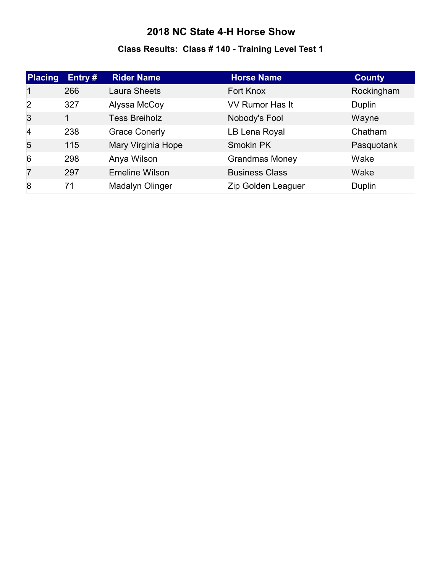# **Class Results: Class # 140 - Training Level Test 1**

| <b>Placing</b> | Entry# | <b>Rider Name</b>     | <b>Horse Name</b>      | <b>County</b> |
|----------------|--------|-----------------------|------------------------|---------------|
|                | 266    | Laura Sheets          | Fort Knox              | Rockingham    |
| 2              | 327    | Alyssa McCoy          | <b>VV Rumor Has It</b> | Duplin        |
| 3              | 1      | <b>Tess Breiholz</b>  | Nobody's Fool          | Wayne         |
| 4              | 238    | <b>Grace Conerly</b>  | LB Lena Royal          | Chatham       |
| $\overline{5}$ | 115    | Mary Virginia Hope    | <b>Smokin PK</b>       | Pasquotank    |
| 6              | 298    | Anya Wilson           | <b>Grandmas Money</b>  | Wake          |
| 17             | 297    | <b>Emeline Wilson</b> | <b>Business Class</b>  | Wake          |
| 8              | 71     | Madalyn Olinger       | Zip Golden Leaguer     | Duplin        |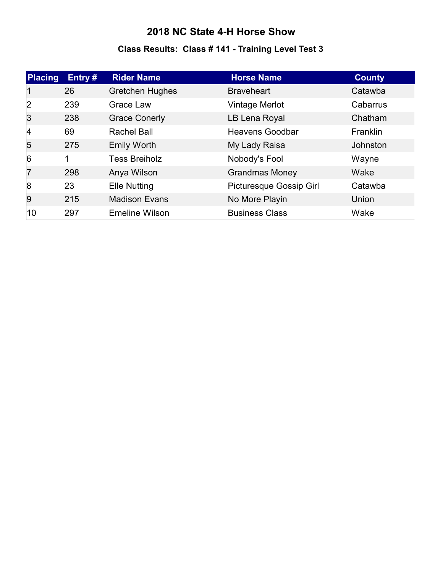# **Class Results: Class # 141 - Training Level Test 3**

| <b>Placing</b> | Entry $#$ | <b>Rider Name</b>      | <b>Horse Name</b>       | <b>County</b> |
|----------------|-----------|------------------------|-------------------------|---------------|
| 11             | 26        | <b>Gretchen Hughes</b> | <b>Braveheart</b>       | Catawba       |
| 2              | 239       | Grace Law              | Vintage Merlot          | Cabarrus      |
| 3              | 238       | <b>Grace Conerly</b>   | LB Lena Royal           | Chatham       |
| 4              | 69        | <b>Rachel Ball</b>     | <b>Heavens Goodbar</b>  | Franklin      |
| $\overline{5}$ | 275       | <b>Emily Worth</b>     | My Lady Raisa           | Johnston      |
| 6              | 1         | <b>Tess Breiholz</b>   | Nobody's Fool           | Wayne         |
| 17             | 298       | Anya Wilson            | <b>Grandmas Money</b>   | Wake          |
| 8              | 23        | <b>Elle Nutting</b>    | Picturesque Gossip Girl | Catawba       |
| 9              | 215       | <b>Madison Evans</b>   | No More Playin          | Union         |
| 10             | 297       | <b>Emeline Wilson</b>  | <b>Business Class</b>   | Wake          |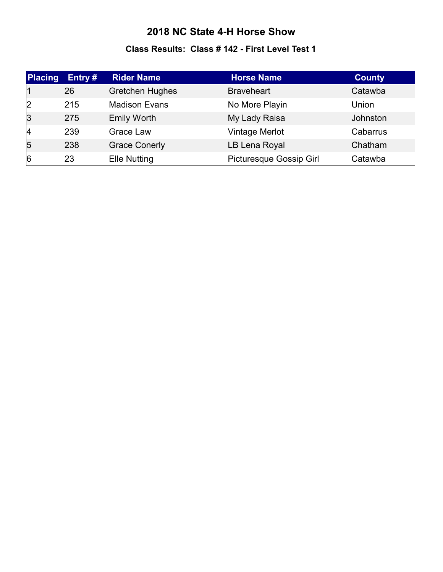#### **Class Results: Class # 142 - First Level Test 1**

| <b>Placing</b> | Entry # | <b>Rider Name</b>      | <b>Horse Name</b>              | <b>County</b> |
|----------------|---------|------------------------|--------------------------------|---------------|
|                | 26      | <b>Gretchen Hughes</b> | <b>Braveheart</b>              | Catawba       |
| 2              | 215     | <b>Madison Evans</b>   | No More Playin                 | Union         |
| $\overline{3}$ | 275     | <b>Emily Worth</b>     | My Lady Raisa                  | Johnston      |
| 4              | 239     | Grace Law              | Vintage Merlot                 | Cabarrus      |
| 5              | 238     | <b>Grace Conerly</b>   | LB Lena Royal                  | Chatham       |
| $\overline{6}$ | 23      | <b>Elle Nutting</b>    | <b>Picturesque Gossip Girl</b> | Catawba       |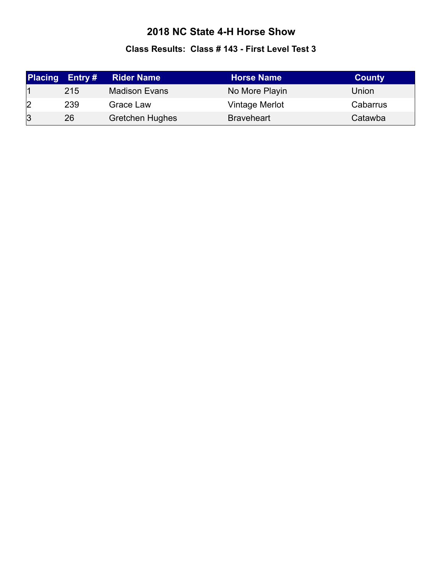#### **Class Results: Class # 143 - First Level Test 3**

| <b>Placing</b> | Entry $#$ | <b>Rider Name</b>      | <b>Horse Name</b> | <b>County</b> |
|----------------|-----------|------------------------|-------------------|---------------|
|                | 215       | <b>Madison Evans</b>   | No More Playin    | Union         |
| 2              | 239       | Grace Law              | Vintage Merlot    | Cabarrus      |
| $\overline{3}$ | 26        | <b>Gretchen Hughes</b> | <b>Braveheart</b> | Catawba       |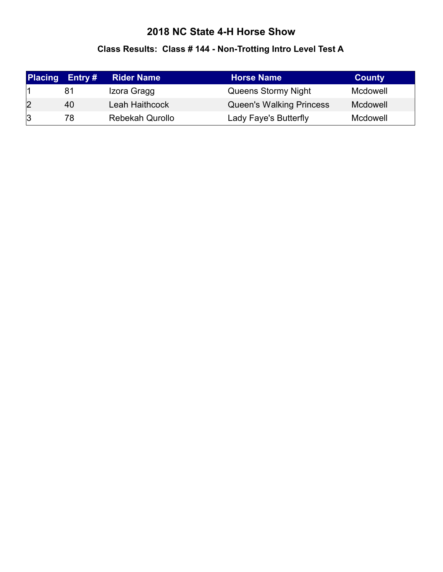# **Class Results: Class # 144 - Non-Trotting Intro Level Test A**

| <b>Placing</b> | Entry # | <b>Rider Name</b>      | <b>Horse Name</b>               | <b>County</b> |
|----------------|---------|------------------------|---------------------------------|---------------|
|                | 81      | Izora Gragg            | Queens Stormy Night             | Mcdowell      |
| 2              | 40      | Leah Haithcock         | <b>Queen's Walking Princess</b> | Mcdowell      |
| 3              | 78      | <b>Rebekah Qurollo</b> | Lady Faye's Butterfly           | Mcdowell      |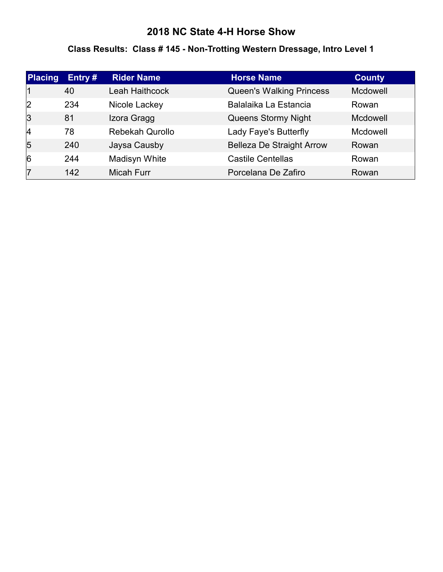## **2018 NC State 4-H Horse Show**

## **Class Results: Class # 145 - Non-Trotting Western Dressage, Intro Level 1**

| <b>Placing</b> | Entry# | <b>Rider Name</b>      | <b>Horse Name</b>                | <b>County</b> |
|----------------|--------|------------------------|----------------------------------|---------------|
|                | 40     | Leah Haithcock         | <b>Queen's Walking Princess</b>  | Mcdowell      |
| 2              | 234    | Nicole Lackey          | Balalaika La Estancia            | Rowan         |
| 3              | 81     | Izora Gragg            | Queens Stormy Night              | Mcdowell      |
| 4              | 78     | <b>Rebekah Qurollo</b> | Lady Faye's Butterfly            | Mcdowell      |
| $\overline{5}$ | 240    | Jaysa Causby           | <b>Belleza De Straight Arrow</b> | Rowan         |
| $\overline{6}$ | 244    | Madisyn White          | <b>Castile Centellas</b>         | Rowan         |
| 17             | 142    | Micah Furr             | Porcelana De Zafiro              | Rowan         |